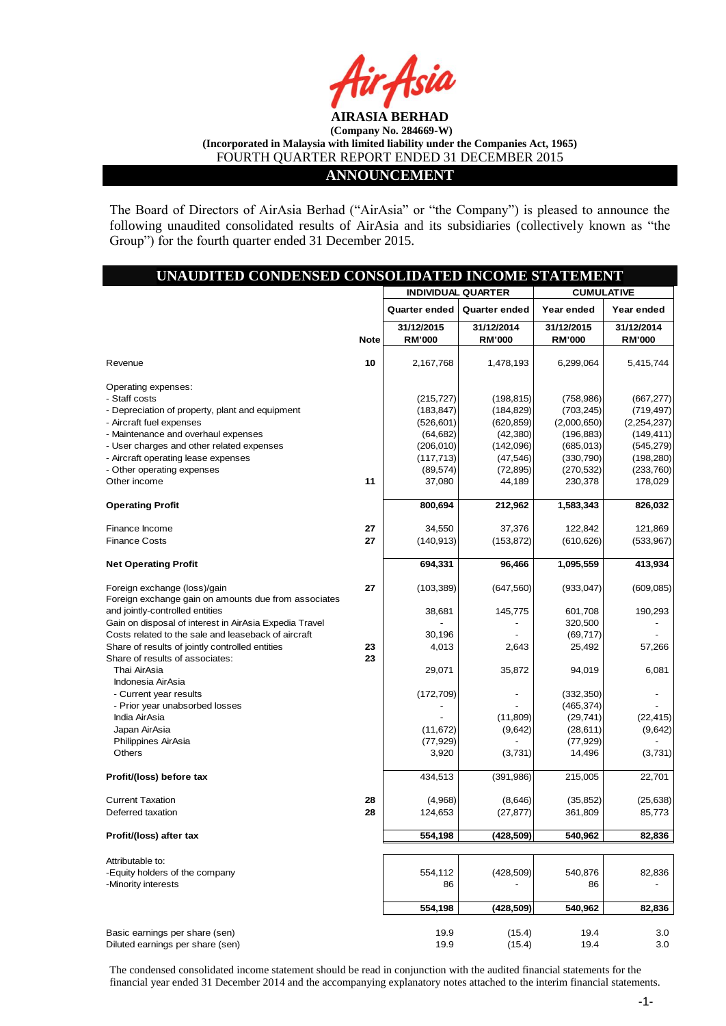

#### **ANNOUNCEMENT**

The Board of Directors of AirAsia Berhad ("AirAsia" or "the Company") is pleased to announce the following unaudited consolidated results of AirAsia and its subsidiaries (collectively known as "the Group") for the fourth quarter ended 31 December 2015.

| UNAUDITED CONDENSED CONSOLIDATED INCOME STATEMENT                                    |             |                             |                             |                             |                             |
|--------------------------------------------------------------------------------------|-------------|-----------------------------|-----------------------------|-----------------------------|-----------------------------|
|                                                                                      |             |                             | <b>INDIVIDUAL QUARTER</b>   | <b>CUMULATIVE</b>           |                             |
|                                                                                      |             | Quarter ended               | <b>Quarter ended</b>        | Year ended                  | Year ended                  |
|                                                                                      | <b>Note</b> | 31/12/2015<br><b>RM'000</b> | 31/12/2014<br><b>RM'000</b> | 31/12/2015<br><b>RM'000</b> | 31/12/2014<br><b>RM'000</b> |
| Revenue                                                                              | 10          | 2,167,768                   | 1,478,193                   | 6,299,064                   | 5,415,744                   |
| Operating expenses:                                                                  |             |                             |                             |                             |                             |
| - Staff costs                                                                        |             | (215, 727)                  | (198, 815)                  | (758, 986)                  | (667, 277)                  |
| - Depreciation of property, plant and equipment                                      |             | (183, 847)                  | (184, 829)                  | (703, 245)                  | (719,497)                   |
| - Aircraft fuel expenses                                                             |             | (526, 601)                  | (620, 859)                  | (2,000,650)                 | (2,254,237)                 |
| - Maintenance and overhaul expenses                                                  |             | (64, 682)                   | (42, 380)                   | (196, 883)                  | (149, 411)                  |
| - User charges and other related expenses                                            |             | (206, 010)                  | (142,096)                   | (685, 013)                  | (545, 279)                  |
| - Aircraft operating lease expenses                                                  |             | (117, 713)                  | (47, 546)                   | (330, 790)                  | (198, 280)                  |
| - Other operating expenses                                                           |             | (89, 574)                   | (72, 895)                   | (270, 532)                  | (233, 760)                  |
| Other income                                                                         | 11          | 37,080                      | 44,189                      | 230,378                     | 178,029                     |
|                                                                                      |             |                             |                             |                             |                             |
| <b>Operating Profit</b>                                                              |             | 800,694                     | 212,962                     | 1,583,343                   | 826,032                     |
| Finance Income                                                                       | 27          | 34,550                      | 37,376                      | 122,842                     | 121,869                     |
| <b>Finance Costs</b>                                                                 | 27          | (140, 913)                  | (153, 872)                  | (610, 626)                  | (533, 967)                  |
| <b>Net Operating Profit</b>                                                          |             | 694,331                     | 96,466                      | 1,095,559                   | 413,934                     |
| Foreign exchange (loss)/gain<br>Foreign exchange gain on amounts due from associates | 27          | (103, 389)                  | (647, 560)                  | (933, 047)                  | (609, 085)                  |
| and jointly-controlled entities                                                      |             | 38,681                      | 145,775                     | 601,708                     | 190,293                     |
| Gain on disposal of interest in AirAsia Expedia Travel                               |             |                             |                             | 320,500                     |                             |
|                                                                                      |             |                             |                             |                             |                             |
| Costs related to the sale and leaseback of aircraft                                  |             | 30,196                      |                             | (69, 717)                   |                             |
| Share of results of jointly controlled entities                                      | 23          | 4,013                       | 2,643                       | 25,492                      | 57,266                      |
| Share of results of associates:                                                      | 23          |                             |                             |                             |                             |
| Thai AirAsia                                                                         |             | 29,071                      | 35,872                      | 94,019                      | 6,081                       |
| Indonesia AirAsia                                                                    |             |                             |                             |                             |                             |
| - Current year results                                                               |             | (172, 709)                  |                             | (332, 350)                  |                             |
| - Prior year unabsorbed losses                                                       |             |                             |                             | (465, 374)                  |                             |
| India AirAsia                                                                        |             |                             | (11, 809)                   | (29, 741)                   | (22, 415)                   |
| Japan AirAsia                                                                        |             | (11, 672)                   | (9,642)                     | (28, 611)                   | (9,642)                     |
| Philippines AirAsia                                                                  |             | (77, 929)                   |                             | (77, 929)                   |                             |
| <b>Others</b>                                                                        |             | 3,920                       | (3,731)                     | 14,496                      | (3,731)                     |
| Profit/(loss) before tax                                                             |             | 434,513                     | (391, 986)                  | 215,005                     | 22,701                      |
| <b>Current Taxation</b>                                                              | 28          | (4,968)                     | (8,646)                     | (35, 852)                   | (25, 638)                   |
| Deferred taxation                                                                    | 28          | 124,653                     | (27, 877)                   | 361,809                     | 85,773                      |
| Profit/(loss) after tax                                                              |             | 554,198                     | (428, 509)                  | 540,962                     | 82,836                      |
| Attributable to:                                                                     |             |                             |                             |                             |                             |
| -Equity holders of the company                                                       |             | 554,112                     | (428, 509)                  | 540,876                     | 82,836                      |
| -Minority interests                                                                  |             | 86                          |                             | 86                          |                             |
|                                                                                      |             | 554,198                     | (428,509)                   | 540,962                     | 82,836                      |
|                                                                                      |             |                             |                             |                             |                             |
| Basic earnings per share (sen)<br>Diluted earnings per share (sen)                   |             | 19.9<br>19.9                | (15.4)<br>(15.4)            | 19.4<br>19.4                | 3.0<br>3.0                  |
|                                                                                      |             |                             |                             |                             |                             |

The condensed consolidated income statement should be read in conjunction with the audited financial statements for the financial year ended 31 December 2014 and the accompanying explanatory notes attached to the interim financial statements.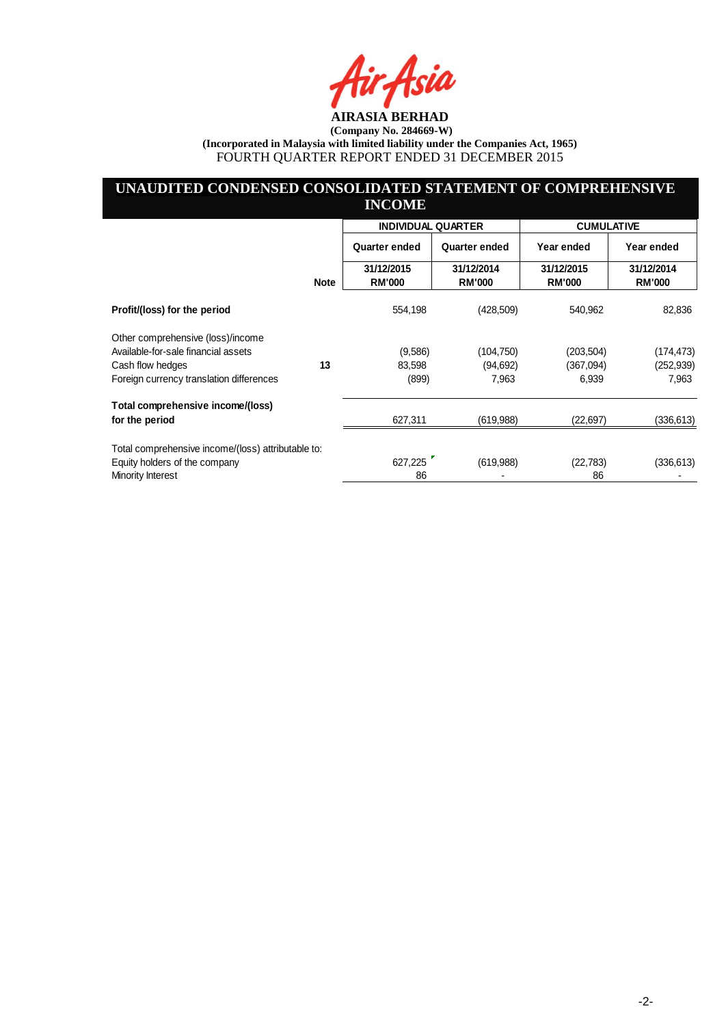ksia

# **UNAUDITED CONDENSED CONSOLIDATED STATEMENT OF COMPREHENSIVE INCOME**

|                                                    |             | <b>INDIVIDUAL QUARTER</b> |               | <b>CUMULATIVE</b> |               |
|----------------------------------------------------|-------------|---------------------------|---------------|-------------------|---------------|
|                                                    |             | Quarter ended             | Quarter ended | Year ended        | Year ended    |
|                                                    |             | 31/12/2015                | 31/12/2014    | 31/12/2015        | 31/12/2014    |
|                                                    | <b>Note</b> | <b>RM'000</b>             | <b>RM'000</b> | <b>RM'000</b>     | <b>RM'000</b> |
| Profit/(loss) for the period                       |             | 554,198                   | (428, 509)    | 540,962           | 82,836        |
| Other comprehensive (loss)/income                  |             |                           |               |                   |               |
| Available-for-sale financial assets                |             | (9,586)                   | (104, 750)    | (203, 504)        | (174,473)     |
| Cash flow hedges                                   | 13          | 83,598                    | (94,692)      | (367,094)         | (252,939)     |
| Foreign currency translation differences           |             | (899)                     | 7,963         | 6,939             | 7,963         |
| Total comprehensive income/(loss)                  |             |                           |               |                   |               |
| for the period                                     |             | 627,311                   | (619,988)     | (22,697)          | (336,613)     |
| Total comprehensive income/(loss) attributable to: |             |                           |               |                   |               |
| Equity holders of the company                      |             | 627,225                   | (619,988)     | (22, 783)         | (336, 613)    |
| Minority Interest                                  |             | 86                        |               | 86                |               |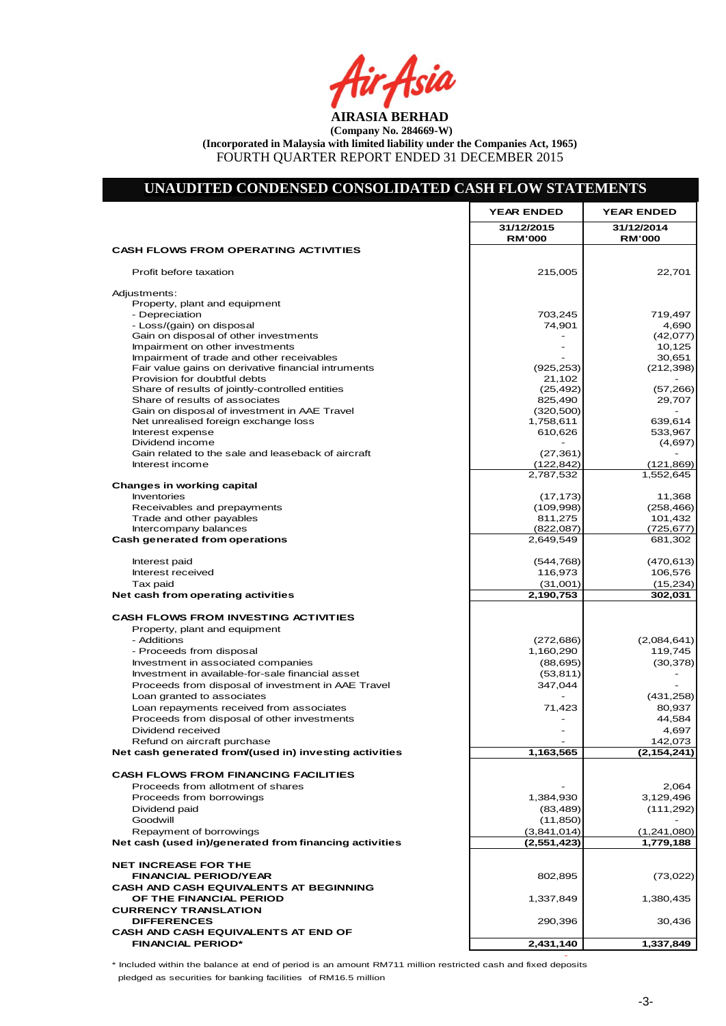**AFTY Asia** 

# **UNAUDITED CONDENSED CONSOLIDATED CASH FLOW STATEMENTS**

|                                                                                       | <b>YEAR ENDED</b>                | <b>YEAR ENDED</b>           |
|---------------------------------------------------------------------------------------|----------------------------------|-----------------------------|
|                                                                                       | 31/12/2015<br><b>RM'000</b>      | 31/12/2014<br><b>RM'000</b> |
| <b>CASH FLOWS FROM OPERATING ACTIVITIES</b>                                           |                                  |                             |
| Profit before taxation                                                                | 215,005                          | 22,701                      |
| Adjustments:                                                                          |                                  |                             |
| Property, plant and equipment                                                         |                                  |                             |
| - Depreciation                                                                        | 703,245                          | 719,497                     |
| - Loss/(gain) on disposal                                                             | 74,901                           | 4,690                       |
| Gain on disposal of other investments<br>Impairment on other investments              | $\overline{a}$<br>$\overline{a}$ | (42,077)<br>10,125          |
| Impairment of trade and other receivables                                             | $\blacksquare$                   | 30,651                      |
| Fair value gains on derivative financial intruments                                   | (925, 253)                       | (212, 398)                  |
| Provision for doubtful debts                                                          | 21,102                           |                             |
| Share of results of jointly-controlled entities                                       | (25, 492)                        | (57, 266)                   |
| Share of results of associates                                                        | 825,490                          | 29,707                      |
| Gain on disposal of investment in AAE Travel                                          | (320, 500)                       |                             |
| Net unrealised foreign exchange loss<br>Interest expense                              | 1,758,611<br>610,626             | 639,614<br>533,967          |
| Dividend income                                                                       |                                  | (4,697)                     |
| Gain related to the sale and leaseback of aircraft                                    | (27, 361)                        |                             |
| Interest income                                                                       | (122, 842)                       | (121, 869)                  |
|                                                                                       | 2,787,532                        | 1,552,645                   |
| Changes in working capital                                                            |                                  |                             |
| Inventories                                                                           | (17, 173)                        | 11,368                      |
| Receivables and prepayments                                                           | (109, 998)                       | (258, 466)                  |
| Trade and other payables                                                              | 811,275                          | 101,432                     |
| Intercompany balances<br>Cash generated from operations                               | (822,087)<br>2,649,549           | (725, 677)<br>681,302       |
|                                                                                       |                                  |                             |
| Interest paid                                                                         | (544, 768)                       | (470, 613)                  |
| Interest received                                                                     | 116,973                          | 106,576                     |
| Tax paid                                                                              | (31,001)                         | (15, 234)                   |
| Net cash from operating activities                                                    | 2,190,753                        | 302,031                     |
| <b>CASH FLOWS FROM INVESTING ACTIVITIES</b>                                           |                                  |                             |
| Property, plant and equipment                                                         |                                  |                             |
| - Additions                                                                           | (272, 686)                       | (2,084,641)                 |
| - Proceeds from disposal                                                              | 1,160,290                        | 119,745                     |
| Investment in associated companies                                                    | (88, 695)                        | (30, 378)                   |
| Investment in available-for-sale financial asset                                      | (53, 811)                        |                             |
| Proceeds from disposal of investment in AAE Travel                                    | 347,044                          |                             |
| Loan granted to associates                                                            |                                  | (431, 258)                  |
| Loan repayments received from associates                                              | 71,423                           | 80,937                      |
| Proceeds from disposal of other investments                                           |                                  | 44,584                      |
| Dividend received                                                                     | $\blacksquare$                   | 4,697<br>142,073            |
| Refund on aircraft purchase<br>Net cash generated from/(used in) investing activities | 1,163,565                        | (2,154,241)                 |
|                                                                                       |                                  |                             |
| <b>CASH FLOWS FROM FINANCING FACILITIES</b>                                           |                                  |                             |
| Proceeds from allotment of shares                                                     |                                  | 2,064                       |
| Proceeds from borrowings                                                              | 1,384,930                        | 3,129,496                   |
| Dividend paid                                                                         | (83, 489)                        | (111, 292)                  |
| Goodwill                                                                              | (11, 850)                        |                             |
| Repayment of borrowings                                                               | (3,841,014)                      | (1,241,080)                 |
| Net cash (used in)/generated from financing activities                                | (2,551,423)                      | 1,779,188                   |
| <b>NET INCREASE FOR THE</b>                                                           |                                  |                             |
| <b>FINANCIAL PERIOD/YEAR</b>                                                          | 802,895                          | (73,022)                    |
| <b>CASH AND CASH EQUIVALENTS AT BEGINNING</b>                                         |                                  |                             |
| OF THE FINANCIAL PERIOD                                                               | 1,337,849                        | 1,380,435                   |
| <b>CURRENCY TRANSLATION</b>                                                           |                                  |                             |
| <b>DIFFERENCES</b>                                                                    | 290,396                          | 30,436                      |
| CASH AND CASH EQUIVALENTS AT END OF                                                   |                                  |                             |
| <b>FINANCIAL PERIOD*</b>                                                              | 2,431,140                        | 1,337,849                   |

\* Included within the balance at end of period is an amount RM711 million restricted cash and fixed deposits

pledged as securities for banking facilities of RM16.5 million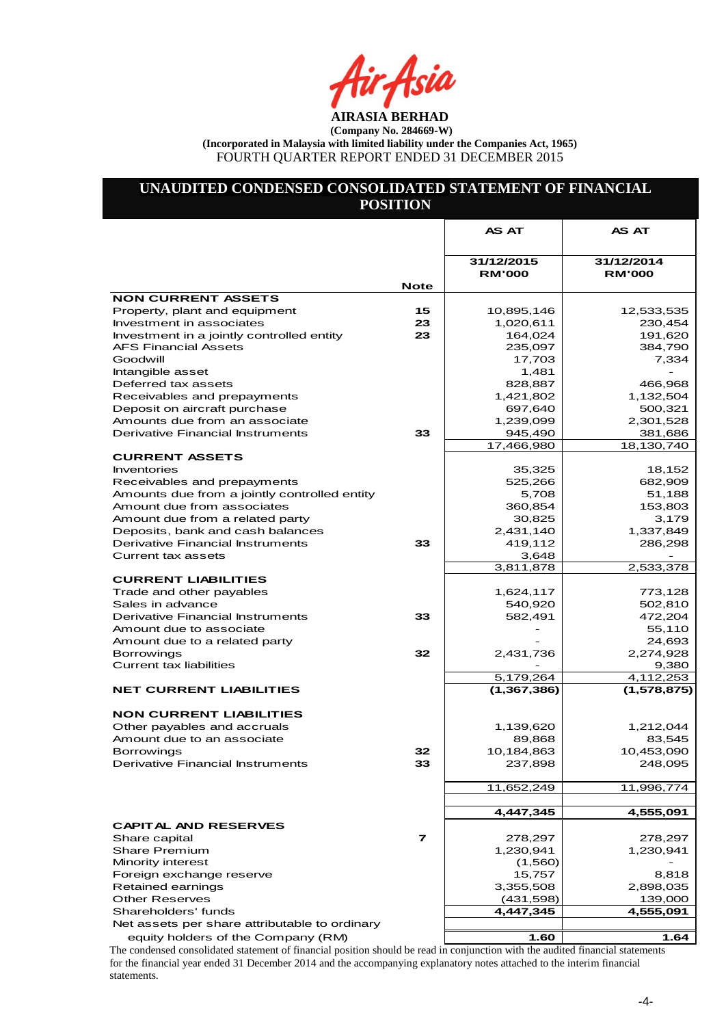ir Asia

# **UNAUDITED CONDENSED CONSOLIDATED STATEMENT OF FINANCIAL POSITION**

|                                               |             | <b>AS AT</b>                | AS AT                       |
|-----------------------------------------------|-------------|-----------------------------|-----------------------------|
|                                               |             |                             |                             |
|                                               |             | 31/12/2015<br><b>RM'000</b> | 31/12/2014<br><b>RM'000</b> |
|                                               | <b>Note</b> |                             |                             |
| <b>NON CURRENT ASSETS</b>                     |             |                             |                             |
| Property, plant and equipment                 | 15          | 10,895,146                  | 12,533,535                  |
| Investment in associates                      | 23          | 1,020,611                   | 230,454                     |
| Investment in a jointly controlled entity     | 23          | 164,024                     | 191,620                     |
| AFS Financial Assets                          |             | 235,097                     | 384,790                     |
| Goodwill                                      |             | 17,703                      | 7,334                       |
| Intangible asset                              |             | 1,481                       |                             |
| Deferred tax assets                           |             | 828,887                     | 466,968                     |
| Receivables and prepayments                   |             | 1,421,802                   | 1,132,504                   |
| Deposit on aircraft purchase                  |             | 697,640                     | 500,321                     |
| Amounts due from an associate                 |             | 1,239,099                   | 2,301,528                   |
| Derivative Financial Instruments              | 33          | 945,490                     | 381,686                     |
|                                               |             | 17,466,980                  | 18,130,740                  |
| <b>CURRENT ASSETS</b>                         |             |                             |                             |
| Inventories                                   |             | 35,325                      | 18,152                      |
| Receivables and prepayments                   |             | 525,266                     | 682,909                     |
| Amounts due from a jointly controlled entity  |             | 5,708                       | 51,188                      |
| Amount due from associates                    |             | 360,854                     | 153,803                     |
| Amount due from a related party               |             | 30,825                      | 3,179                       |
| Deposits, bank and cash balances              |             | 2,431,140                   | 1,337,849                   |
| Derivative Financial Instruments              | 33          | 419,112                     | 286,298                     |
| Current tax assets                            |             | 3,648                       |                             |
|                                               |             | 3,811,878                   | 2,533,378                   |
| <b>CURRENT LIABILITIES</b>                    |             |                             |                             |
| Trade and other payables                      |             | 1,624,117                   | 773,128                     |
| Sales in advance                              |             | 540,920                     | 502,810                     |
| Derivative Financial Instruments              | 33          | 582,491                     | 472,204                     |
| Amount due to associate                       |             |                             | 55,110                      |
| Amount due to a related party                 |             |                             | 24,693                      |
| Borrowings                                    | 32          | 2,431,736                   | 2,274,928                   |
| <b>Current tax liabilities</b>                |             |                             | 9,380                       |
|                                               |             | 5,179,264                   | 4,112,253                   |
| <b>NET CURRENT LIABILITIES</b>                |             | (1, 367, 386)               | (1, 578, 875)               |
| <b>NON CURRENT LIABILITIES</b>                |             |                             |                             |
| Other payables and accruals                   |             | 1,139,620                   | 1,212,044                   |
| Amount due to an associate                    |             | 89,868                      | 83,545                      |
| Borrowings                                    | 32          | 10,184,863                  | 10,453,090                  |
| Derivative Financial Instruments              | 33          | 237,898                     | 248,095                     |
|                                               |             |                             |                             |
|                                               |             | 11,652,249                  | 11,996,774                  |
|                                               |             |                             |                             |
|                                               |             | 4,447,345                   | 4,555,091                   |
| <b>CAPITAL AND RESERVES</b>                   |             |                             |                             |
| Share capital                                 | 7           | 278,297                     | 278,297                     |
| <b>Share Premium</b>                          |             | 1,230,941                   | 1,230,941                   |
| Minority interest                             |             | (1,560)                     |                             |
| Foreign exchange reserve                      |             | 15,757                      | 8,818                       |
| Retained earnings                             |             | 3,355,508                   | 2,898,035                   |
| <b>Other Reserves</b>                         |             | (431, 598)                  | 139,000                     |
| Shareholders' funds                           |             | 4,447,345                   | 4,555,091                   |
| Net assets per share attributable to ordinary |             |                             |                             |
| equity holders of the Company (RM)            |             | 1.60                        | 1.64                        |

The condensed consolidated statement of financial position should be read in conjunction with the audited financial statements for the financial year ended 31 December 2014 and the accompanying explanatory notes attached to the interim financial statements.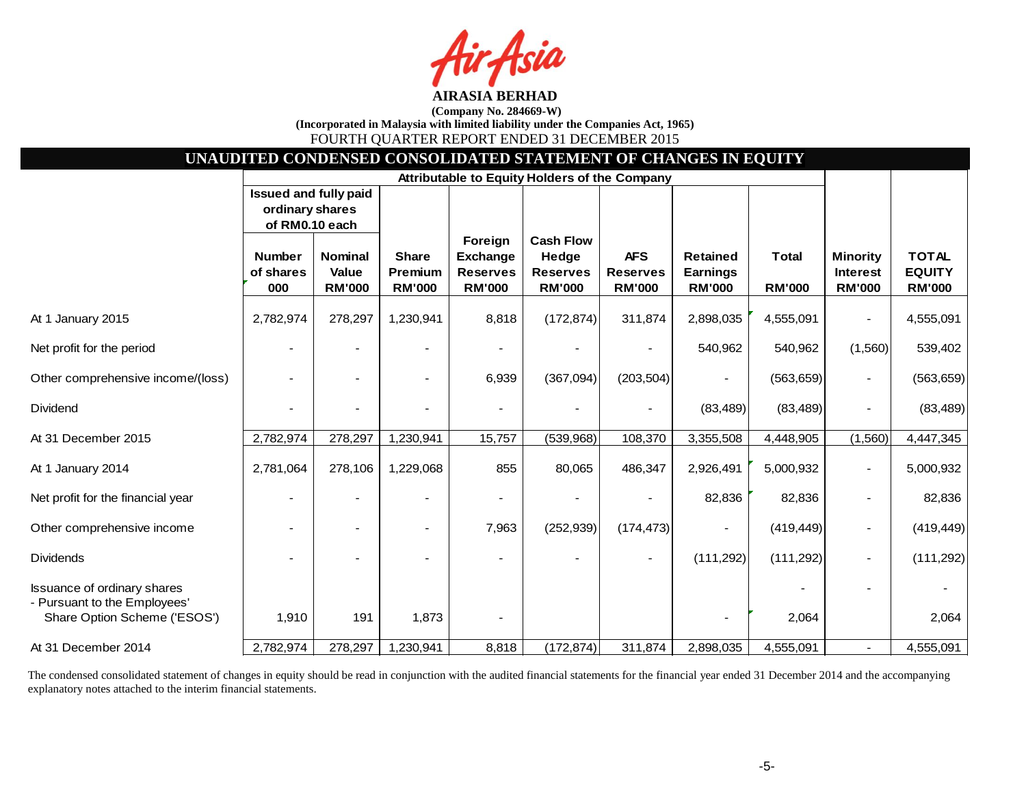ja

| UNAUDITED CONDENSED CONSOLIDATED STATEMENT OF CHANGES IN EQUITY                                    |                                                            |                                          |                                                 |                                                                |                                                               |                                                |                                                     |                               |                                                     |                                                |
|----------------------------------------------------------------------------------------------------|------------------------------------------------------------|------------------------------------------|-------------------------------------------------|----------------------------------------------------------------|---------------------------------------------------------------|------------------------------------------------|-----------------------------------------------------|-------------------------------|-----------------------------------------------------|------------------------------------------------|
|                                                                                                    |                                                            |                                          |                                                 |                                                                | Attributable to Equity Holders of the Company                 |                                                |                                                     |                               |                                                     |                                                |
|                                                                                                    | Issued and fully paid<br>ordinary shares<br>of RM0.10 each |                                          |                                                 |                                                                |                                                               |                                                |                                                     |                               |                                                     |                                                |
|                                                                                                    | <b>Number</b><br>of shares<br>000                          | <b>Nominal</b><br>Value<br><b>RM'000</b> | <b>Share</b><br><b>Premium</b><br><b>RM'000</b> | Foreign<br><b>Exchange</b><br><b>Reserves</b><br><b>RM'000</b> | <b>Cash Flow</b><br>Hedge<br><b>Reserves</b><br><b>RM'000</b> | <b>AFS</b><br><b>Reserves</b><br><b>RM'000</b> | <b>Retained</b><br><b>Earnings</b><br><b>RM'000</b> | <b>Total</b><br><b>RM'000</b> | <b>Minority</b><br><b>Interest</b><br><b>RM'000</b> | <b>TOTAL</b><br><b>EQUITY</b><br><b>RM'000</b> |
| At 1 January 2015                                                                                  | 2,782,974                                                  | 278,297                                  | 1,230,941                                       | 8,818                                                          | (172, 874)                                                    | 311,874                                        | 2,898,035                                           | 4,555,091                     |                                                     | 4,555,091                                      |
| Net profit for the period                                                                          |                                                            |                                          |                                                 |                                                                |                                                               |                                                | 540,962                                             | 540,962                       | (1,560)                                             | 539,402                                        |
| Other comprehensive income/(loss)                                                                  |                                                            |                                          |                                                 | 6,939                                                          | (367,094)                                                     | (203, 504)                                     |                                                     | (563, 659)                    |                                                     | (563, 659)                                     |
| Dividend                                                                                           |                                                            |                                          |                                                 |                                                                |                                                               |                                                | (83, 489)                                           | (83, 489)                     |                                                     | (83, 489)                                      |
| At 31 December 2015                                                                                | 2,782,974                                                  | 278,297                                  | 1,230,941                                       | 15,757                                                         | (539,968)                                                     | 108,370                                        | 3,355,508                                           | 4,448,905                     | (1,560)                                             | 4,447,345                                      |
| At 1 January 2014                                                                                  | 2,781,064                                                  | 278,106                                  | 1,229,068                                       | 855                                                            | 80,065                                                        | 486,347                                        | 2,926,491                                           | 5,000,932                     |                                                     | 5,000,932                                      |
| Net profit for the financial year                                                                  |                                                            |                                          |                                                 |                                                                |                                                               |                                                | 82,836                                              | 82,836                        |                                                     | 82,836                                         |
| Other comprehensive income                                                                         |                                                            |                                          |                                                 | 7,963                                                          | (252, 939)                                                    | (174, 473)                                     |                                                     | (419, 449)                    |                                                     | (419, 449)                                     |
| <b>Dividends</b>                                                                                   |                                                            |                                          |                                                 |                                                                |                                                               |                                                | (111, 292)                                          | (111, 292)                    |                                                     | (111, 292)                                     |
| <b>Issuance of ordinary shares</b><br>- Pursuant to the Employees'<br>Share Option Scheme ('ESOS') | 1,910                                                      | 191                                      | 1,873                                           |                                                                |                                                               |                                                |                                                     | 2,064                         |                                                     | 2,064                                          |
| At 31 December 2014                                                                                | 2,782,974                                                  | 278,297                                  | 1,230,941                                       | 8,818                                                          | (172, 874)                                                    | 311,874                                        | 2,898,035                                           | 4,555,091                     | $\sim$                                              | 4,555,091                                      |

The condensed consolidated statement of changes in equity should be read in conjunction with the audited financial statements for the financial year ended 31 December 2014 and the accompanying explanatory notes attached to the interim financial statements.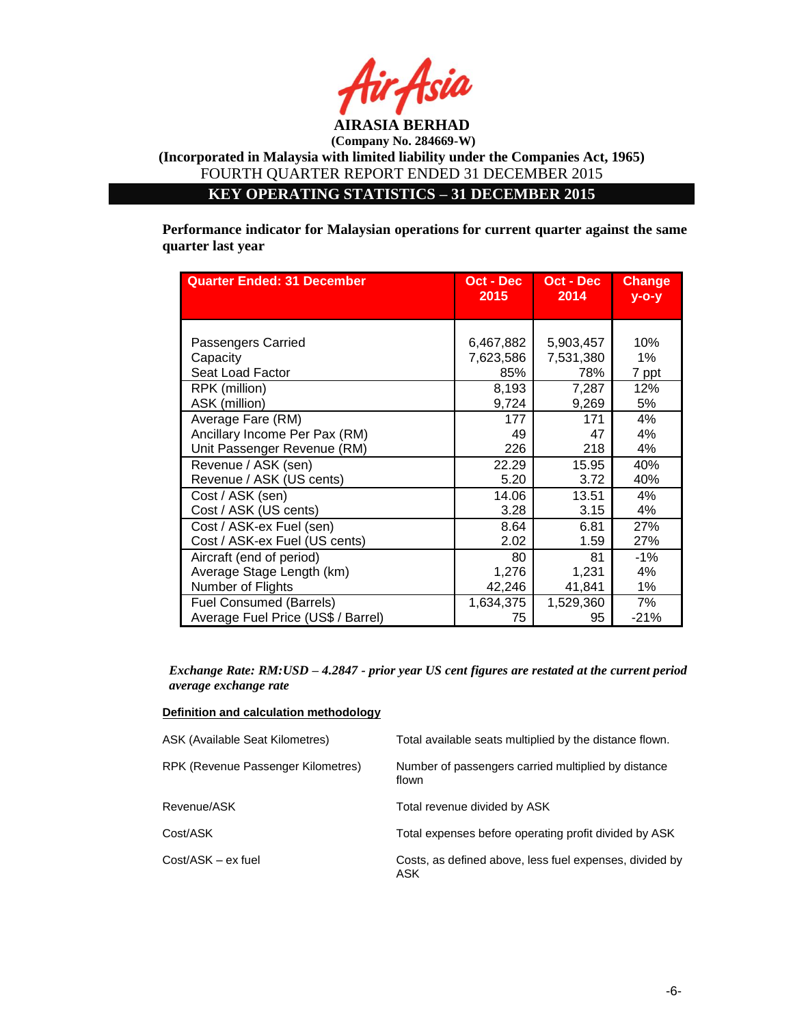

**KEY OPERATING STATISTICS – 31 DECEMBER 2015**

**Performance indicator for Malaysian operations for current quarter against the same quarter last year**

| <b>Quarter Ended: 31 December</b>  | Oct - Dec<br>2015 | Oct - Dec<br>2014 | <b>Change</b><br>$y$ -o-y |
|------------------------------------|-------------------|-------------------|---------------------------|
|                                    |                   |                   |                           |
| Passengers Carried                 | 6,467,882         | 5,903,457         | 10%                       |
| Capacity                           | 7,623,586         | 7,531,380         | 1%                        |
| Seat Load Factor                   | 85%               | 78%               | 7 ppt                     |
| RPK (million)                      | 8,193             | 7,287             | 12%                       |
| ASK (million)                      | 9,724             | 9,269             | 5%                        |
| Average Fare (RM)                  | 177               | 171               | 4%                        |
| Ancillary Income Per Pax (RM)      | 49                | 47                | 4%                        |
| Unit Passenger Revenue (RM)        | 226               | 218               | 4%                        |
| Revenue / ASK (sen)                | 22.29             | 15.95             | 40%                       |
| Revenue / ASK (US cents)           | 5.20              | 3.72              | 40%                       |
| Cost / ASK (sen)                   | 14.06             | 13.51             | 4%                        |
| Cost / ASK (US cents)              | 3.28              | 3.15              | 4%                        |
| Cost / ASK-ex Fuel (sen)           | 8.64              | 6.81              | 27%                       |
| Cost / ASK-ex Fuel (US cents)      | 2.02              | 1.59              | 27%                       |
| Aircraft (end of period)           | 80                | 81                | $-1%$                     |
| Average Stage Length (km)          | 1,276             | 1,231             | 4%                        |
| Number of Flights                  | 42,246            | 41,841            | 1%                        |
| <b>Fuel Consumed (Barrels)</b>     | 1,634,375         | 1,529,360         | 7%                        |
| Average Fuel Price (US\$ / Barrel) | 75                | 95                | $-21%$                    |

*Exchange Rate: RM:USD – 4.2847 - prior year US cent figures are restated at the current period average exchange rate*

#### **Definition and calculation methodology**

| ASK (Available Seat Kilometres)    | Total available seats multiplied by the distance flown.        |
|------------------------------------|----------------------------------------------------------------|
| RPK (Revenue Passenger Kilometres) | Number of passengers carried multiplied by distance<br>flown   |
| Revenue/ASK                        | Total revenue divided by ASK                                   |
| Cost/ASK                           | Total expenses before operating profit divided by ASK          |
| Cost/ASK - ex fuel                 | Costs, as defined above, less fuel expenses, divided by<br>ASK |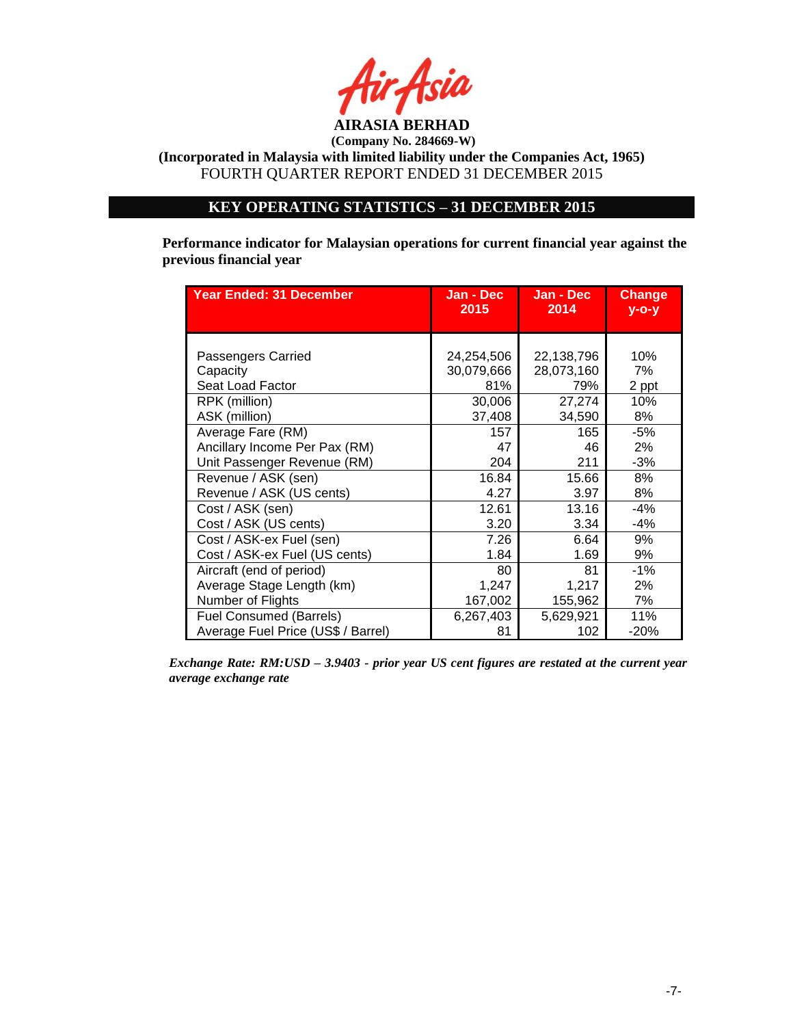

**(Incorporated in Malaysia with limited liability under the Companies Act, 1965)** FOURTH QUARTER REPORT ENDED 31 DECEMBER 2015

# **KEY OPERATING STATISTICS – 31 DECEMBER 2015**

**Performance indicator for Malaysian operations for current financial year against the previous financial year**

| <b>Year Ended: 31 December</b>     | Jan - Dec<br>2015 | Jan - Dec<br>2014 | <b>Change</b><br>$V - O - V$ |
|------------------------------------|-------------------|-------------------|------------------------------|
|                                    |                   |                   |                              |
| Passengers Carried                 | 24,254,506        | 22,138,796        | 10%                          |
| Capacity                           | 30,079,666        | 28,073,160        | 7%                           |
| Seat Load Factor                   | 81%               | 79%               | 2 ppt                        |
| RPK (million)                      | 30,006            | 27,274            | 10%                          |
| ASK (million)                      | 37,408            | 34,590            | 8%                           |
| Average Fare (RM)                  | 157               | 165               | -5%                          |
| Ancillary Income Per Pax (RM)      | 47                | 46                | 2%                           |
| Unit Passenger Revenue (RM)        | 204               | 211               | $-3%$                        |
| Revenue / ASK (sen)                | 16.84             | 15.66             | 8%                           |
| Revenue / ASK (US cents)           | 4.27              | 3.97              | 8%                           |
| Cost / ASK (sen)                   | 12.61             | 13.16             | $-4%$                        |
| Cost / ASK (US cents)              | 3.20              | 3.34              | $-4%$                        |
| Cost / ASK-ex Fuel (sen)           | 7.26              | 6.64              | 9%                           |
| Cost / ASK-ex Fuel (US cents)      | 1.84              | 1.69              | 9%                           |
| Aircraft (end of period)           | 80                | 81                | $-1%$                        |
| Average Stage Length (km)          | 1,247             | 1,217             | 2%                           |
| Number of Flights                  | 167,002           | 155,962           | 7%                           |
| <b>Fuel Consumed (Barrels)</b>     | 6,267,403         | 5,629,921         | 11%                          |
| Average Fuel Price (US\$ / Barrel) | 81                | 102               | $-20%$                       |

*Exchange Rate: RM:USD – 3.9403 - prior year US cent figures are restated at the current year average exchange rate*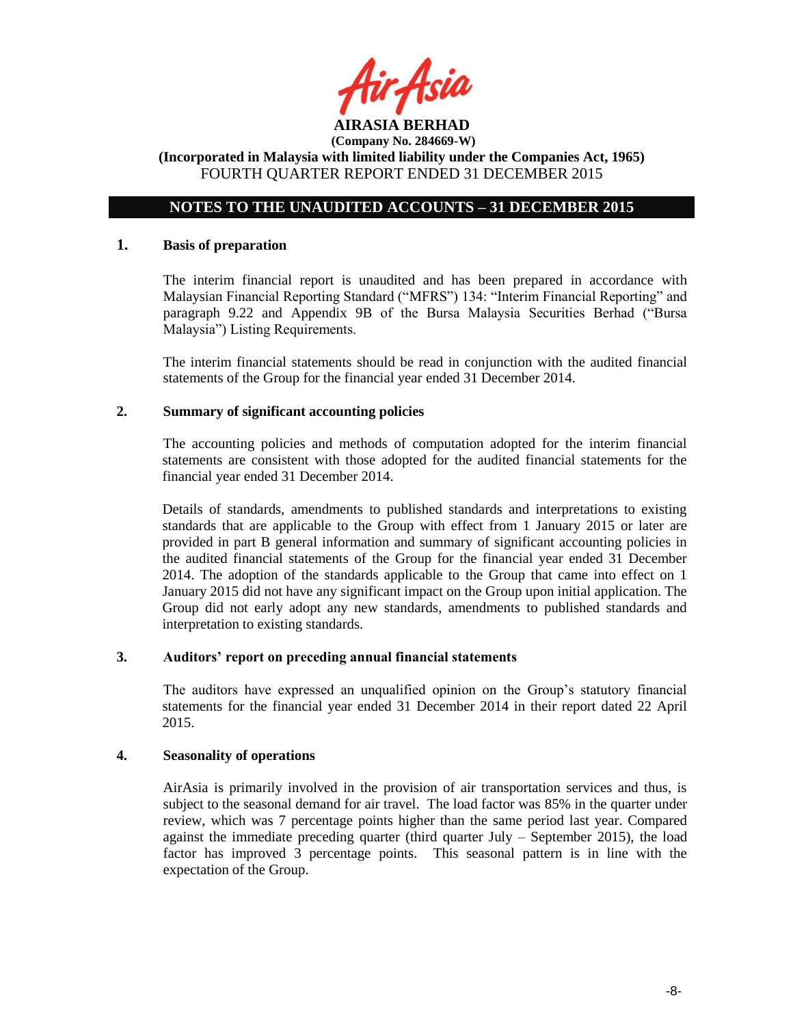

# **NOTES TO THE UNAUDITED ACCOUNTS – 31 DECEMBER 2015**

### **1. Basis of preparation**

The interim financial report is unaudited and has been prepared in accordance with Malaysian Financial Reporting Standard ("MFRS") 134: "Interim Financial Reporting" and paragraph 9.22 and Appendix 9B of the Bursa Malaysia Securities Berhad ("Bursa Malaysia") Listing Requirements.

The interim financial statements should be read in conjunction with the audited financial statements of the Group for the financial year ended 31 December 2014.

#### **2. Summary of significant accounting policies**

The accounting policies and methods of computation adopted for the interim financial statements are consistent with those adopted for the audited financial statements for the financial year ended 31 December 2014.

Details of standards, amendments to published standards and interpretations to existing standards that are applicable to the Group with effect from 1 January 2015 or later are provided in part B general information and summary of significant accounting policies in the audited financial statements of the Group for the financial year ended 31 December 2014. The adoption of the standards applicable to the Group that came into effect on 1 January 2015 did not have any significant impact on the Group upon initial application. The Group did not early adopt any new standards, amendments to published standards and interpretation to existing standards.

#### **3. Auditors' report on preceding annual financial statements**

The auditors have expressed an unqualified opinion on the Group's statutory financial statements for the financial year ended 31 December 2014 in their report dated 22 April 2015.

### **4. Seasonality of operations**

AirAsia is primarily involved in the provision of air transportation services and thus, is subject to the seasonal demand for air travel. The load factor was 85% in the quarter under review, which was 7 percentage points higher than the same period last year. Compared against the immediate preceding quarter (third quarter July  $-$  September 2015), the load factor has improved 3 percentage points. This seasonal pattern is in line with the expectation of the Group.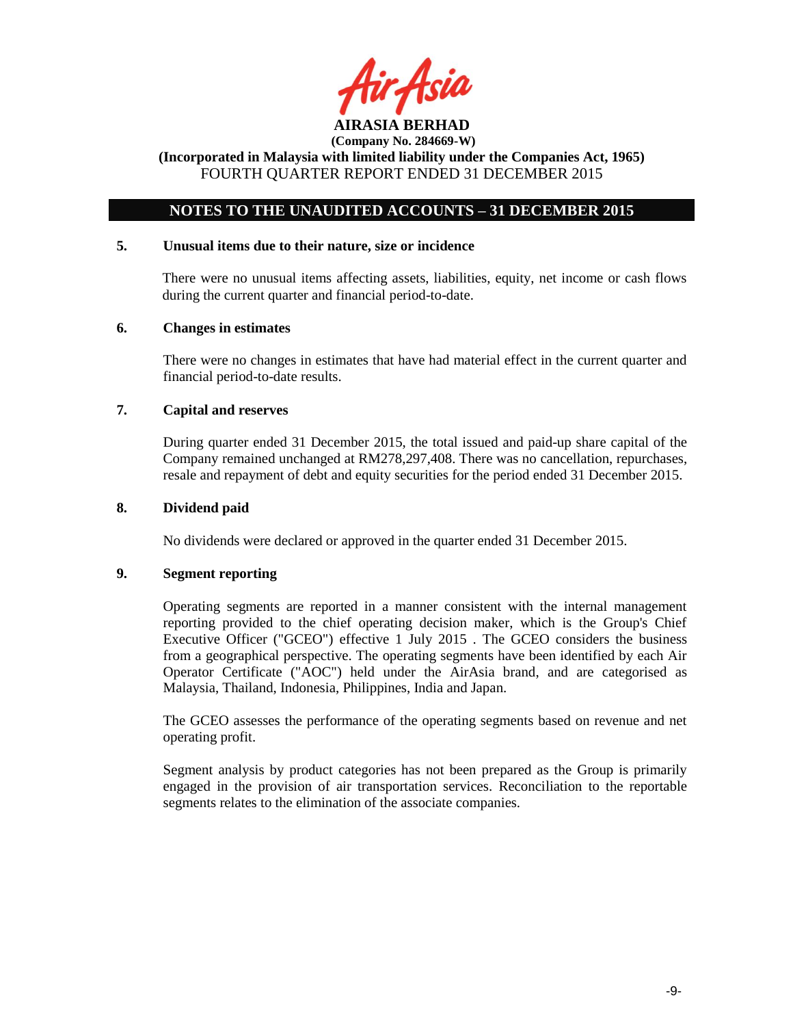

# **NOTES TO THE UNAUDITED ACCOUNTS – 31 DECEMBER 2015**

## **5. Unusual items due to their nature, size or incidence**

There were no unusual items affecting assets, liabilities, equity, net income or cash flows during the current quarter and financial period-to-date.

### **6. Changes in estimates**

There were no changes in estimates that have had material effect in the current quarter and financial period-to-date results.

### **7. Capital and reserves**

During quarter ended 31 December 2015, the total issued and paid-up share capital of the Company remained unchanged at RM278,297,408. There was no cancellation, repurchases, resale and repayment of debt and equity securities for the period ended 31 December 2015.

#### **8. Dividend paid**

No dividends were declared or approved in the quarter ended 31 December 2015.

### **9. Segment reporting**

Operating segments are reported in a manner consistent with the internal management reporting provided to the chief operating decision maker, which is the Group's Chief Executive Officer ("GCEO") effective 1 July 2015 . The GCEO considers the business from a geographical perspective. The operating segments have been identified by each Air Operator Certificate ("AOC") held under the AirAsia brand, and are categorised as Malaysia, Thailand, Indonesia, Philippines, India and Japan.

The GCEO assesses the performance of the operating segments based on revenue and net operating profit.

Segment analysis by product categories has not been prepared as the Group is primarily engaged in the provision of air transportation services. Reconciliation to the reportable segments relates to the elimination of the associate companies.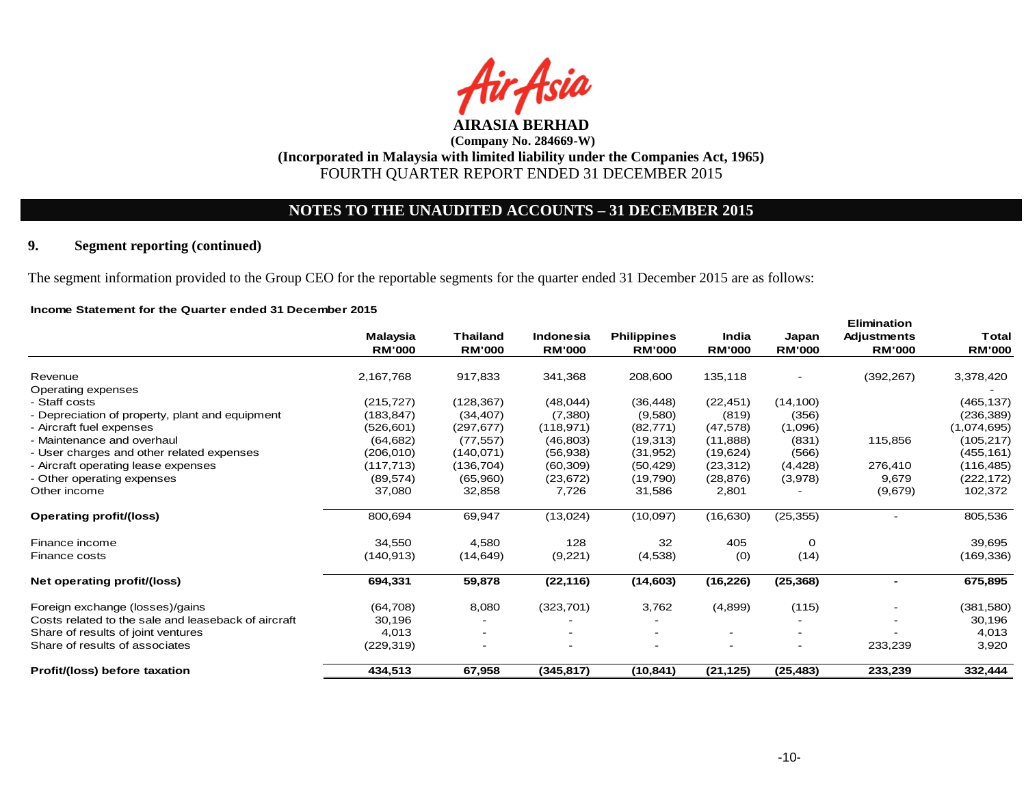

# **NOTES TO THE UNAUDITED ACCOUNTS – 31 DECEMBER 2015**

# **9. Segment reporting (continued)**

The segment information provided to the Group CEO for the reportable segments for the quarter ended 31 December 2015 are as follows:

#### **Income Statement for the Quarter ended 31 December 2015**

|                                                     |               |                 |               |                    |               |                          | <b>EIIIIIIII</b> auvii |               |
|-----------------------------------------------------|---------------|-----------------|---------------|--------------------|---------------|--------------------------|------------------------|---------------|
|                                                     | Malaysia      | <b>Thailand</b> | Indonesia     | <b>Philippines</b> | India         | Japan                    | <b>Adjustments</b>     | <b>Total</b>  |
|                                                     | <b>RM'000</b> | <b>RM'000</b>   | <b>RM'000</b> | <b>RM'000</b>      | <b>RM'000</b> | <b>RM'000</b>            | <b>RM'000</b>          | <b>RM'000</b> |
| Revenue                                             | 2,167,768     | 917,833         | 341,368       | 208,600            | 135,118       |                          | (392, 267)             | 3,378,420     |
| Operating expenses                                  |               |                 |               |                    |               |                          |                        |               |
| - Staff costs                                       | (215, 727)    | (128, 367)      | (48,044)      | (36, 448)          | (22, 451)     | (14, 100)                |                        | (465, 137)    |
| - Depreciation of property, plant and equipment     | (183, 847)    | (34, 407)       | (7,380)       | (9,580)            | (819)         | (356)                    |                        | (236, 389)    |
| - Aircraft fuel expenses                            | (526, 601)    | (297, 677)      | (118, 971)    | (82, 771)          | (47, 578)     | (1,096)                  |                        | (1,074,695)   |
| - Maintenance and overhaul                          | (64, 682)     | (77, 557)       | (46, 803)     | (19,313)           | (11, 888)     | (831)                    | 115,856                | (105, 217)    |
| - User charges and other related expenses           | (206, 010)    | (140, 071)      | (56, 938)     | (31, 952)          | (19, 624)     | (566)                    |                        | (455, 161)    |
| - Aircraft operating lease expenses                 | (117, 713)    | (136, 704)      | (60, 309)     | (50, 429)          | (23, 312)     | (4, 428)                 | 276,410                | (116, 485)    |
| - Other operating expenses                          | (89, 574)     | (65,960)        | (23, 672)     | (19,790)           | (28, 876)     | (3,978)                  | 9,679                  | (222, 172)    |
| Other income                                        | 37,080        | 32,858          | 7,726         | 31,586             | 2,801         |                          | (9,679)                | 102,372       |
| <b>Operating profit/(loss)</b>                      | 800,694       | 69,947          | (13,024)      | (10,097)           | (16, 630)     | (25, 355)                |                        | 805,536       |
| Finance income                                      | 34,550        | 4,580           | 128           | 32                 | 405           | 0                        |                        | 39,695        |
| <b>Finance costs</b>                                | (140, 913)    | (14, 649)       | (9,221)       | (4,538)            | (0)           | (14)                     |                        | (169, 336)    |
| Net operating profit/(loss)                         | 694,331       | 59,878          | (22, 116)     | (14, 603)          | (16, 226)     | (25, 368)                |                        | 675,895       |
| Foreign exchange (losses)/gains                     | (64, 708)     | 8,080           | (323, 701)    | 3,762              | (4,899)       | (115)                    |                        | (381, 580)    |
| Costs related to the sale and leaseback of aircraft | 30,196        |                 |               |                    |               |                          |                        | 30,196        |
| Share of results of joint ventures                  | 4,013         |                 |               |                    |               |                          |                        | 4,013         |
| Share of results of associates                      | (229, 319)    |                 |               |                    |               | $\overline{\phantom{a}}$ | 233,239                | 3,920         |
| Profit/(loss) before taxation                       | 434,513       | 67,958          | (345, 817)    | (10, 841)          | (21, 125)     | (25, 483)                | 233,239                | 332,444       |

**Elimination**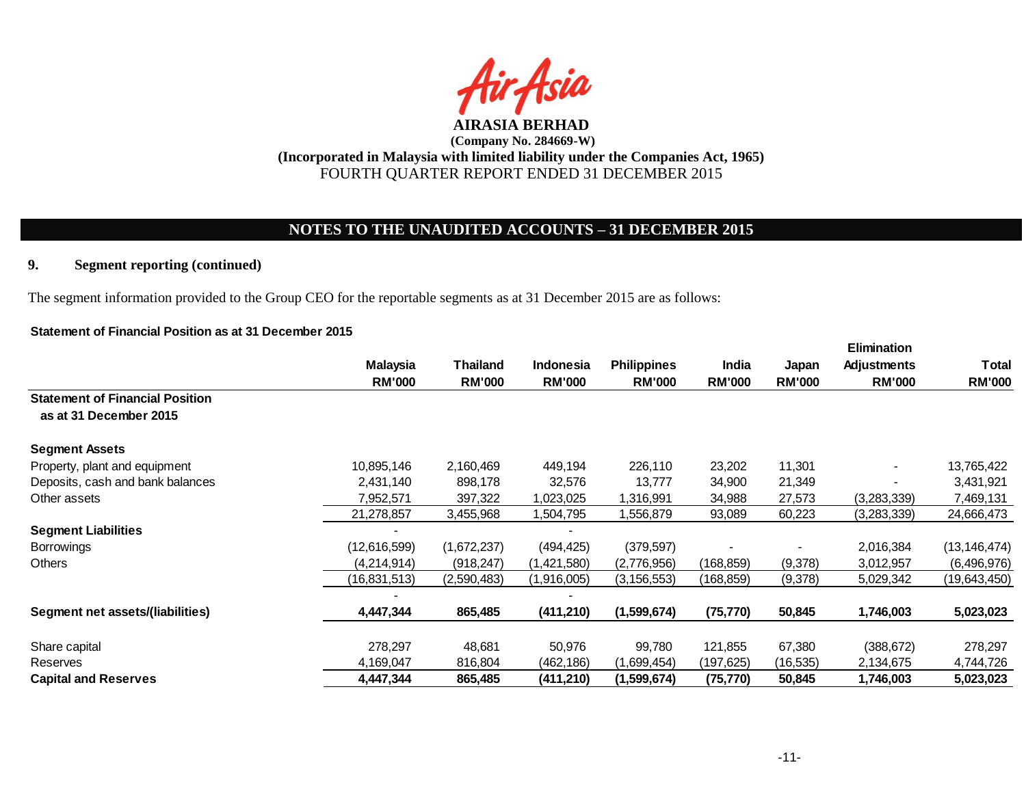

# **NOTES TO THE UNAUDITED ACCOUNTS – 31 DECEMBER 2015**

## **9. Segment reporting (continued)**

The segment information provided to the Group CEO for the reportable segments as at 31 December 2015 are as follows:

## **Statement of Financial Position as at 31 December 2015**

|                                                                  |                 |               |               |                    |               |               | <b>Elimination</b> |                |
|------------------------------------------------------------------|-----------------|---------------|---------------|--------------------|---------------|---------------|--------------------|----------------|
|                                                                  | <b>Malaysia</b> | Thailand      | Indonesia     | <b>Philippines</b> | India         | Japan         | <b>Adjustments</b> | Total          |
|                                                                  | <b>RM'000</b>   | <b>RM'000</b> | <b>RM'000</b> | <b>RM'000</b>      | <b>RM'000</b> | <b>RM'000</b> | <b>RM'000</b>      | <b>RM'000</b>  |
| <b>Statement of Financial Position</b><br>as at 31 December 2015 |                 |               |               |                    |               |               |                    |                |
| <b>Segment Assets</b>                                            |                 |               |               |                    |               |               |                    |                |
| Property, plant and equipment                                    | 10,895,146      | 2,160,469     | 449,194       | 226,110            | 23,202        | 11,301        |                    | 13,765,422     |
| Deposits, cash and bank balances                                 | 2,431,140       | 898,178       | 32,576        | 13,777             | 34,900        | 21,349        |                    | 3,431,921      |
| Other assets                                                     | 7,952,571       | 397,322       | 1,023,025     | 1,316,991          | 34,988        | 27,573        | (3,283,339)        | 7,469,131      |
|                                                                  | 21,278,857      | 3,455,968     | ,504,795      | ,556,879           | 93,089        | 60,223        | (3,283,339)        | 24,666,473     |
| <b>Segment Liabilities</b>                                       |                 |               |               |                    |               |               |                    |                |
| <b>Borrowings</b>                                                | (12,616,599)    | (1,672,237)   | (494, 425)    | (379, 597)         |               |               | 2,016,384          | (13, 146, 474) |
| <b>Others</b>                                                    | (4,214,914)     | (918, 247)    | (1,421,580)   | (2,776,956)        | (168, 859)    | (9,378)       | 3,012,957          | (6,496,976)    |
|                                                                  | (16, 831, 513)  | (2,590,483)   | (1,916,005)   | (3, 156, 553)      | (168,859)     | (9,378)       | 5,029,342          | (19,643,450)   |
|                                                                  |                 |               |               |                    |               |               |                    |                |
| Segment net assets/(liabilities)                                 | 4,447,344       | 865,485       | (411, 210)    | (1,599,674)        | (75, 770)     | 50,845        | 1,746,003          | 5,023,023      |
|                                                                  |                 |               |               |                    |               |               |                    |                |
| Share capital                                                    | 278,297         | 48,681        | 50,976        | 99,780             | 121,855       | 67,380        | (388, 672)         | 278,297        |
| Reserves                                                         | 4,169,047       | 816,804       | (462, 186)    | (1,699,454)        | (197,625)     | (16, 535)     | 2,134,675          | 4,744,726      |
| <b>Capital and Reserves</b>                                      | 4,447,344       | 865,485       | (411, 210)    | (1,599,674)        | (75, 770)     | 50,845        | 1,746,003          | 5,023,023      |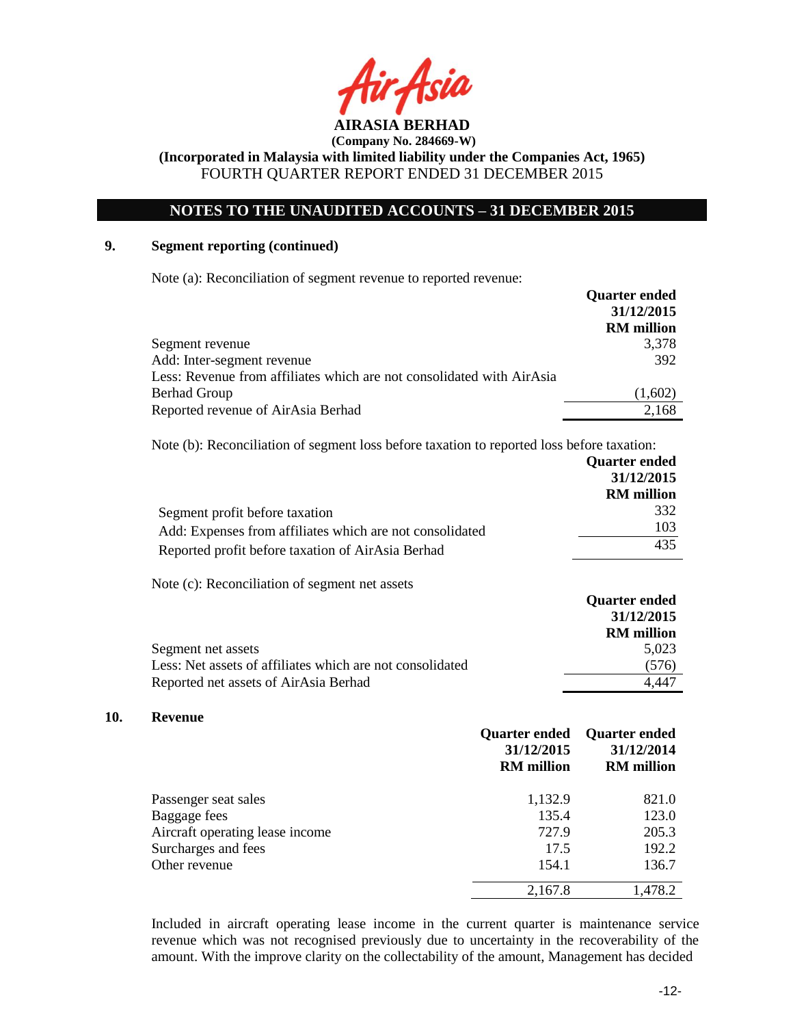

# **NOTES TO THE UNAUDITED ACCOUNTS – 31 DECEMBER 2015**

## **9. Segment reporting (continued)**

Note (a): Reconciliation of segment revenue to reported revenue:

|                                                                       | <b>Quarter ended</b> |
|-----------------------------------------------------------------------|----------------------|
|                                                                       | 31/12/2015           |
|                                                                       | <b>RM</b> million    |
| Segment revenue                                                       | 3,378                |
| Add: Inter-segment revenue                                            | 392                  |
| Less: Revenue from affiliates which are not consolidated with AirAsia |                      |
| <b>Berhad Group</b>                                                   | (1,602)              |
| Reported revenue of AirAsia Berhad                                    | 2,168                |

Note (b): Reconciliation of segment loss before taxation to reported loss before taxation:

|                                                          | <b>Quarter ended</b> |
|----------------------------------------------------------|----------------------|
|                                                          | 31/12/2015           |
|                                                          | <b>RM</b> million    |
| Segment profit before taxation                           | 332                  |
| Add: Expenses from affiliates which are not consolidated | 103                  |
| Reported profit before taxation of AirAsia Berhad        | 435                  |

Note (c): Reconciliation of segment net assets

|                                                           | <b>Quarter ended</b> |
|-----------------------------------------------------------|----------------------|
|                                                           | 31/12/2015           |
|                                                           | <b>RM</b> million    |
| Segment net assets                                        | 5.023                |
| Less: Net assets of affiliates which are not consolidated | (576)                |
| Reported net assets of AirAsia Berhad                     | 4.447                |

#### **10. Revenue**

|                                 | <b>Quarter ended</b><br>31/12/2015<br><b>RM</b> million | <b>Quarter ended</b><br>31/12/2014<br><b>RM</b> million |
|---------------------------------|---------------------------------------------------------|---------------------------------------------------------|
| Passenger seat sales            | 1,132.9                                                 | 821.0                                                   |
| Baggage fees                    | 135.4                                                   | 123.0                                                   |
| Aircraft operating lease income | 727.9                                                   | 205.3                                                   |
| Surcharges and fees             | 17.5                                                    | 192.2                                                   |
| Other revenue                   | 154.1                                                   | 136.7                                                   |
|                                 | 2,167.8                                                 | 1,478.2                                                 |

Included in aircraft operating lease income in the current quarter is maintenance service revenue which was not recognised previously due to uncertainty in the recoverability of the amount. With the improve clarity on the collectability of the amount, Management has decided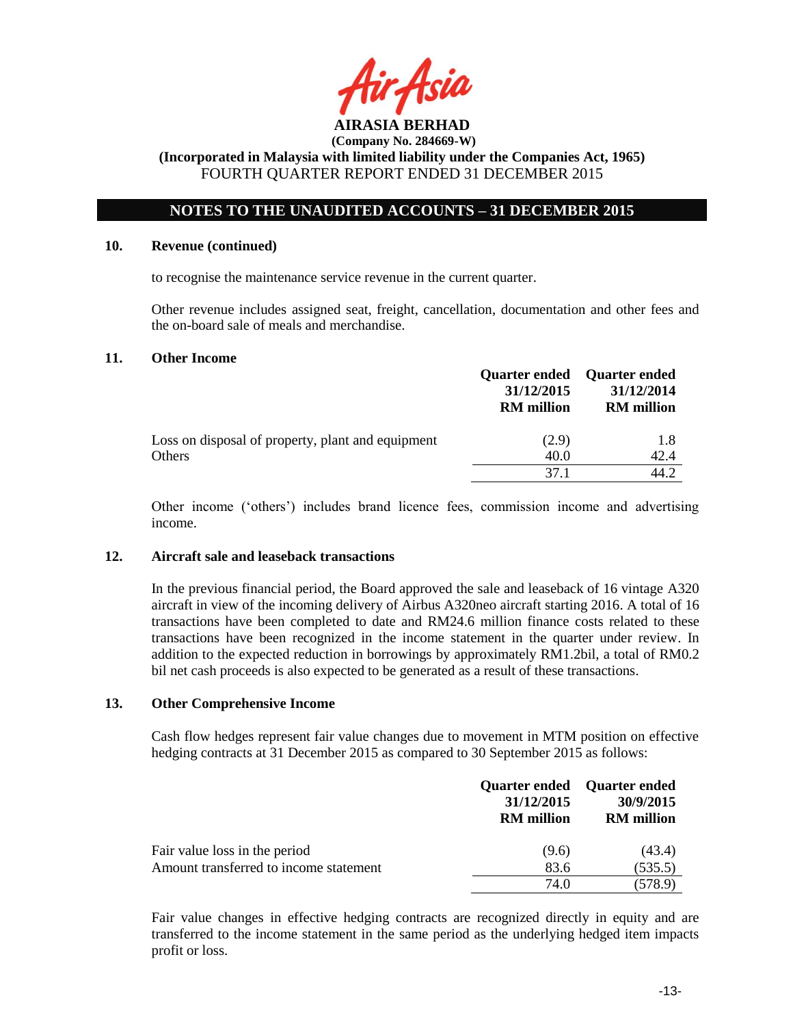

# **NOTES TO THE UNAUDITED ACCOUNTS – 31 DECEMBER 2015**

#### **10. Revenue (continued)**

to recognise the maintenance service revenue in the current quarter.

Other revenue includes assigned seat, freight, cancellation, documentation and other fees and the on-board sale of meals and merchandise.

#### **11. Other Income**

|                                                   | <b>Quarter ended</b><br>31/12/2015<br><b>RM</b> million | <b>Quarter ended</b><br>31/12/2014<br><b>RM</b> million |
|---------------------------------------------------|---------------------------------------------------------|---------------------------------------------------------|
| Loss on disposal of property, plant and equipment | (2.9)                                                   | 1.8                                                     |
| Others                                            | 40.0                                                    | 42.4                                                    |
|                                                   | 37 1                                                    | 14 Z                                                    |

Other income ('others') includes brand licence fees, commission income and advertising income.

### **12. Aircraft sale and leaseback transactions**

In the previous financial period, the Board approved the sale and leaseback of 16 vintage A320 aircraft in view of the incoming delivery of Airbus A320neo aircraft starting 2016. A total of 16 transactions have been completed to date and RM24.6 million finance costs related to these transactions have been recognized in the income statement in the quarter under review. In addition to the expected reduction in borrowings by approximately RM1.2bil, a total of RM0.2 bil net cash proceeds is also expected to be generated as a result of these transactions.

#### **13. Other Comprehensive Income**

Cash flow hedges represent fair value changes due to movement in MTM position on effective hedging contracts at 31 December 2015 as compared to 30 September 2015 as follows:

|                                        | 31/12/2015<br><b>RM</b> million | Quarter ended Quarter ended<br>30/9/2015<br><b>RM</b> million |
|----------------------------------------|---------------------------------|---------------------------------------------------------------|
| Fair value loss in the period          | (9.6)                           | (43.4)                                                        |
| Amount transferred to income statement | 83.6                            | (535.5)                                                       |
|                                        | 74.0                            | (578.9)                                                       |

Fair value changes in effective hedging contracts are recognized directly in equity and are transferred to the income statement in the same period as the underlying hedged item impacts profit or loss.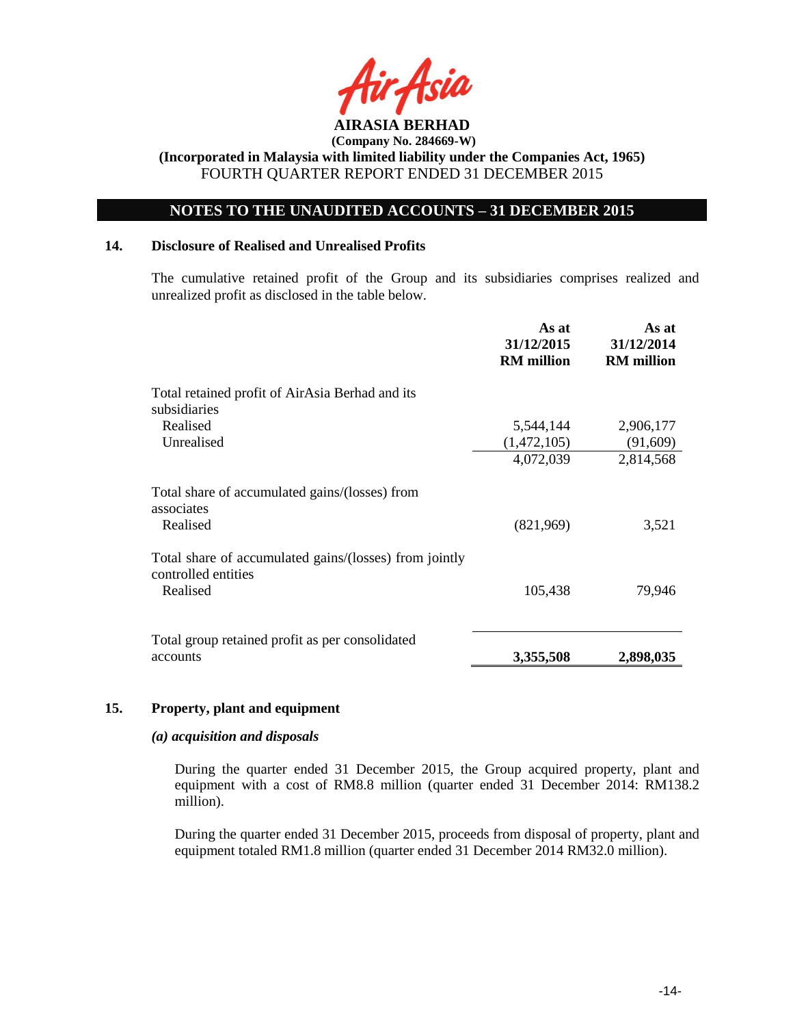

# **NOTES TO THE UNAUDITED ACCOUNTS – 31 DECEMBER 2015**

### **14. Disclosure of Realised and Unrealised Profits**

The cumulative retained profit of the Group and its subsidiaries comprises realized and unrealized profit as disclosed in the table below.

|                                                                               | As at<br>31/12/2015<br><b>RM</b> million | As at<br>31/12/2014<br><b>RM</b> million |
|-------------------------------------------------------------------------------|------------------------------------------|------------------------------------------|
| Total retained profit of AirAsia Berhad and its<br>subsidiaries               |                                          |                                          |
| Realised                                                                      | 5,544,144                                | 2,906,177                                |
| Unrealised                                                                    | (1,472,105)                              | (91,609)                                 |
|                                                                               | 4,072,039                                | 2,814,568                                |
| Total share of accumulated gains/(losses) from<br>associates                  |                                          |                                          |
| Realised                                                                      | (821,969)                                | 3,521                                    |
| Total share of accumulated gains/(losses) from jointly<br>controlled entities |                                          |                                          |
| Realised                                                                      | 105,438                                  | 79,946                                   |
|                                                                               |                                          |                                          |
| Total group retained profit as per consolidated                               |                                          |                                          |
| accounts                                                                      | 3,355,508                                | 2,898,035                                |

### **15. Property, plant and equipment**

### *(a) acquisition and disposals*

During the quarter ended 31 December 2015, the Group acquired property, plant and equipment with a cost of RM8.8 million (quarter ended 31 December 2014: RM138.2 million).

During the quarter ended 31 December 2015, proceeds from disposal of property, plant and equipment totaled RM1.8 million (quarter ended 31 December 2014 RM32.0 million).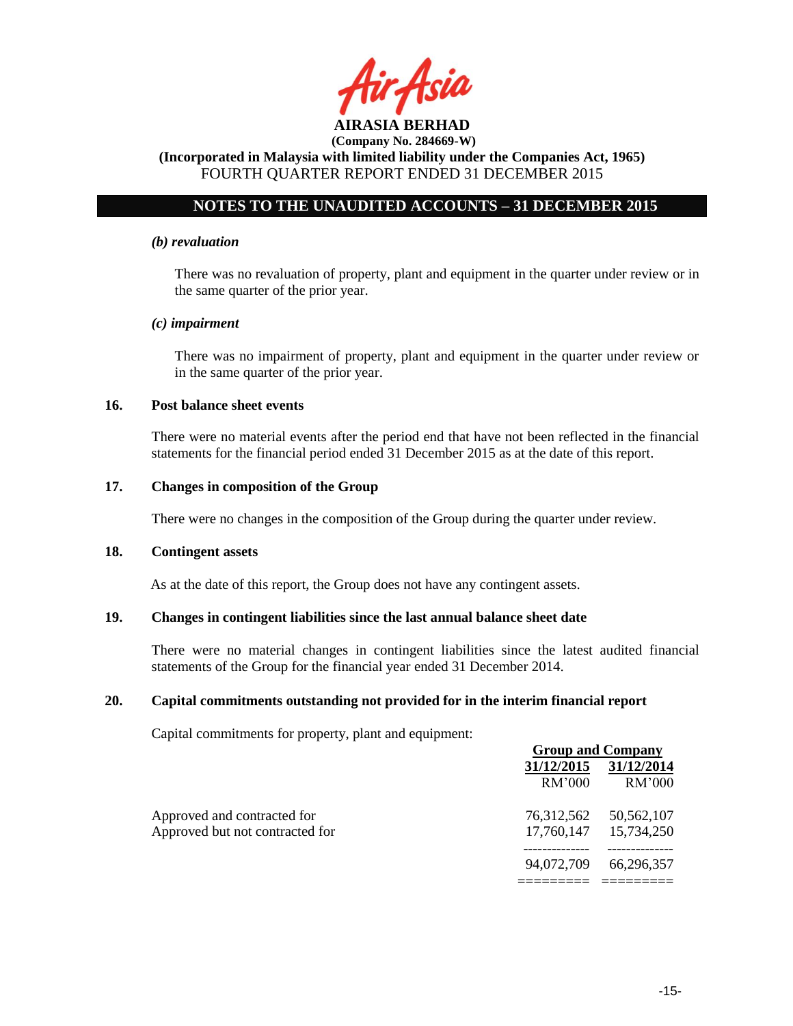

# **NOTES TO THE UNAUDITED ACCOUNTS – 31 DECEMBER 2015**

#### *(b) revaluation*

There was no revaluation of property, plant and equipment in the quarter under review or in the same quarter of the prior year.

#### *(c) impairment*

There was no impairment of property, plant and equipment in the quarter under review or in the same quarter of the prior year.

### **16. Post balance sheet events**

There were no material events after the period end that have not been reflected in the financial statements for the financial period ended 31 December 2015 as at the date of this report.

#### **17. Changes in composition of the Group**

There were no changes in the composition of the Group during the quarter under review.

#### **18. Contingent assets**

As at the date of this report, the Group does not have any contingent assets.

### **19. Changes in contingent liabilities since the last annual balance sheet date**

There were no material changes in contingent liabilities since the latest audited financial statements of the Group for the financial year ended 31 December 2014.

### **20. Capital commitments outstanding not provided for in the interim financial report**

Capital commitments for property, plant and equipment:

|                                 |            | <b>Group and Company</b> |  |
|---------------------------------|------------|--------------------------|--|
|                                 | 31/12/2015 | 31/12/2014               |  |
|                                 | RM'000     | RM'000                   |  |
| Approved and contracted for     | 76,312,562 | 50,562,107               |  |
| Approved but not contracted for |            | 17,760,147 15,734,250    |  |
|                                 | 94,072,709 | 66,296,357               |  |
|                                 |            |                          |  |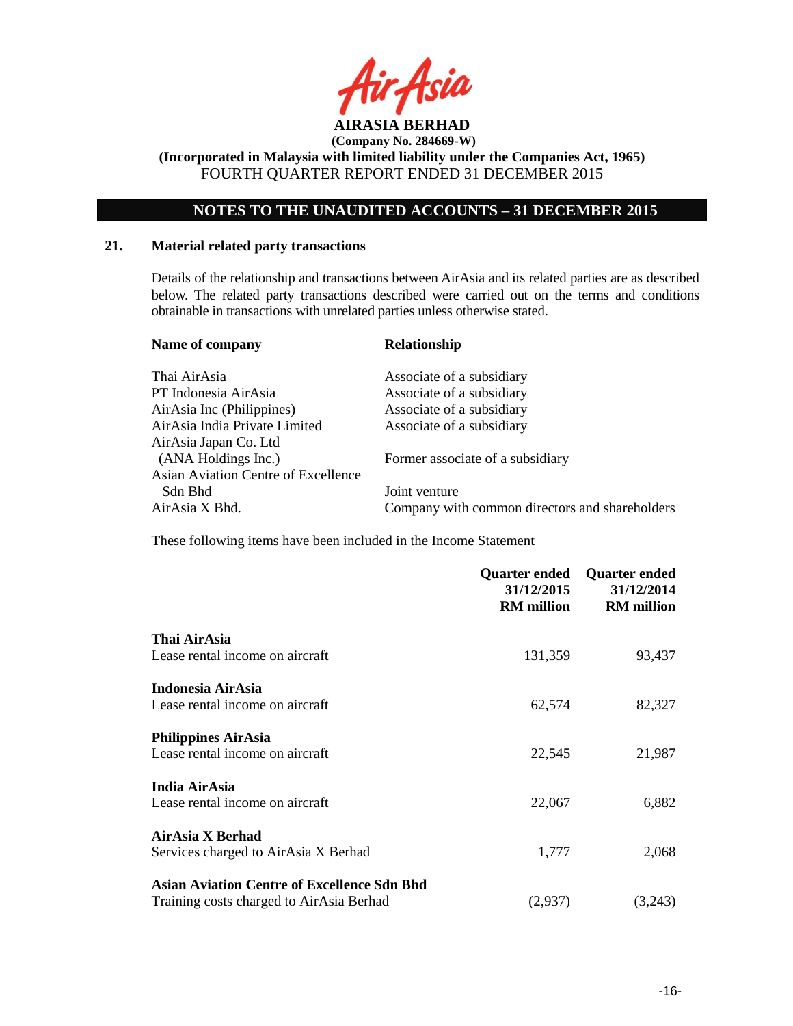

**(Incorporated in Malaysia with limited liability under the Companies Act, 1965)** FOURTH QUARTER REPORT ENDED 31 DECEMBER 2015

# **NOTES TO THE UNAUDITED ACCOUNTS – 31 DECEMBER 2015**

### **21. Material related party transactions**

Details of the relationship and transactions between AirAsia and its related parties are as described below. The related party transactions described were carried out on the terms and conditions obtainable in transactions with unrelated parties unless otherwise stated.

| Name of company                     | <b>Relationship</b>                            |
|-------------------------------------|------------------------------------------------|
| Thai AirAsia                        | Associate of a subsidiary                      |
| PT Indonesia AirAsia                | Associate of a subsidiary                      |
| AirAsia Inc (Philippines)           | Associate of a subsidiary                      |
| AirAsia India Private Limited       | Associate of a subsidiary                      |
| AirAsia Japan Co. Ltd               |                                                |
| (ANA Holdings Inc.)                 | Former associate of a subsidiary               |
| Asian Aviation Centre of Excellence |                                                |
| Sdn Bhd                             | Joint venture                                  |
| AirAsia X Bhd.                      | Company with common directors and shareholders |

These following items have been included in the Income Statement

|                                                    | Quarter ended<br>31/12/2015<br><b>RM</b> million | <b>Quarter ended</b><br>31/12/2014<br><b>RM</b> million |
|----------------------------------------------------|--------------------------------------------------|---------------------------------------------------------|
| Thai AirAsia                                       |                                                  |                                                         |
| Lease rental income on aircraft                    | 131,359                                          | 93,437                                                  |
| Indonesia AirAsia                                  |                                                  |                                                         |
| Lease rental income on aircraft                    | 62,574                                           | 82,327                                                  |
| <b>Philippines AirAsia</b>                         |                                                  |                                                         |
| Lease rental income on aircraft                    | 22,545                                           | 21,987                                                  |
| <b>India AirAsia</b>                               |                                                  |                                                         |
| Lease rental income on aircraft                    | 22,067                                           | 6,882                                                   |
| AirAsia X Berhad                                   |                                                  |                                                         |
| Services charged to AirAsia X Berhad               | 1,777                                            | 2,068                                                   |
| <b>Asian Aviation Centre of Excellence Sdn Bhd</b> |                                                  |                                                         |
| Training costs charged to AirAsia Berhad           | (2,937)                                          | (3,243)                                                 |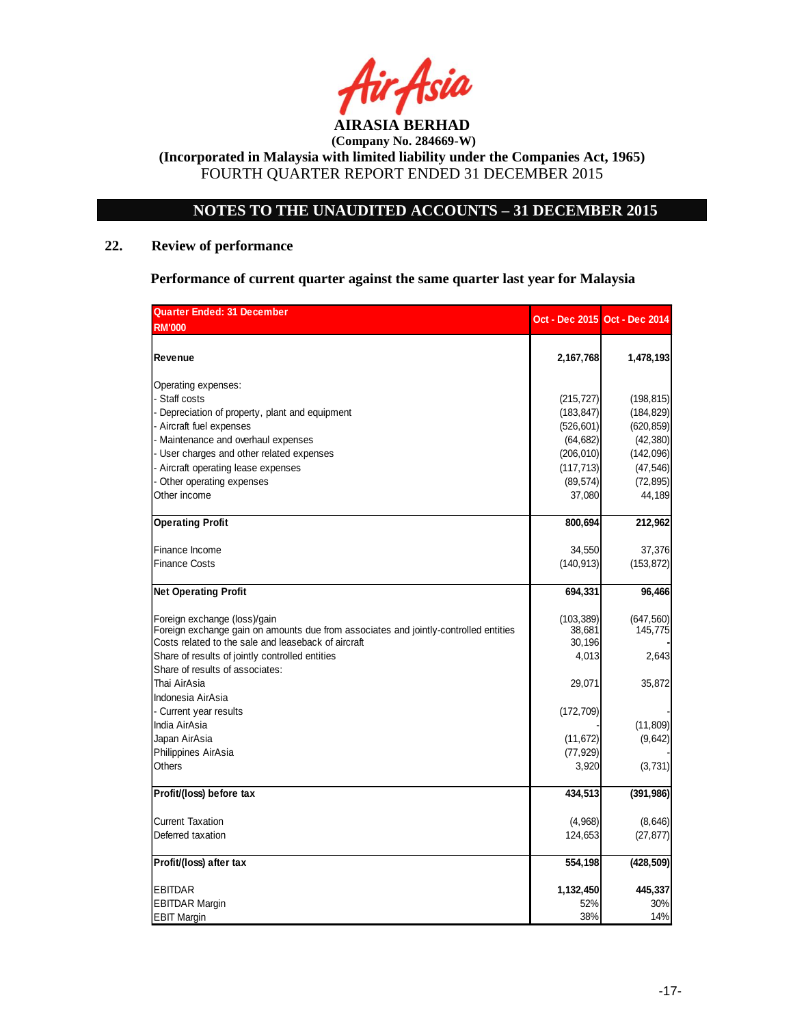

# **NOTES TO THE UNAUDITED ACCOUNTS – 31 DECEMBER 2015**

# **22. Review of performance**

**Performance of current quarter against the same quarter last year for Malaysia**

| <b>Quarter Ended: 31 December</b>                                                    |            | Oct - Dec 2015 Oct - Dec 2014 |
|--------------------------------------------------------------------------------------|------------|-------------------------------|
| <b>RM'000</b>                                                                        |            |                               |
|                                                                                      |            |                               |
| Revenue                                                                              | 2,167,768  | 1,478,193                     |
| Operating expenses:                                                                  |            |                               |
| - Staff costs                                                                        | (215, 727) | (198, 815)                    |
| - Depreciation of property, plant and equipment                                      | (183, 847) | (184, 829)                    |
| - Aircraft fuel expenses                                                             | (526, 601) | (620, 859)                    |
| - Maintenance and overhaul expenses                                                  | (64, 682)  | (42, 380)                     |
| - User charges and other related expenses                                            | (206, 010) | (142,096)                     |
| Aircraft operating lease expenses                                                    | (117, 713) | (47, 546)                     |
| Other operating expenses                                                             | (89, 574)  | (72, 895)                     |
| Other income                                                                         | 37,080     | 44,189                        |
| <b>Operating Profit</b>                                                              | 800,694    | 212,962                       |
| Finance Income                                                                       | 34,550     | 37,376                        |
| <b>Finance Costs</b>                                                                 | (140, 913) | (153, 872)                    |
|                                                                                      |            |                               |
| <b>Net Operating Profit</b>                                                          | 694,331    | 96,466                        |
| Foreign exchange (loss)/gain                                                         | (103, 389) | (647, 560)                    |
| Foreign exchange gain on amounts due from associates and jointly-controlled entities | 38,681     | 145,775                       |
| Costs related to the sale and leaseback of aircraft                                  | 30,196     |                               |
| Share of results of jointly controlled entities                                      | 4,013      | 2,643                         |
| Share of results of associates:                                                      |            |                               |
| Thai AirAsia                                                                         | 29,071     | 35,872                        |
| Indonesia AirAsia                                                                    |            |                               |
| - Current year results                                                               | (172, 709) |                               |
| India AirAsia                                                                        |            | (11, 809)                     |
| Japan AirAsia                                                                        | (11, 672)  | (9,642)                       |
| Philippines AirAsia                                                                  | (77, 929)  |                               |
| Others                                                                               | 3,920      | (3,731)                       |
| Profit/(loss) before tax                                                             | 434,513    | (391, 986)                    |
| <b>Current Taxation</b>                                                              | (4,968)    | (8,646)                       |
| Deferred taxation                                                                    | 124,653    | (27, 877)                     |
|                                                                                      |            |                               |
| Profit/(loss) after tax                                                              | 554,198    | (428, 509)                    |
| <b>EBITDAR</b>                                                                       | 1,132,450  | 445,337                       |
| <b>EBITDAR Margin</b>                                                                | 52%        | 30%                           |
| <b>EBIT Margin</b>                                                                   | 38%        | 14%                           |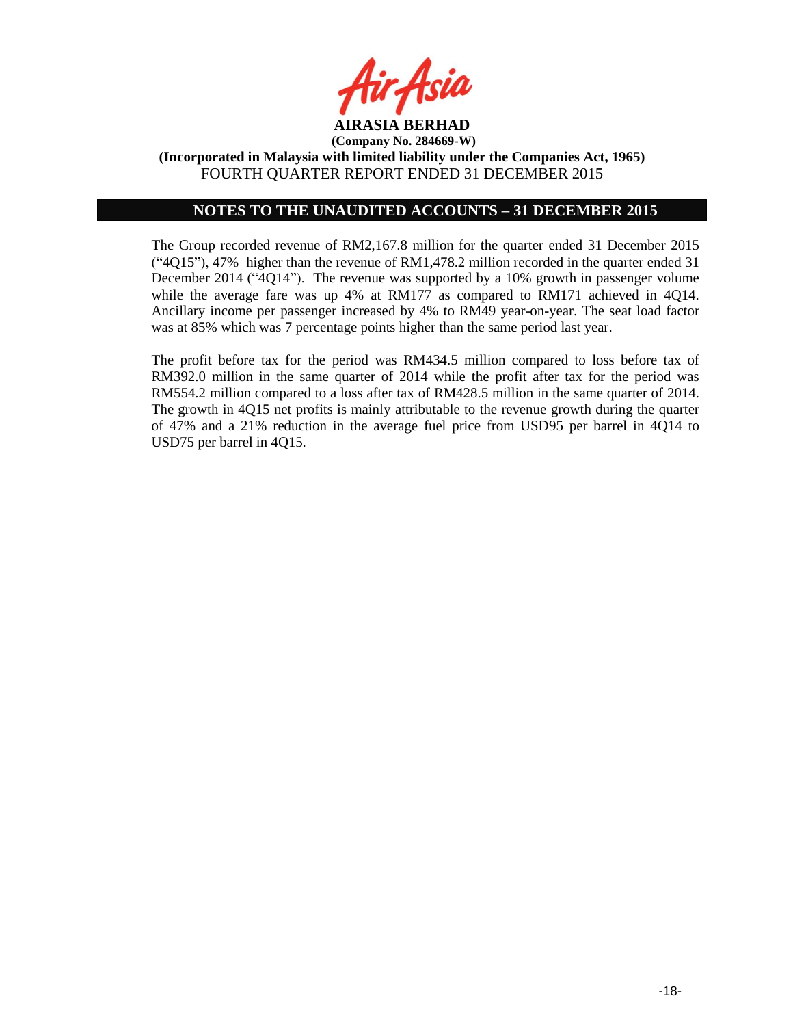

### **NOTES TO THE UNAUDITED ACCOUNTS – 31 DECEMBER 2015**

The Group recorded revenue of RM2,167.8 million for the quarter ended 31 December 2015 ("4Q15"), 47% higher than the revenue of RM1,478.2 million recorded in the quarter ended 31 December 2014 ("4Q14"). The revenue was supported by a 10% growth in passenger volume while the average fare was up 4% at RM177 as compared to RM171 achieved in 4Q14. Ancillary income per passenger increased by 4% to RM49 year-on-year. The seat load factor was at 85% which was 7 percentage points higher than the same period last year.

The profit before tax for the period was RM434.5 million compared to loss before tax of RM392.0 million in the same quarter of 2014 while the profit after tax for the period was RM554.2 million compared to a loss after tax of RM428.5 million in the same quarter of 2014. The growth in 4Q15 net profits is mainly attributable to the revenue growth during the quarter of 47% and a 21% reduction in the average fuel price from USD95 per barrel in 4Q14 to USD75 per barrel in 4Q15.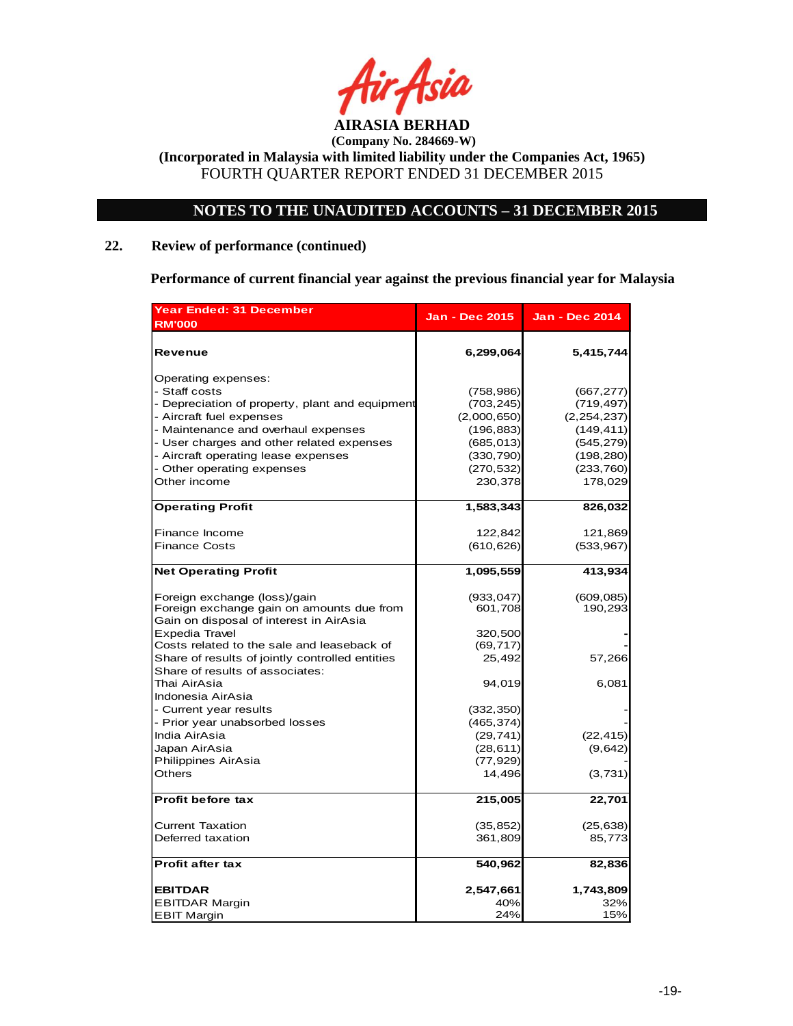

# **NOTES TO THE UNAUDITED ACCOUNTS – 31 DECEMBER 2015**

# **22. Review of performance (continued)**

**Performance of current financial year against the previous financial year for Malaysia**

| <b>Year Ended: 31 December</b><br><b>RM'000</b>                                    | <b>Jan - Dec 2015</b> | <b>Jan - Dec 2014</b> |
|------------------------------------------------------------------------------------|-----------------------|-----------------------|
| Revenue                                                                            | 6,299,064             | 5,415,744             |
| Operating expenses:                                                                |                       |                       |
| - Staff costs                                                                      | (758, 986)            | (667, 277)            |
| - Depreciation of property, plant and equipment                                    | (703, 245)            | (719, 497)            |
| - Aircraft fuel expenses                                                           | (2,000,650)           | (2, 254, 237)         |
| - Maintenance and overhaul expenses                                                | (196, 883)            | (149, 411)            |
| - User charges and other related expenses                                          | (685, 013)            | (545, 279)            |
| - Aircraft operating lease expenses                                                | (330, 790)            | (198, 280)            |
| - Other operating expenses                                                         | (270, 532)            | (233, 760)            |
| Other income                                                                       | 230,378               | 178,029               |
| <b>Operating Profit</b>                                                            | 1,583,343             | 826,032               |
| Finance Income                                                                     | 122,842               | 121,869               |
| <b>Finance Costs</b>                                                               | (610, 626)            | (533, 967)            |
| <b>Net Operating Profit</b>                                                        | 1,095,559             | 413,934               |
| Foreign exchange (loss)/gain                                                       | (933, 047)            | (609, 085)            |
| Foreign exchange gain on amounts due from                                          | 601,708               | 190,293               |
| Gain on disposal of interest in AirAsia                                            |                       |                       |
| Expedia Travel                                                                     | 320,500               |                       |
| Costs related to the sale and leaseback of                                         | (69, 717)             |                       |
| Share of results of jointly controlled entities<br>Share of results of associates: | 25,492                | 57,266                |
| Thai AirAsia<br>Indonesia AirAsia                                                  | 94,019                | 6,081                 |
| - Current year results                                                             | (332, 350)            |                       |
| - Prior year unabsorbed losses                                                     | (465, 374)            |                       |
| India AirAsia                                                                      | (29, 741)             | (22, 415)             |
| Japan AirAsia                                                                      | (28, 611)             | (9,642)               |
| Philippines AirAsia                                                                | (77, 929)             |                       |
| Others                                                                             | 14,496                | (3,731)               |
| <b>Profit before tax</b>                                                           | 215,005               | 22,701                |
| <b>Current Taxation</b>                                                            |                       |                       |
| Deferred taxation                                                                  | (35, 852)<br>361,809  | (25, 638)<br>85,773   |
|                                                                                    |                       |                       |
| <b>Profit after tax</b>                                                            | 540,962               | 82,836                |
| <b>EBITDAR</b>                                                                     | 2,547,661             | 1,743,809             |
| <b>EBITDAR Margin</b>                                                              | 40%                   | 32%                   |
| <b>EBIT Margin</b>                                                                 | 24%                   | 15%                   |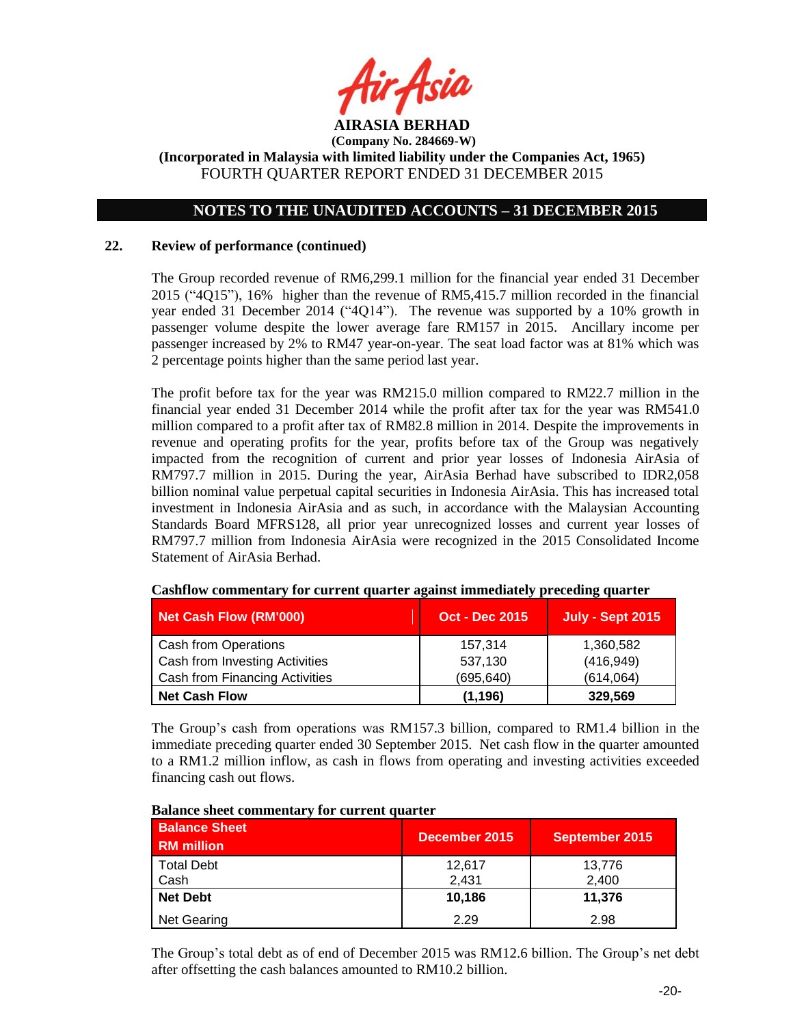

# **NOTES TO THE UNAUDITED ACCOUNTS – 31 DECEMBER 2015**

### **22. Review of performance (continued)**

The Group recorded revenue of RM6,299.1 million for the financial year ended 31 December 2015 ("4Q15"), 16% higher than the revenue of RM5,415.7 million recorded in the financial year ended 31 December 2014 ("4Q14"). The revenue was supported by a 10% growth in passenger volume despite the lower average fare RM157 in 2015. Ancillary income per passenger increased by 2% to RM47 year-on-year. The seat load factor was at 81% which was 2 percentage points higher than the same period last year.

The profit before tax for the year was RM215.0 million compared to RM22.7 million in the financial year ended 31 December 2014 while the profit after tax for the year was RM541.0 million compared to a profit after tax of RM82.8 million in 2014. Despite the improvements in revenue and operating profits for the year, profits before tax of the Group was negatively impacted from the recognition of current and prior year losses of Indonesia AirAsia of RM797.7 million in 2015. During the year, AirAsia Berhad have subscribed to IDR2,058 billion nominal value perpetual capital securities in Indonesia AirAsia. This has increased total investment in Indonesia AirAsia and as such, in accordance with the Malaysian Accounting Standards Board MFRS128, all prior year unrecognized losses and current year losses of RM797.7 million from Indonesia AirAsia were recognized in the 2015 Consolidated Income Statement of AirAsia Berhad.

| Net Cash Flow (RM'000)         | <b>Oct - Dec 2015</b> | <b>July - Sept 2015</b> |
|--------------------------------|-----------------------|-------------------------|
| Cash from Operations           | 157,314               | 1,360,582               |
| Cash from Investing Activities | 537,130               | (416, 949)              |
| Cash from Financing Activities | (695, 640)            | (614,064)               |
| <b>Net Cash Flow</b>           | (1, 196)              | 329,569                 |

#### **Cashflow commentary for current quarter against immediately preceding quarter**

The Group's cash from operations was RM157.3 billion, compared to RM1.4 billion in the immediate preceding quarter ended 30 September 2015. Net cash flow in the quarter amounted to a RM1.2 million inflow, as cash in flows from operating and investing activities exceeded financing cash out flows.

| <b>Balance Sheet</b><br><b>RM</b> million | December 2015   | September 2015  |
|-------------------------------------------|-----------------|-----------------|
| <b>Total Debt</b><br>Cash                 | 12.617<br>2,431 | 13,776<br>2,400 |
| <b>Net Debt</b>                           | 10,186          | 11,376          |
| Net Gearing                               | 2.29            | 2.98            |

#### **Balance sheet commentary for current quarter**

The Group's total debt as of end of December 2015 was RM12.6 billion. The Group's net debt after offsetting the cash balances amounted to RM10.2 billion.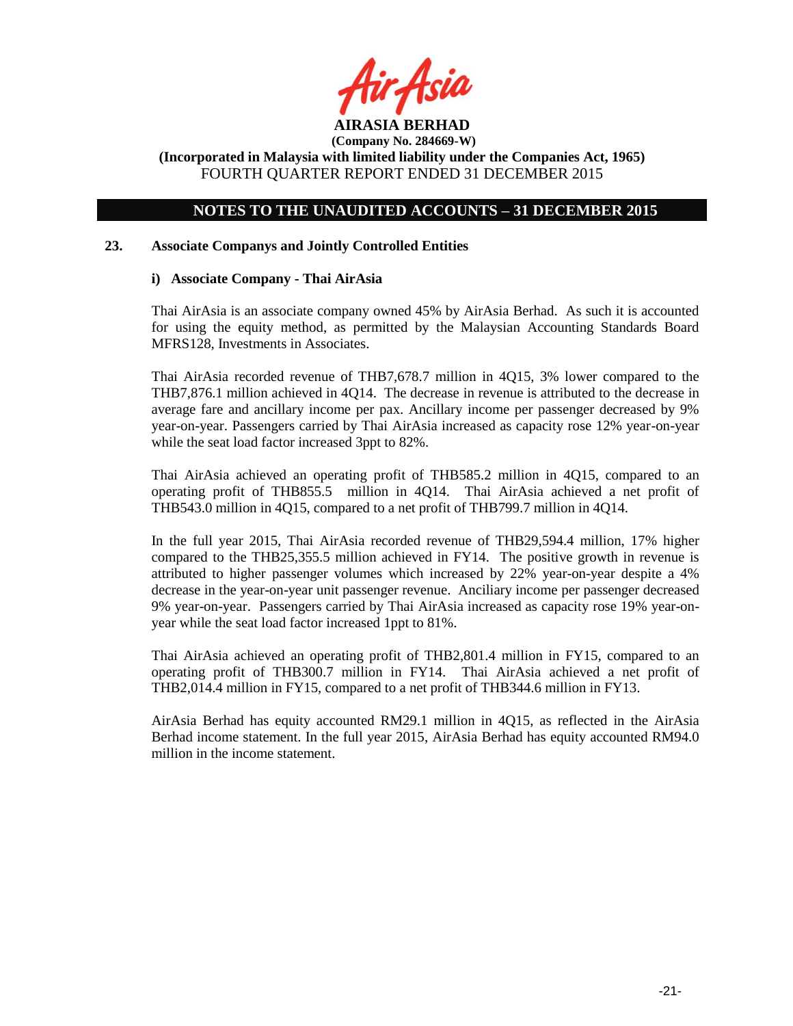

**(Company No. 284669-W) (Incorporated in Malaysia with limited liability under the Companies Act, 1965)**

FOURTH QUARTER REPORT ENDED 31 DECEMBER 2015

# **NOTES TO THE UNAUDITED ACCOUNTS – 31 DECEMBER 2015**

### **23. Associate Companys and Jointly Controlled Entities**

### **i) Associate Company - Thai AirAsia**

Thai AirAsia is an associate company owned 45% by AirAsia Berhad. As such it is accounted for using the equity method, as permitted by the Malaysian Accounting Standards Board MFRS128, Investments in Associates.

Thai AirAsia recorded revenue of THB7,678.7 million in 4Q15, 3% lower compared to the THB7,876.1 million achieved in 4Q14. The decrease in revenue is attributed to the decrease in average fare and ancillary income per pax. Ancillary income per passenger decreased by 9% year-on-year. Passengers carried by Thai AirAsia increased as capacity rose 12% year-on-year while the seat load factor increased 3ppt to 82%.

Thai AirAsia achieved an operating profit of THB585.2 million in 4Q15, compared to an operating profit of THB855.5 million in 4Q14. Thai AirAsia achieved a net profit of THB543.0 million in 4Q15, compared to a net profit of THB799.7 million in 4Q14.

In the full year 2015, Thai AirAsia recorded revenue of THB29,594.4 million, 17% higher compared to the THB25,355.5 million achieved in FY14. The positive growth in revenue is attributed to higher passenger volumes which increased by 22% year-on-year despite a 4% decrease in the year-on-year unit passenger revenue. Anciliary income per passenger decreased 9% year-on-year. Passengers carried by Thai AirAsia increased as capacity rose 19% year-onyear while the seat load factor increased 1ppt to 81%.

Thai AirAsia achieved an operating profit of THB2,801.4 million in FY15, compared to an operating profit of THB300.7 million in FY14. Thai AirAsia achieved a net profit of THB2,014.4 million in FY15, compared to a net profit of THB344.6 million in FY13.

AirAsia Berhad has equity accounted RM29.1 million in 4Q15, as reflected in the AirAsia Berhad income statement. In the full year 2015, AirAsia Berhad has equity accounted RM94.0 million in the income statement.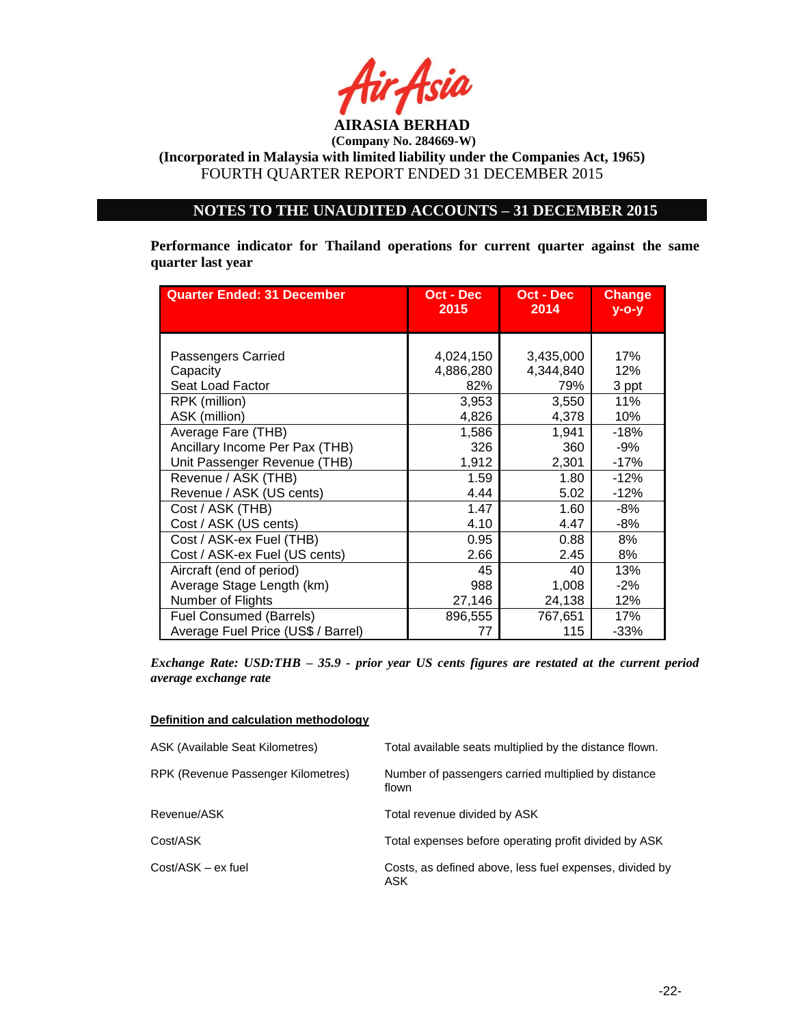

# **NOTES TO THE UNAUDITED ACCOUNTS – 31 DECEMBER 2015**

**Performance indicator for Thailand operations for current quarter against the same quarter last year**

| <b>Quarter Ended: 31 December</b>  | Oct - Dec | Oct - Dec | <b>Change</b> |
|------------------------------------|-----------|-----------|---------------|
|                                    | 2015      | 2014      | $V - O - V$   |
| Passengers Carried                 | 4,024,150 | 3,435,000 | 17%           |
| Capacity                           | 4,886,280 | 4,344,840 | 12%           |
| Seat Load Factor                   | 82%       | 79%       | 3 ppt         |
| RPK (million)                      | 3,953     | 3,550     | 11%           |
| ASK (million)                      | 4,826     | 4,378     | 10%           |
| Average Fare (THB)                 | 1,586     | 1,941     | $-18%$        |
| Ancillary Income Per Pax (THB)     | 326       | 360       | -9%           |
| Unit Passenger Revenue (THB)       | 1,912     | 2,301     | $-17%$        |
| Revenue / ASK (THB)                | 1.59      | 1.80      | $-12%$        |
| Revenue / ASK (US cents)           | 4.44      | 5.02      | $-12%$        |
| Cost / ASK (THB)                   | 1.47      | 1.60      | -8%           |
| Cost / ASK (US cents)              | 4.10      | 4.47      | $-8%$         |
| Cost / ASK-ex Fuel (THB)           | 0.95      | 0.88      | 8%            |
| Cost / ASK-ex Fuel (US cents)      | 2.66      | 2.45      | 8%            |
| Aircraft (end of period)           | 45        | 40        | 13%           |
| Average Stage Length (km)          | 988       | 1,008     | $-2%$         |
| Number of Flights                  | 27,146    | 24,138    | 12%           |
| <b>Fuel Consumed (Barrels)</b>     | 896,555   | 767,651   | 17%           |
| Average Fuel Price (US\$ / Barrel) | 77        | 115       | $-33%$        |

*Exchange Rate: USD:THB – 35.9 - prior year US cents figures are restated at the current period average exchange rate*

#### **Definition and calculation methodology**

| ASK (Available Seat Kilometres)    | Total available seats multiplied by the distance flown.        |
|------------------------------------|----------------------------------------------------------------|
| RPK (Revenue Passenger Kilometres) | Number of passengers carried multiplied by distance<br>flown   |
| Revenue/ASK                        | Total revenue divided by ASK                                   |
| Cost/ASK                           | Total expenses before operating profit divided by ASK          |
| Cost/ASK - ex fuel                 | Costs, as defined above, less fuel expenses, divided by<br>ASK |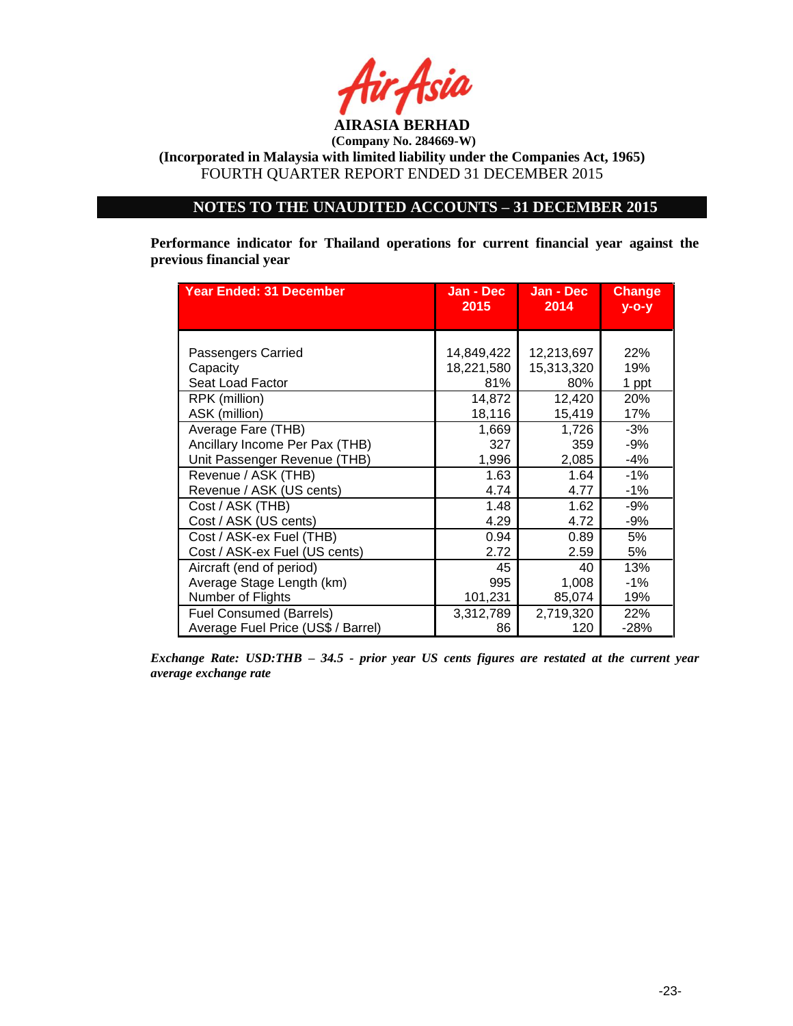

**(Incorporated in Malaysia with limited liability under the Companies Act, 1965)** FOURTH QUARTER REPORT ENDED 31 DECEMBER 2015

## **NOTES TO THE UNAUDITED ACCOUNTS – 31 DECEMBER 2015**

**Performance indicator for Thailand operations for current financial year against the previous financial year**

| <b>Year Ended: 31 December</b>     | Jan - Dec<br>2015 | Jan - Dec<br>2014 | <b>Change</b><br>$V - O - V$ |
|------------------------------------|-------------------|-------------------|------------------------------|
|                                    |                   |                   |                              |
| Passengers Carried                 | 14,849,422        | 12,213,697        | 22%                          |
| Capacity                           | 18,221,580        | 15,313,320        | 19%                          |
| Seat Load Factor                   | 81%               | 80%               | 1 ppt                        |
| RPK (million)                      | 14,872            | 12,420            | 20%                          |
| ASK (million)                      | 18,116            | 15,419            | 17%                          |
| Average Fare (THB)                 | 1,669             | 1,726             | $-3%$                        |
| Ancillary Income Per Pax (THB)     | 327               | 359               | -9%                          |
| Unit Passenger Revenue (THB)       | 1,996             | 2,085             | $-4%$                        |
| Revenue / ASK (THB)                | 1.63              | 1.64              | $-1%$                        |
| Revenue / ASK (US cents)           | 4.74              | 4.77              | $-1%$                        |
| Cost / ASK (THB)                   | 1.48              | 1.62              | $-9%$                        |
| Cost / ASK (US cents)              | 4.29              | 4.72              | -9%                          |
| Cost / ASK-ex Fuel (THB)           | 0.94              | 0.89              | 5%                           |
| Cost / ASK-ex Fuel (US cents)      | 2.72              | 2.59              | 5%                           |
| Aircraft (end of period)           | 45                | 40                | 13%                          |
| Average Stage Length (km)          | 995               | 1,008             | $-1\%$                       |
| Number of Flights                  | 101,231           | 85,074            | 19%                          |
| <b>Fuel Consumed (Barrels)</b>     | 3,312,789         | 2,719,320         | 22%                          |
| Average Fuel Price (US\$ / Barrel) | 86                | 120               | $-28%$                       |

*Exchange Rate: USD:THB – 34.5 - prior year US cents figures are restated at the current year average exchange rate*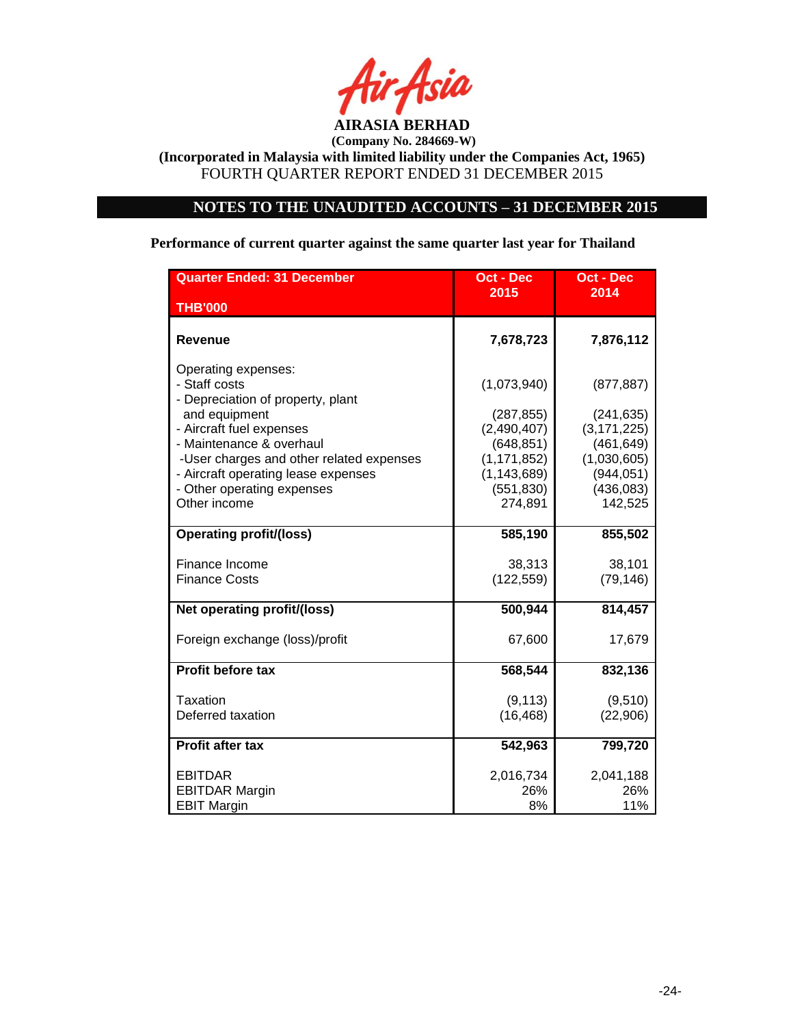

# **NOTES TO THE UNAUDITED ACCOUNTS – 31 DECEMBER 2015**

**Performance of current quarter against the same quarter last year for Thailand**

| <b>Quarter Ended: 31 December</b>                                         | Oct - Dec                 | <b>Oct - Dec</b>            |  |
|---------------------------------------------------------------------------|---------------------------|-----------------------------|--|
| <b>THB'000</b>                                                            | 2015                      | 2014                        |  |
|                                                                           |                           |                             |  |
| <b>Revenue</b>                                                            | 7,678,723                 | 7,876,112                   |  |
| Operating expenses:<br>- Staff costs<br>- Depreciation of property, plant | (1,073,940)               | (877, 887)                  |  |
| and equipment                                                             | (287, 855)                | (241, 635)                  |  |
| - Aircraft fuel expenses<br>- Maintenance & overhaul                      | (2,490,407)<br>(648, 851) | (3, 171, 225)<br>(461, 649) |  |
| -User charges and other related expenses                                  | (1, 171, 852)             | (1,030,605)                 |  |
| - Aircraft operating lease expenses                                       | (1, 143, 689)             | (944, 051)                  |  |
| - Other operating expenses<br>Other income                                | (551, 830)<br>274,891     | (436, 083)<br>142,525       |  |
|                                                                           |                           |                             |  |
| <b>Operating profit/(loss)</b>                                            | 585,190                   | 855,502                     |  |
| Finance Income                                                            | 38,313                    | 38,101                      |  |
| <b>Finance Costs</b>                                                      | (122, 559)                | (79, 146)                   |  |
| Net operating profit/(loss)                                               | 500,944                   | 814,457                     |  |
| Foreign exchange (loss)/profit                                            | 67,600                    | 17,679                      |  |
| <b>Profit before tax</b>                                                  | 568,544                   | 832,136                     |  |
| Taxation                                                                  | (9, 113)                  | (9,510)                     |  |
| Deferred taxation                                                         | (16, 468)                 | (22,906)                    |  |
| Profit after tax                                                          | 542,963                   | 799,720                     |  |
| <b>EBITDAR</b>                                                            | 2,016,734                 | 2,041,188                   |  |
| <b>EBITDAR Margin</b>                                                     | 26%                       | 26%                         |  |
| <b>EBIT Margin</b>                                                        | 8%                        | 11%                         |  |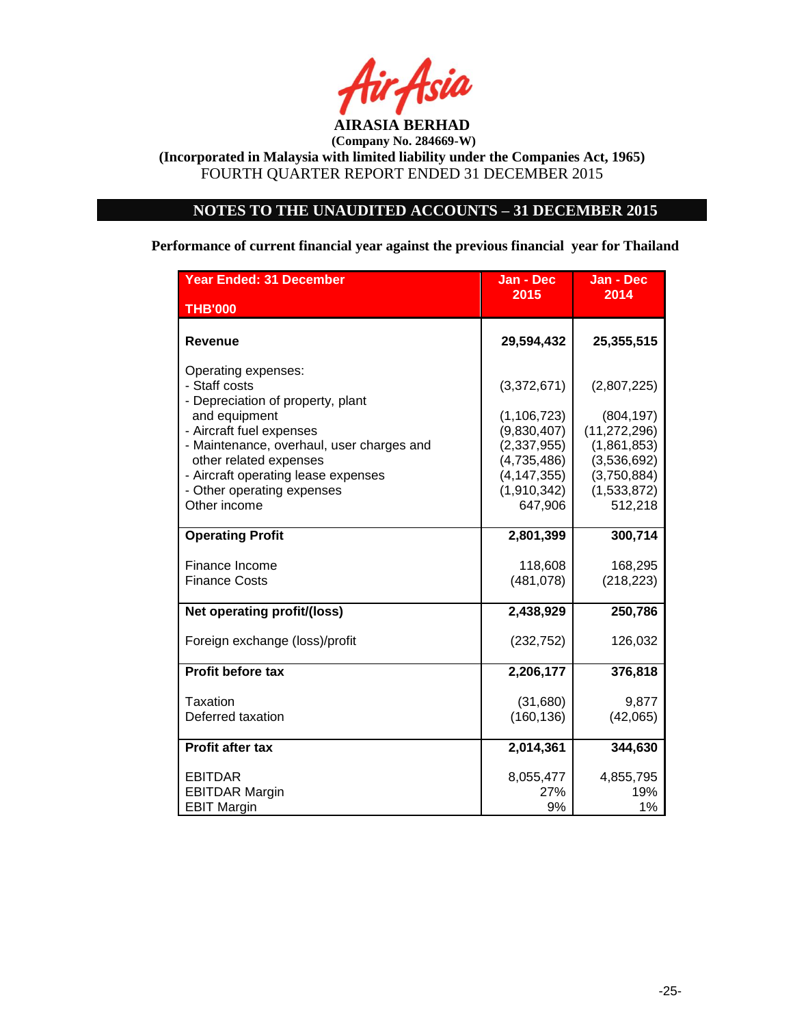

# **NOTES TO THE UNAUDITED ACCOUNTS – 31 DECEMBER 2015**

**Performance of current financial year against the previous financial year for Thailand**

| <b>Year Ended: 31 December</b>                                                                              | Jan - Dec                                              | Jan - Dec                                            |
|-------------------------------------------------------------------------------------------------------------|--------------------------------------------------------|------------------------------------------------------|
| <b>THB'000</b>                                                                                              | 2015                                                   | 2014                                                 |
| Revenue                                                                                                     | 29,594,432                                             | 25,355,515                                           |
| Operating expenses:<br>- Staff costs<br>- Depreciation of property, plant                                   | (3,372,671)                                            | (2,807,225)                                          |
| and equipment<br>- Aircraft fuel expenses<br>- Maintenance, overhaul, user charges and                      | (1, 106, 723)<br>(9,830,407)<br>(2,337,955)            | (804, 197)<br>(11, 272, 296)<br>(1,861,853)          |
| other related expenses<br>- Aircraft operating lease expenses<br>- Other operating expenses<br>Other income | (4,735,486)<br>(4, 147, 355)<br>(1,910,342)<br>647,906 | (3,536,692)<br>(3,750,884)<br>(1,533,872)<br>512,218 |
| <b>Operating Profit</b>                                                                                     | 2,801,399                                              | 300,714                                              |
| Finance Income<br><b>Finance Costs</b>                                                                      | 118,608<br>(481,078)                                   | 168,295<br>(218, 223)                                |
| Net operating profit/(loss)                                                                                 | 2,438,929                                              | 250,786                                              |
| Foreign exchange (loss)/profit                                                                              | (232, 752)                                             | 126,032                                              |
| Profit before tax                                                                                           | 2,206,177                                              | 376,818                                              |
| Taxation<br>Deferred taxation                                                                               | (31,680)<br>(160, 136)                                 | 9,877<br>(42,065)                                    |
| <b>Profit after tax</b>                                                                                     | 2,014,361                                              | 344,630                                              |
| EBITDAR<br><b>EBITDAR Margin</b><br><b>EBIT Margin</b>                                                      | 8,055,477<br><b>27%</b><br>9%                          | 4,855,795<br>19%<br>1%                               |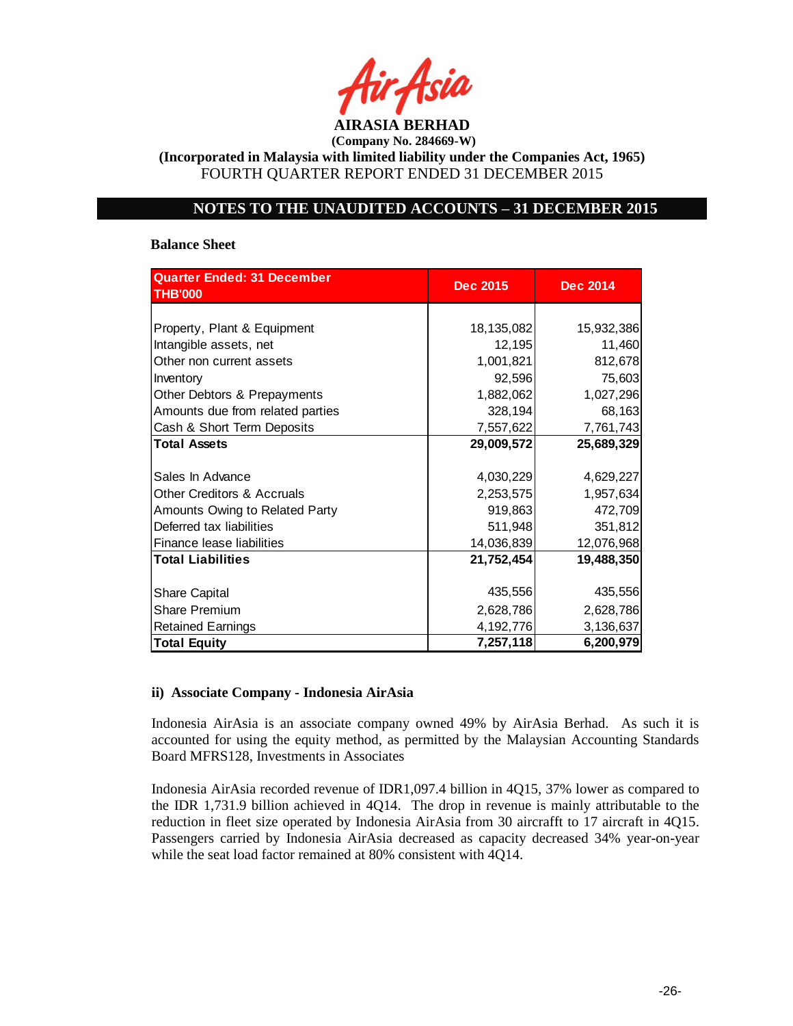

**(Incorporated in Malaysia with limited liability under the Companies Act, 1965)** FOURTH QUARTER REPORT ENDED 31 DECEMBER 2015

# **NOTES TO THE UNAUDITED ACCOUNTS – 31 DECEMBER 2015**

#### **Balance Sheet**

| <b>Quarter Ended: 31 December</b>     | <b>Dec 2015</b> | <b>Dec 2014</b> |  |
|---------------------------------------|-----------------|-----------------|--|
| <b>THB'000</b>                        |                 |                 |  |
|                                       |                 |                 |  |
| Property, Plant & Equipment           | 18,135,082      | 15,932,386      |  |
| Intangible assets, net                | 12,195          | 11,460          |  |
| Other non current assets              | 1,001,821       | 812,678         |  |
| Inventory                             | 92,596          | 75,603          |  |
| Other Debtors & Prepayments           | 1,882,062       | 1,027,296       |  |
| Amounts due from related parties      | 328,194         | 68,163          |  |
| Cash & Short Term Deposits            | 7,557,622       | 7,761,743       |  |
| <b>Total Assets</b>                   | 29,009,572      | 25,689,329      |  |
|                                       |                 |                 |  |
| Sales In Advance                      | 4,030,229       | 4,629,227       |  |
| <b>Other Creditors &amp; Accruals</b> | 2,253,575       | 1,957,634       |  |
| Amounts Owing to Related Party        | 919,863         | 472,709         |  |
| Deferred tax liabilities              | 511,948         | 351,812         |  |
| Finance lease liabilities             | 14,036,839      | 12,076,968      |  |
| <b>Total Liabilities</b>              | 21,752,454      | 19,488,350      |  |
|                                       |                 |                 |  |
| <b>Share Capital</b>                  | 435,556         | 435,556         |  |
| <b>Share Premium</b>                  | 2,628,786       | 2,628,786       |  |
| <b>Retained Earnings</b>              | 4,192,776       | 3,136,637       |  |
| <b>Total Equity</b>                   | 7,257,118       | 6,200,979       |  |

### **ii) Associate Company - Indonesia AirAsia**

Indonesia AirAsia is an associate company owned 49% by AirAsia Berhad. As such it is accounted for using the equity method, as permitted by the Malaysian Accounting Standards Board MFRS128, Investments in Associates

Indonesia AirAsia recorded revenue of IDR1,097.4 billion in 4Q15, 37% lower as compared to the IDR 1,731.9 billion achieved in 4Q14. The drop in revenue is mainly attributable to the reduction in fleet size operated by Indonesia AirAsia from 30 aircrafft to 17 aircraft in 4Q15. Passengers carried by Indonesia AirAsia decreased as capacity decreased 34% year-on-year while the seat load factor remained at 80% consistent with 4Q14.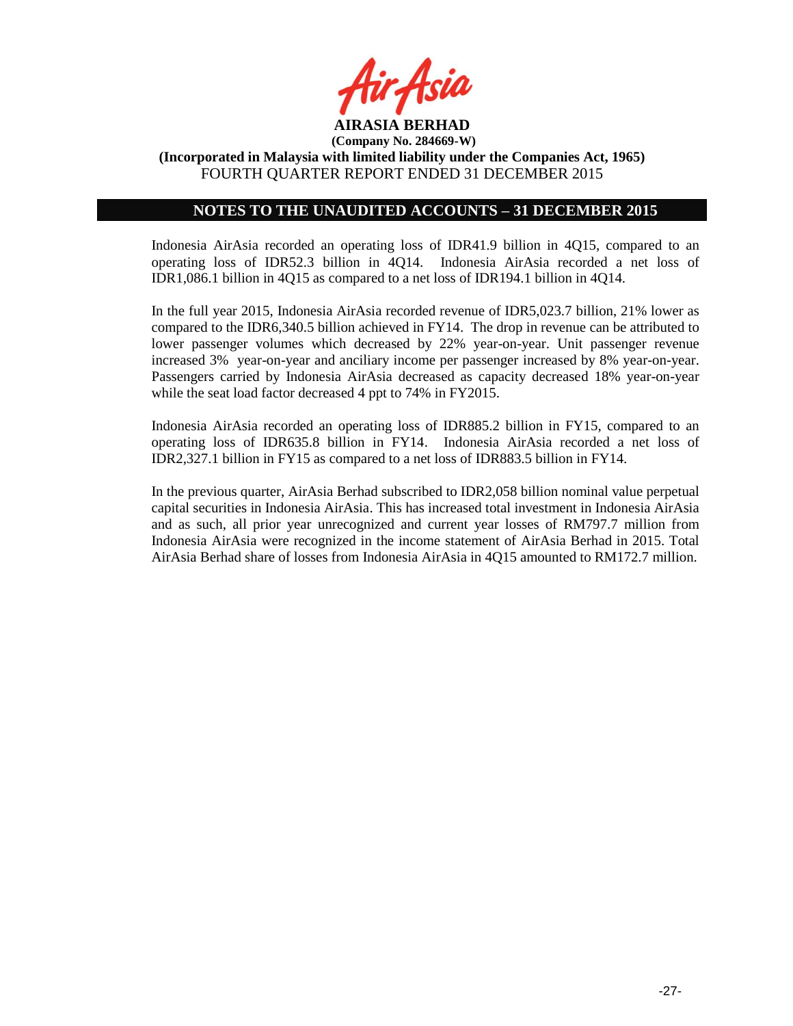

**(Incorporated in Malaysia with limited liability under the Companies Act, 1965)** FOURTH QUARTER REPORT ENDED 31 DECEMBER 2015

### **NOTES TO THE UNAUDITED ACCOUNTS – 31 DECEMBER 2015**

Indonesia AirAsia recorded an operating loss of IDR41.9 billion in 4Q15, compared to an operating loss of IDR52.3 billion in 4Q14. Indonesia AirAsia recorded a net loss of IDR1,086.1 billion in 4Q15 as compared to a net loss of IDR194.1 billion in 4Q14.

In the full year 2015, Indonesia AirAsia recorded revenue of IDR5,023.7 billion, 21% lower as compared to the IDR6,340.5 billion achieved in FY14. The drop in revenue can be attributed to lower passenger volumes which decreased by 22% year-on-year. Unit passenger revenue increased 3% year-on-year and anciliary income per passenger increased by 8% year-on-year. Passengers carried by Indonesia AirAsia decreased as capacity decreased 18% year-on-year while the seat load factor decreased 4 ppt to 74% in FY2015.

Indonesia AirAsia recorded an operating loss of IDR885.2 billion in FY15, compared to an operating loss of IDR635.8 billion in FY14. Indonesia AirAsia recorded a net loss of IDR2,327.1 billion in FY15 as compared to a net loss of IDR883.5 billion in FY14.

In the previous quarter, AirAsia Berhad subscribed to IDR2,058 billion nominal value perpetual capital securities in Indonesia AirAsia. This has increased total investment in Indonesia AirAsia and as such, all prior year unrecognized and current year losses of RM797.7 million from Indonesia AirAsia were recognized in the income statement of AirAsia Berhad in 2015. Total AirAsia Berhad share of losses from Indonesia AirAsia in 4Q15 amounted to RM172.7 million.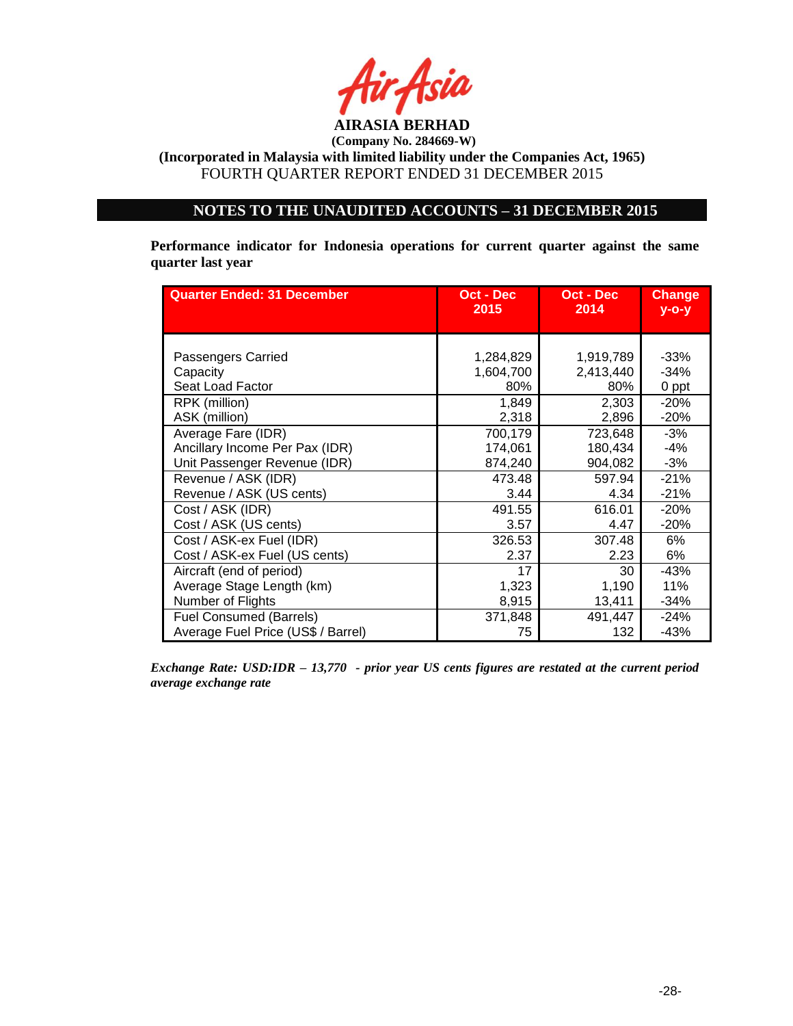

# **NOTES TO THE UNAUDITED ACCOUNTS – 31 DECEMBER 2015**

**Performance indicator for Indonesia operations for current quarter against the same quarter last year**

| <b>Quarter Ended: 31 December</b>  | Oct - Dec<br>2015 | Oct - Dec<br>2014 | <b>Change</b><br>$y$ -o-y |
|------------------------------------|-------------------|-------------------|---------------------------|
|                                    |                   |                   |                           |
|                                    |                   |                   |                           |
| Passengers Carried                 | 1,284,829         | 1,919,789         | $-33%$                    |
| Capacity                           | 1,604,700         | 2,413,440         | $-34%$                    |
| Seat Load Factor                   | 80%               | 80%               | 0 ppt                     |
| RPK (million)                      | 1,849             | 2,303             | $-20%$                    |
| ASK (million)                      | 2,318             | 2,896             | $-20%$                    |
| Average Fare (IDR)                 | 700,179           | 723,648           | $-3%$                     |
| Ancillary Income Per Pax (IDR)     | 174,061           | 180,434           | -4%                       |
| Unit Passenger Revenue (IDR)       | 874,240           | 904,082           | $-3%$                     |
| Revenue / ASK (IDR)                | 473.48            | 597.94            | $-21%$                    |
| Revenue / ASK (US cents)           | 3.44              | 4.34              | $-21%$                    |
| Cost / ASK (IDR)                   | 491.55            | 616.01            | $-20%$                    |
| Cost / ASK (US cents)              | 3.57              | 4.47              | $-20%$                    |
| Cost / ASK-ex Fuel (IDR)           | 326.53            | 307.48            | 6%                        |
| Cost / ASK-ex Fuel (US cents)      | 2.37              | 2.23              | 6%                        |
| Aircraft (end of period)           | 17                | 30                | $-43%$                    |
| Average Stage Length (km)          | 1,323             | 1,190             | 11%                       |
| Number of Flights                  | 8,915             | 13,411            | $-34%$                    |
| <b>Fuel Consumed (Barrels)</b>     | 371,848           | 491,447           | $-24%$                    |
| Average Fuel Price (US\$ / Barrel) | 75                | 132               | $-43%$                    |

*Exchange Rate: USD:IDR – 13,770 - prior year US cents figures are restated at the current period average exchange rate*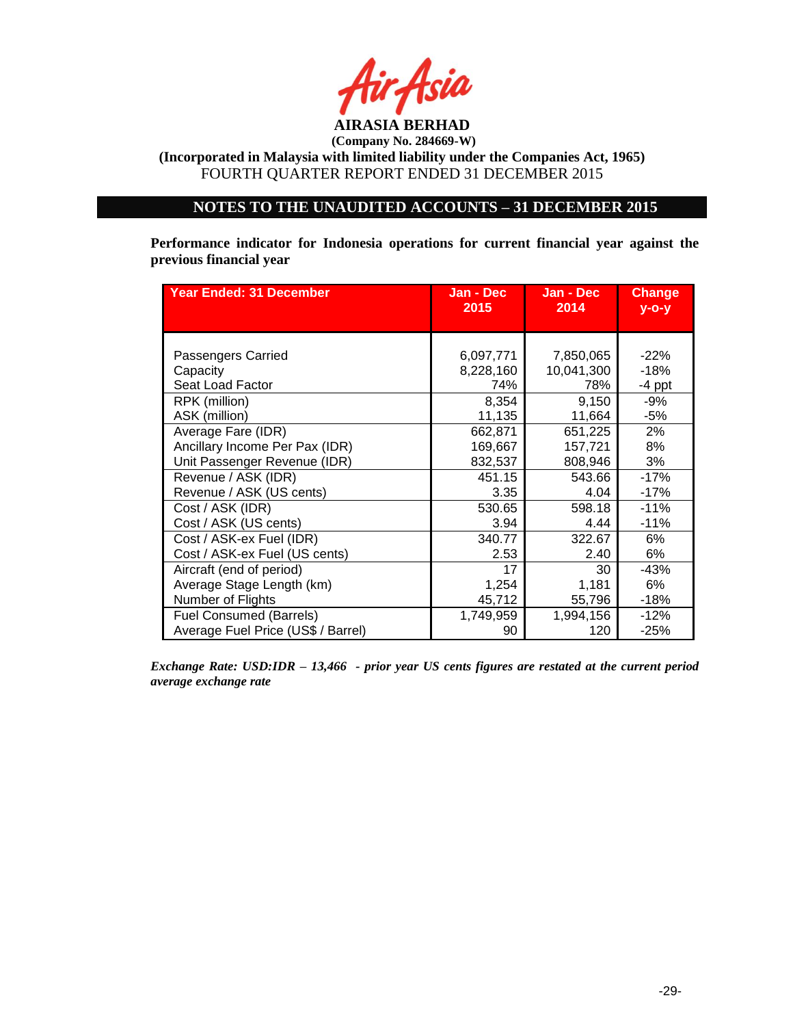

**(Incorporated in Malaysia with limited liability under the Companies Act, 1965)** FOURTH QUARTER REPORT ENDED 31 DECEMBER 2015

## **NOTES TO THE UNAUDITED ACCOUNTS – 31 DECEMBER 2015**

**Performance indicator for Indonesia operations for current financial year against the previous financial year**

| <b>Year Ended: 31 December</b>     | Jan - Dec | Jan - Dec  | <b>Change</b> |
|------------------------------------|-----------|------------|---------------|
|                                    | 2015      | 2014       | $y$ -o-y      |
| Passengers Carried                 | 6,097,771 | 7,850,065  | $-22%$        |
| Capacity                           | 8,228,160 | 10,041,300 | $-18%$        |
| Seat Load Factor                   | 74%       | 78%        | $-4$ ppt      |
| RPK (million)                      | 8,354     | 9,150      | $-9%$         |
| ASK (million)                      | 11,135    | 11,664     | $-5%$         |
| Average Fare (IDR)                 | 662,871   | 651,225    | 2%            |
| Ancillary Income Per Pax (IDR)     | 169,667   | 157,721    | 8%            |
| Unit Passenger Revenue (IDR)       | 832,537   | 808,946    | 3%            |
| Revenue / ASK (IDR)                | 451.15    | 543.66     | $-17%$        |
| Revenue / ASK (US cents)           | 3.35      | 4.04       | $-17%$        |
| Cost / ASK (IDR)                   | 530.65    | 598.18     | $-11%$        |
| Cost / ASK (US cents)              | 3.94      | 4.44       | $-11%$        |
| Cost / ASK-ex Fuel (IDR)           | 340.77    | 322.67     | 6%            |
| Cost / ASK-ex Fuel (US cents)      | 2.53      | 2.40       | 6%            |
| Aircraft (end of period)           | 17        | 30         | -43%          |
| Average Stage Length (km)          | 1,254     | 1,181      | 6%            |
| Number of Flights                  | 45,712    | 55,796     | $-18%$        |
| <b>Fuel Consumed (Barrels)</b>     | 1,749,959 | 1,994,156  | $-12%$        |
| Average Fuel Price (US\$ / Barrel) | 90        | 120        | $-25%$        |

*Exchange Rate: USD:IDR – 13,466 - prior year US cents figures are restated at the current period average exchange rate*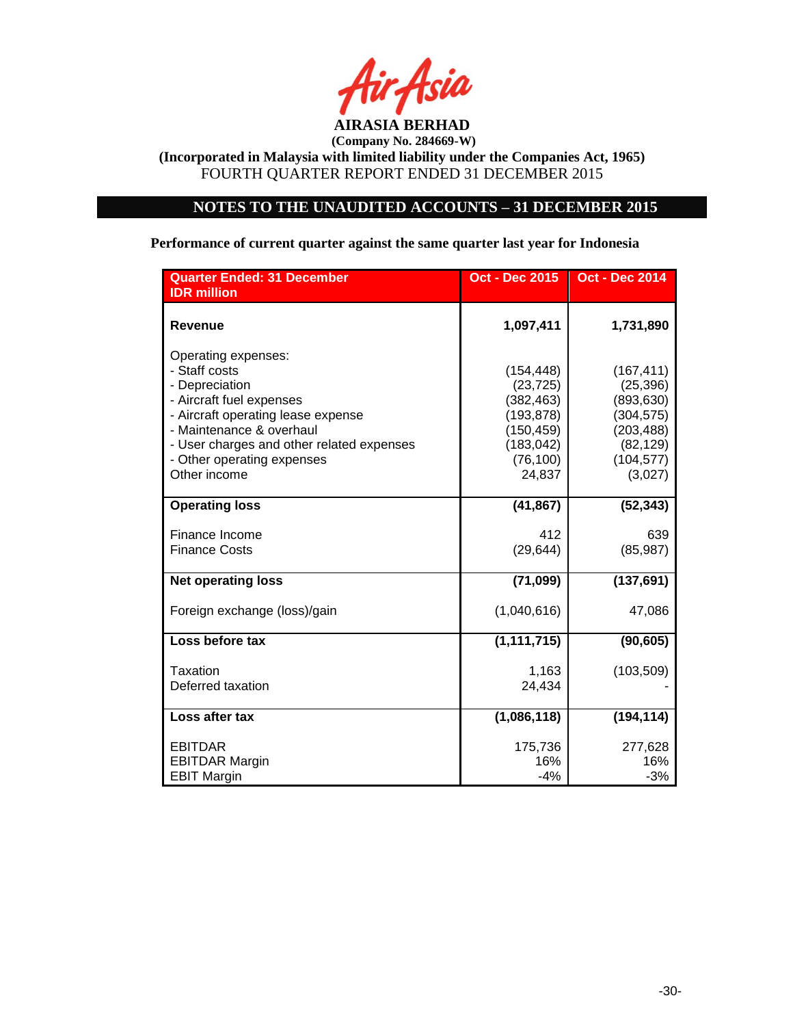

# **NOTES TO THE UNAUDITED ACCOUNTS – 31 DECEMBER 2015**

### **Performance of current quarter against the same quarter last year for Indonesia**

| <b>Quarter Ended: 31 December</b><br><b>IDR</b> million                                                                                                                                                                                         | <b>Oct - Dec 2015</b>                                                                                  | <b>Oct - Dec 2014</b>                                                                                   |
|-------------------------------------------------------------------------------------------------------------------------------------------------------------------------------------------------------------------------------------------------|--------------------------------------------------------------------------------------------------------|---------------------------------------------------------------------------------------------------------|
| <b>Revenue</b>                                                                                                                                                                                                                                  | 1,097,411                                                                                              | 1,731,890                                                                                               |
| Operating expenses:<br>- Staff costs<br>- Depreciation<br>- Aircraft fuel expenses<br>- Aircraft operating lease expense<br>- Maintenance & overhaul<br>- User charges and other related expenses<br>- Other operating expenses<br>Other income | (154, 448)<br>(23, 725)<br>(382, 463)<br>(193, 878)<br>(150, 459)<br>(183, 042)<br>(76, 100)<br>24,837 | (167, 411)<br>(25, 396)<br>(893, 630)<br>(304, 575)<br>(203, 488)<br>(82, 129)<br>(104, 577)<br>(3,027) |
| <b>Operating loss</b>                                                                                                                                                                                                                           | (41, 867)                                                                                              | (52, 343)                                                                                               |
| Finance Income<br><b>Finance Costs</b>                                                                                                                                                                                                          | 412<br>(29, 644)                                                                                       | 639<br>(85, 987)                                                                                        |
| <b>Net operating loss</b>                                                                                                                                                                                                                       | (71, 099)                                                                                              | (137, 691)                                                                                              |
| Foreign exchange (loss)/gain                                                                                                                                                                                                                    | (1,040,616)                                                                                            | 47,086                                                                                                  |
| Loss before tax                                                                                                                                                                                                                                 | (1, 111, 715)                                                                                          | (90, 605)                                                                                               |
| Taxation<br>Deferred taxation                                                                                                                                                                                                                   | 1,163<br>24,434                                                                                        | (103, 509)                                                                                              |
| Loss after tax                                                                                                                                                                                                                                  | (1,086,118)                                                                                            | (194, 114)                                                                                              |
| <b>EBITDAR</b><br><b>EBITDAR Margin</b><br><b>EBIT Margin</b>                                                                                                                                                                                   | 175,736<br>16%<br>$-4%$                                                                                | 277,628<br>16%<br>$-3%$                                                                                 |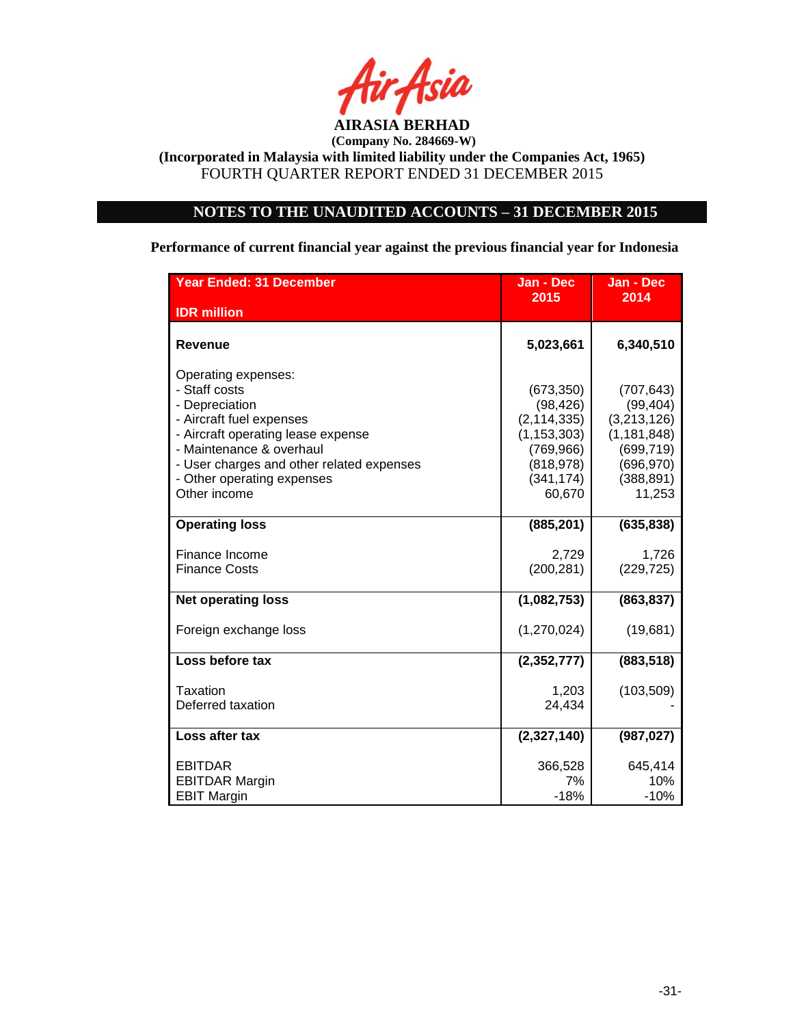

# **NOTES TO THE UNAUDITED ACCOUNTS – 31 DECEMBER 2015**

**Performance of current financial year against the previous financial year for Indonesia**

| Year Ended: 31 December                                                                                                                                                                                                                         | Jan - Dec                                                                                                     | Jan - Dec                                                                                                   |
|-------------------------------------------------------------------------------------------------------------------------------------------------------------------------------------------------------------------------------------------------|---------------------------------------------------------------------------------------------------------------|-------------------------------------------------------------------------------------------------------------|
| <b>IDR</b> million                                                                                                                                                                                                                              | 2015                                                                                                          | 2014                                                                                                        |
| <b>Revenue</b>                                                                                                                                                                                                                                  | 5,023,661                                                                                                     | 6,340,510                                                                                                   |
| Operating expenses:<br>- Staff costs<br>- Depreciation<br>- Aircraft fuel expenses<br>- Aircraft operating lease expense<br>- Maintenance & overhaul<br>- User charges and other related expenses<br>- Other operating expenses<br>Other income | (673, 350)<br>(98, 426)<br>(2, 114, 335)<br>(1, 153, 303)<br>(769, 966)<br>(818, 978)<br>(341, 174)<br>60,670 | (707, 643)<br>(99, 404)<br>(3,213,126)<br>(1, 181, 848)<br>(699, 719)<br>(696, 970)<br>(388, 891)<br>11,253 |
| <b>Operating loss</b>                                                                                                                                                                                                                           | (885, 201)                                                                                                    | (635, 838)                                                                                                  |
| Finance Income<br><b>Finance Costs</b>                                                                                                                                                                                                          | 2,729<br>(200, 281)                                                                                           | 1,726<br>(229, 725)                                                                                         |
| <b>Net operating loss</b>                                                                                                                                                                                                                       | (1,082,753)                                                                                                   | (863, 837)                                                                                                  |
| Foreign exchange loss                                                                                                                                                                                                                           | (1, 270, 024)                                                                                                 | (19,681)                                                                                                    |
| Loss before tax                                                                                                                                                                                                                                 | (2, 352, 777)                                                                                                 | (883, 518)                                                                                                  |
| Taxation<br>Deferred taxation                                                                                                                                                                                                                   | 1,203<br>24,434                                                                                               | (103, 509)                                                                                                  |
| Loss after tax                                                                                                                                                                                                                                  | (2,327,140)                                                                                                   | (987, 027)                                                                                                  |
| <b>EBITDAR</b><br><b>EBITDAR Margin</b><br><b>EBIT Margin</b>                                                                                                                                                                                   | 366,528<br>7%<br>$-18%$                                                                                       | 645,414<br>10%<br>$-10%$                                                                                    |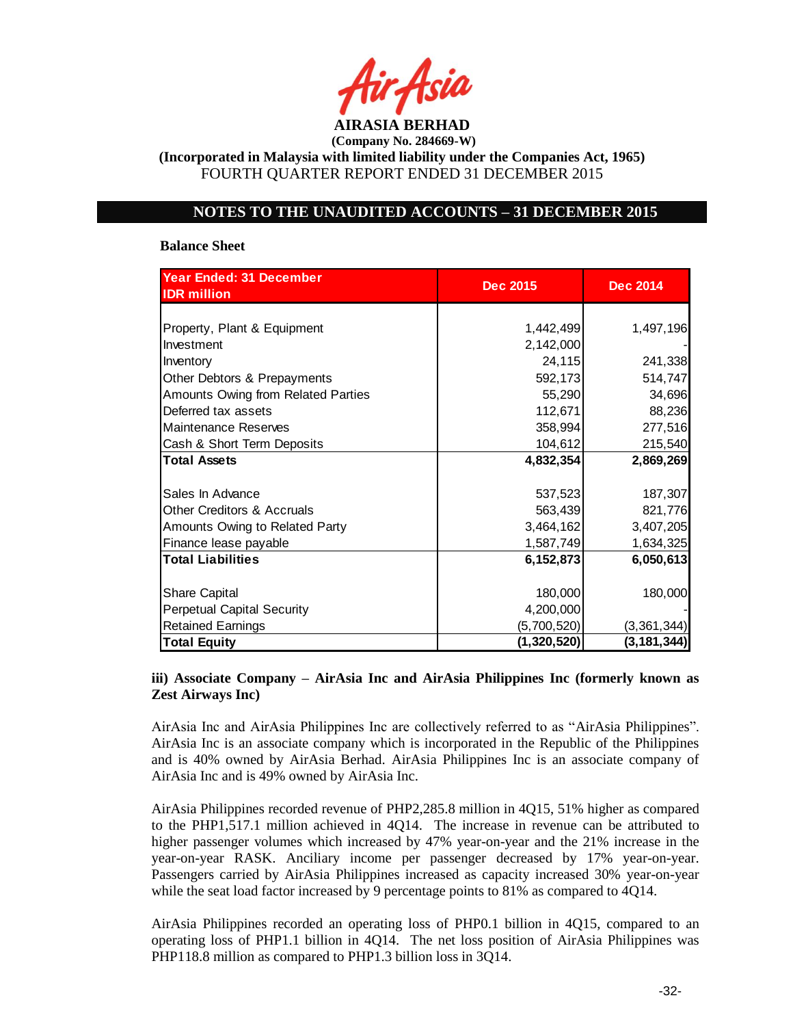

**(Incorporated in Malaysia with limited liability under the Companies Act, 1965)** FOURTH QUARTER REPORT ENDED 31 DECEMBER 2015

## **NOTES TO THE UNAUDITED ACCOUNTS – 31 DECEMBER 2015**

#### **Balance Sheet**

| Year Ended: 31 December<br><b>IDR</b> million | <b>Dec 2015</b> | <b>Dec 2014</b> |
|-----------------------------------------------|-----------------|-----------------|
|                                               |                 |                 |
| Property, Plant & Equipment                   | 1,442,499       | 1,497,196       |
| Investment                                    | 2,142,000       |                 |
| Inventory                                     | 24,115          | 241,338         |
| Other Debtors & Prepayments                   | 592,173         | 514,747         |
|                                               |                 |                 |
| Amounts Owing from Related Parties            | 55,290          | 34,696          |
| Deferred tax assets                           | 112,671         | 88,236          |
| <b>Maintenance Reserves</b>                   | 358,994         | 277,516         |
| Cash & Short Term Deposits                    | 104,612         | 215,540         |
| <b>Total Assets</b>                           | 4,832,354       | 2,869,269       |
|                                               |                 |                 |
| Sales In Advance                              | 537,523         | 187,307         |
| Other Creditors & Accruals                    | 563,439         | 821,776         |
| Amounts Owing to Related Party                | 3,464,162       | 3,407,205       |
| Finance lease payable                         | 1,587,749       | 1,634,325       |
| <b>Total Liabilities</b>                      | 6,152,873       | 6,050,613       |
|                                               |                 |                 |
| <b>Share Capital</b>                          | 180,000         | 180,000         |
| <b>Perpetual Capital Security</b>             | 4,200,000       |                 |
| <b>Retained Earnings</b>                      | (5,700,520)     | (3, 361, 344)   |
| <b>Total Equity</b>                           | (1,320,520)     | (3,181,344)     |

### **iii) Associate Company – AirAsia Inc and AirAsia Philippines Inc (formerly known as Zest Airways Inc)**

AirAsia Inc and AirAsia Philippines Inc are collectively referred to as "AirAsia Philippines". AirAsia Inc is an associate company which is incorporated in the Republic of the Philippines and is 40% owned by AirAsia Berhad. AirAsia Philippines Inc is an associate company of AirAsia Inc and is 49% owned by AirAsia Inc.

AirAsia Philippines recorded revenue of PHP2,285.8 million in 4Q15, 51% higher as compared to the PHP1,517.1 million achieved in 4Q14. The increase in revenue can be attributed to higher passenger volumes which increased by 47% year-on-year and the 21% increase in the year-on-year RASK. Anciliary income per passenger decreased by 17% year-on-year. Passengers carried by AirAsia Philippines increased as capacity increased 30% year-on-year while the seat load factor increased by 9 percentage points to 81% as compared to 4Q14.

AirAsia Philippines recorded an operating loss of PHP0.1 billion in 4Q15, compared to an operating loss of PHP1.1 billion in 4Q14. The net loss position of AirAsia Philippines was PHP118.8 million as compared to PHP1.3 billion loss in 3Q14.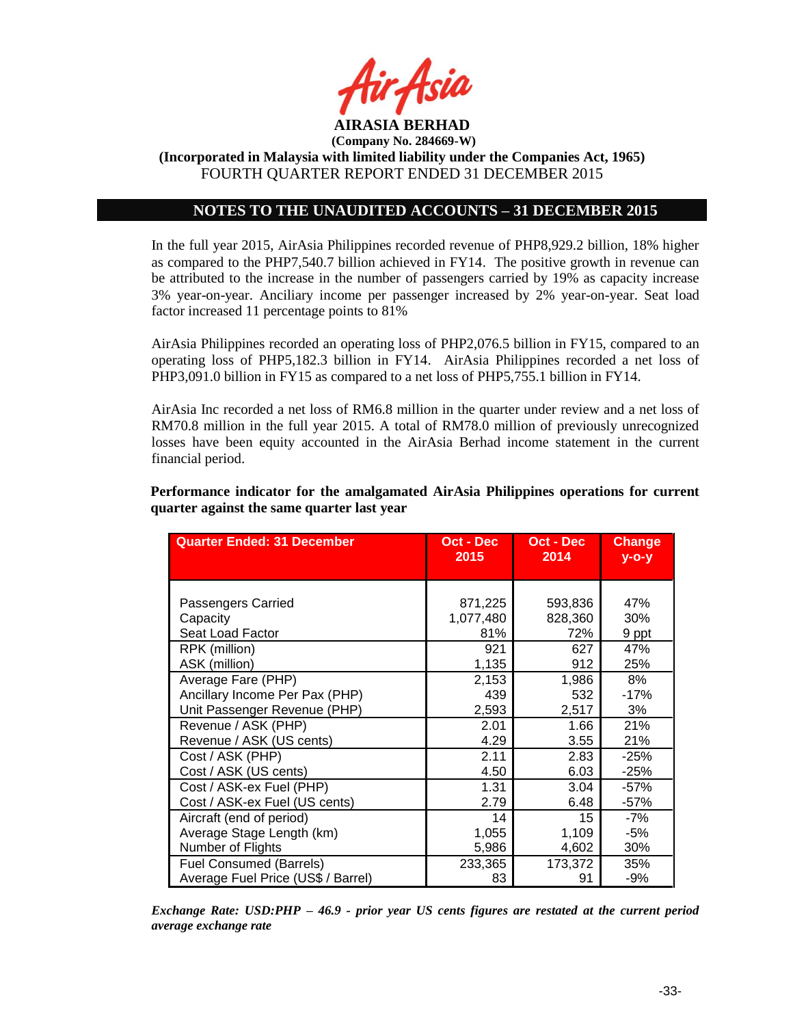

**(Incorporated in Malaysia with limited liability under the Companies Act, 1965)** FOURTH QUARTER REPORT ENDED 31 DECEMBER 2015

## **NOTES TO THE UNAUDITED ACCOUNTS – 31 DECEMBER 2015**

In the full year 2015, AirAsia Philippines recorded revenue of PHP8,929.2 billion, 18% higher as compared to the PHP7,540.7 billion achieved in FY14. The positive growth in revenue can be attributed to the increase in the number of passengers carried by 19% as capacity increase 3% year-on-year. Anciliary income per passenger increased by 2% year-on-year. Seat load factor increased 11 percentage points to 81%

AirAsia Philippines recorded an operating loss of PHP2,076.5 billion in FY15, compared to an operating loss of PHP5,182.3 billion in FY14. AirAsia Philippines recorded a net loss of PHP3,091.0 billion in FY15 as compared to a net loss of PHP5,755.1 billion in FY14.

AirAsia Inc recorded a net loss of RM6.8 million in the quarter under review and a net loss of RM70.8 million in the full year 2015. A total of RM78.0 million of previously unrecognized losses have been equity accounted in the AirAsia Berhad income statement in the current financial period.

**Quarter Ended: 31 December <b>CE Oct -** Dec **2015 Oct - Dec 2014 Change y-o-y** Passengers Carried **871,225 693,836** 47% Capacity 1,077,480 828,360 30% Seat Load Factor 81% | 72% | 9 ppt RPK (million) 921 | 627 | 47% ASK (million) 1,135 912 25% Average Fare (PHP) 2,153 | 1,986 | 8% Ancillary Income Per Pax (PHP) | 439 | 532 | -17% Unit Passenger Revenue (PHP)  $\qquad \qquad$  2,593  $\qquad \qquad$  2,517  $\qquad \qquad$  3%

**Performance indicator for the amalgamated AirAsia Philippines operations for current quarter against the same quarter last year**

| Passengers Carried                 | 871,225   | 593,836 | 47%    |
|------------------------------------|-----------|---------|--------|
| Capacity                           | 1,077,480 | 828,360 | 30%    |
| Seat Load Factor                   | 81%       | 72%     | 9 ppt  |
| RPK (million)                      | 921       | 627     | 47%    |
| ASK (million)                      | 1,135     | 912     | 25%    |
| Average Fare (PHP)                 | 2,153     | 1,986   | 8%     |
| Ancillary Income Per Pax (PHP)     | 439       | 532     | $-17%$ |
| Unit Passenger Revenue (PHP)       | 2,593     | 2,517   | 3%     |
| Revenue / ASK (PHP)                | 2.01      | 1.66    | 21%    |
| Revenue / ASK (US cents)           | 4.29      | 3.55    | 21%    |
| Cost / ASK (PHP)                   | 2.11      | 2.83    | $-25%$ |
| Cost / ASK (US cents)              | 4.50      | 6.03    | $-25%$ |
| Cost / ASK-ex Fuel (PHP)           | 1.31      | 3.04    | $-57%$ |
| Cost / ASK-ex Fuel (US cents)      | 2.79      | 6.48    | $-57%$ |
| Aircraft (end of period)           | 14        | 15      | $-7%$  |
| Average Stage Length (km)          | 1,055     | 1,109   | -5%    |
| Number of Flights                  | 5,986     | 4,602   | 30%    |
| Fuel Consumed (Barrels)            | 233,365   | 173.372 | 35%    |
| Average Fuel Price (US\$ / Barrel) | 83        | 91      | $-9%$  |

*Exchange Rate: USD:PHP – 46.9 - prior year US cents figures are restated at the current period average exchange rate*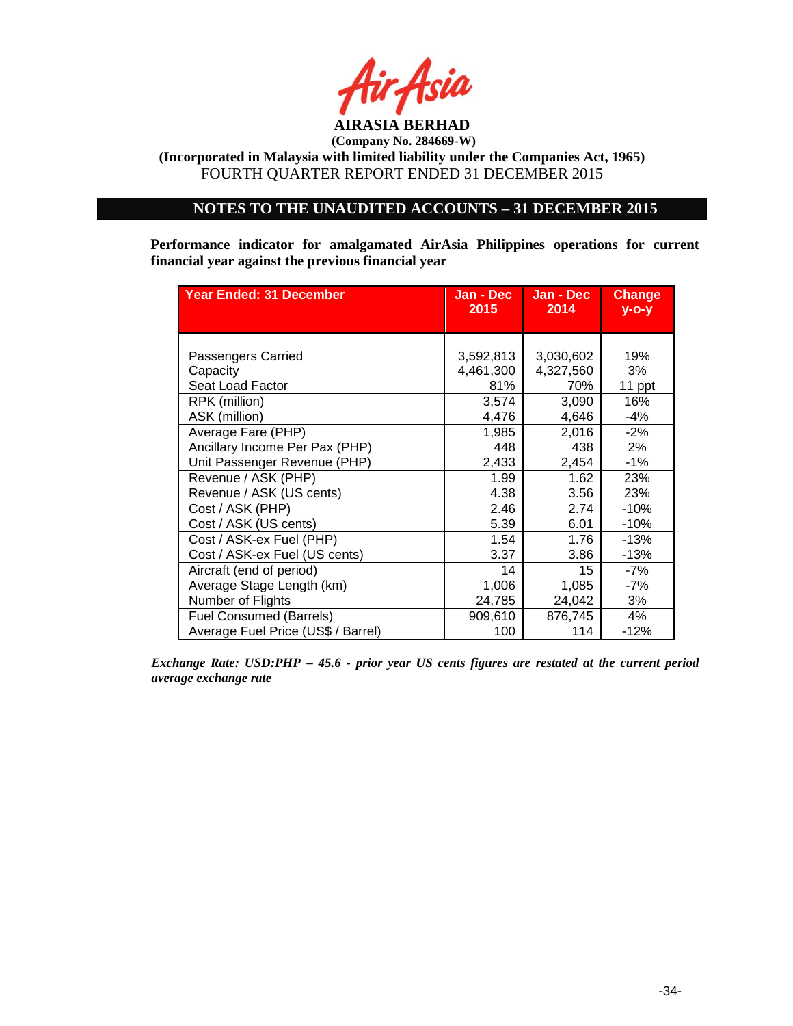

**(Incorporated in Malaysia with limited liability under the Companies Act, 1965)** FOURTH QUARTER REPORT ENDED 31 DECEMBER 2015

# **NOTES TO THE UNAUDITED ACCOUNTS – 31 DECEMBER 2015**

**Performance indicator for amalgamated AirAsia Philippines operations for current financial year against the previous financial year**

| Year Ended: 31 December                              | Jan - Dec<br>2015             | Jan - Dec<br>2014             | <b>Change</b><br>$V - O - V$ |
|------------------------------------------------------|-------------------------------|-------------------------------|------------------------------|
|                                                      |                               |                               |                              |
| Passengers Carried<br>Capacity<br>Seat Load Factor   | 3,592,813<br>4,461,300<br>81% | 3,030,602<br>4,327,560<br>70% | 19%<br>3%<br>11 ppt          |
| RPK (million)                                        | 3,574                         | 3,090                         | 16%                          |
| ASK (million)                                        | 4,476                         | 4,646                         | -4%                          |
| Average Fare (PHP)<br>Ancillary Income Per Pax (PHP) | 1,985<br>448                  | 2,016<br>438                  | $-2%$<br>2%                  |
| Unit Passenger Revenue (PHP)                         | 2,433                         | 2,454                         | $-1%$                        |
| Revenue / ASK (PHP)                                  | 1.99                          | 1.62                          | 23%                          |
| Revenue / ASK (US cents)                             | 4.38                          | 3.56                          | 23%                          |
| Cost / ASK (PHP)                                     | 2.46                          | 2.74                          | $-10%$                       |
| Cost / ASK (US cents)                                | 5.39                          | 6.01                          | $-10%$                       |
| Cost / ASK-ex Fuel (PHP)                             | 1.54                          | 1.76                          | $-13%$                       |
| Cost / ASK-ex Fuel (US cents)                        | 3.37                          | 3.86                          | $-13%$                       |
| Aircraft (end of period)                             | 14                            | 15                            | -7%                          |
| Average Stage Length (km)                            | 1,006                         | 1,085                         | -7%                          |
| Number of Flights                                    | 24,785                        | 24,042                        | 3%                           |
| <b>Fuel Consumed (Barrels)</b>                       | 909,610                       | 876,745                       | 4%                           |
| Average Fuel Price (US\$ / Barrel)                   | 100                           | 114                           | $-12%$                       |

*Exchange Rate: USD:PHP – 45.6 - prior year US cents figures are restated at the current period average exchange rate*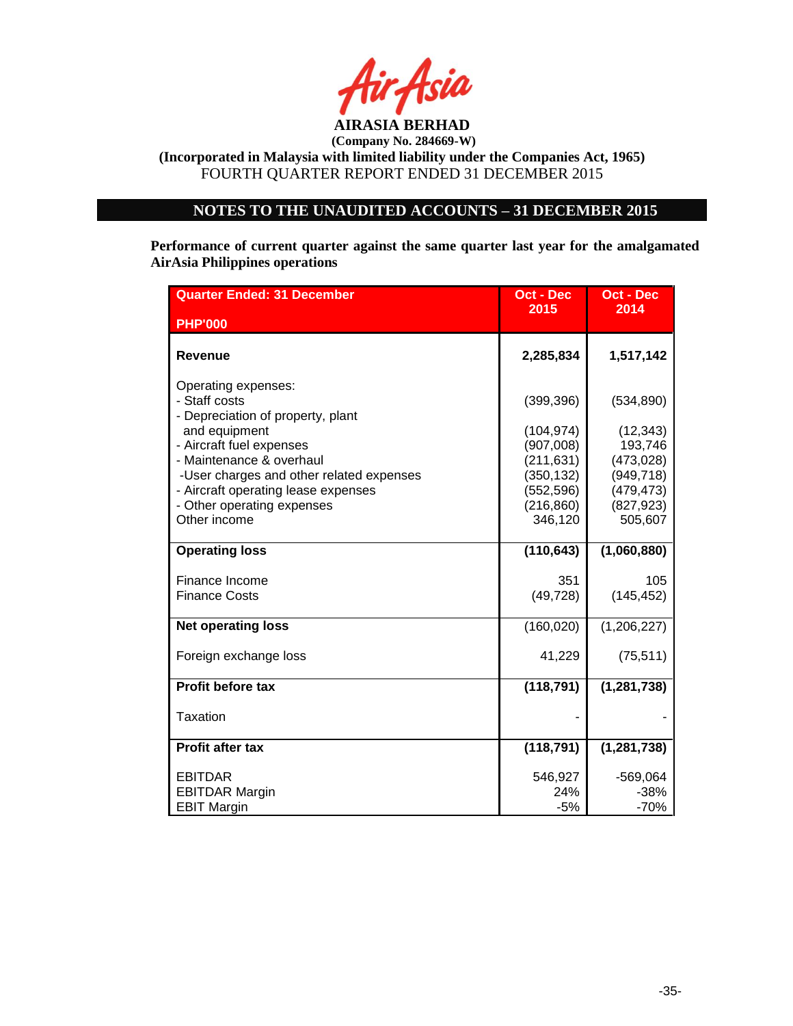

# **NOTES TO THE UNAUDITED ACCOUNTS – 31 DECEMBER 2015**

**Performance of current quarter against the same quarter last year for the amalgamated AirAsia Philippines operations** 

| <b>Quarter Ended: 31 December</b>                                                                                             | <b>Oct - Dec</b>                                  | <b>Oct - Dec</b>                                  |
|-------------------------------------------------------------------------------------------------------------------------------|---------------------------------------------------|---------------------------------------------------|
| <b>PHP'000</b>                                                                                                                | 2015                                              | 2014                                              |
| <b>Revenue</b>                                                                                                                | 2,285,834                                         | 1,517,142                                         |
| Operating expenses:<br>- Staff costs<br>- Depreciation of property, plant<br>and equipment                                    | (399, 396)<br>(104, 974)                          | (534, 890)<br>(12, 343)                           |
| - Aircraft fuel expenses<br>- Maintenance & overhaul                                                                          | (907,008)<br>(211, 631)                           | 193,746<br>(473, 028)                             |
| -User charges and other related expenses<br>- Aircraft operating lease expenses<br>- Other operating expenses<br>Other income | (350, 132)<br>(552, 596)<br>(216, 860)<br>346,120 | (949, 718)<br>(479, 473)<br>(827, 923)<br>505,607 |
| <b>Operating loss</b>                                                                                                         | (110, 643)                                        | (1,060,880)                                       |
| Finance Income<br><b>Finance Costs</b>                                                                                        | 351<br>(49, 728)                                  | 105<br>(145, 452)                                 |
| <b>Net operating loss</b>                                                                                                     | (160, 020)                                        | (1,206,227)                                       |
| Foreign exchange loss                                                                                                         | 41,229                                            | (75, 511)                                         |
| Profit before tax                                                                                                             | (118, 791)                                        | (1, 281, 738)                                     |
| <b>Taxation</b>                                                                                                               |                                                   |                                                   |
| Profit after tax                                                                                                              | (118, 791)                                        | (1, 281, 738)                                     |
| <b>EBITDAR</b><br><b>EBITDAR Margin</b><br><b>EBIT Margin</b>                                                                 | 546,927<br>24%<br>$-5%$                           | $-569,064$<br>$-38%$<br>$-70%$                    |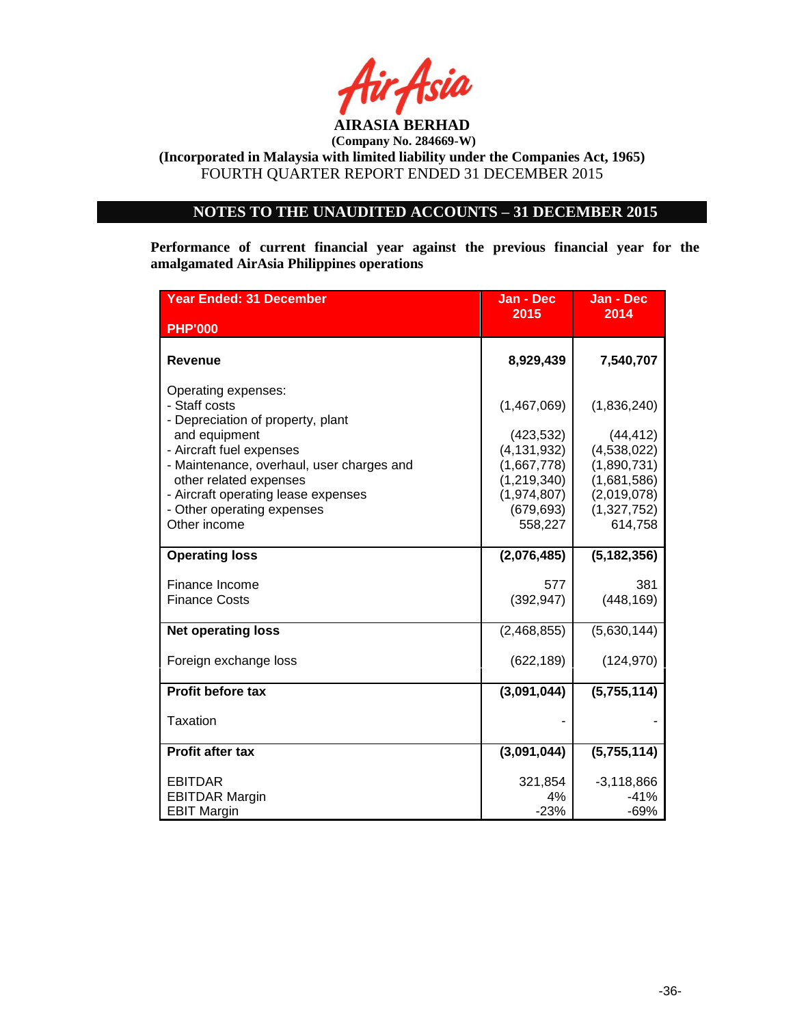

# **NOTES TO THE UNAUDITED ACCOUNTS – 31 DECEMBER 2015**

**Performance of current financial year against the previous financial year for the amalgamated AirAsia Philippines operations**

| <b>Year Ended: 31 December</b>                                                                                                                                                                                                                                                     | Jan - Dec                                                                                                          | Jan - Dec                                                                                                      |
|------------------------------------------------------------------------------------------------------------------------------------------------------------------------------------------------------------------------------------------------------------------------------------|--------------------------------------------------------------------------------------------------------------------|----------------------------------------------------------------------------------------------------------------|
| <b>PHP'000</b>                                                                                                                                                                                                                                                                     | 2015                                                                                                               | 2014                                                                                                           |
| <b>Revenue</b>                                                                                                                                                                                                                                                                     | 8,929,439                                                                                                          | 7,540,707                                                                                                      |
| Operating expenses:<br>- Staff costs<br>- Depreciation of property, plant<br>and equipment<br>- Aircraft fuel expenses<br>- Maintenance, overhaul, user charges and<br>other related expenses<br>- Aircraft operating lease expenses<br>- Other operating expenses<br>Other income | (1,467,069)<br>(423, 532)<br>(4, 131, 932)<br>(1,667,778)<br>(1, 219, 340)<br>(1,974,807)<br>(679, 693)<br>558,227 | (1,836,240)<br>(44, 412)<br>(4,538,022)<br>(1,890,731)<br>(1,681,586)<br>(2,019,078)<br>(1,327,752)<br>614,758 |
| <b>Operating loss</b>                                                                                                                                                                                                                                                              | (2,076,485)                                                                                                        | (5, 182, 356)                                                                                                  |
| Finance Income<br><b>Finance Costs</b>                                                                                                                                                                                                                                             | 577<br>(392, 947)                                                                                                  | 381<br>(448, 169)                                                                                              |
| <b>Net operating loss</b>                                                                                                                                                                                                                                                          | (2,468,855)                                                                                                        | (5,630,144)                                                                                                    |
| Foreign exchange loss                                                                                                                                                                                                                                                              | (622, 189)                                                                                                         | (124, 970)                                                                                                     |
| <b>Profit before tax</b>                                                                                                                                                                                                                                                           | (3,091,044)                                                                                                        | (5,755,114)                                                                                                    |
| Taxation                                                                                                                                                                                                                                                                           |                                                                                                                    |                                                                                                                |
| <b>Profit after tax</b>                                                                                                                                                                                                                                                            | (3,091,044)                                                                                                        | (5,755,114)                                                                                                    |
| <b>EBITDAR</b><br><b>EBITDAR Margin</b><br><b>EBIT Margin</b>                                                                                                                                                                                                                      | 321,854<br>4%<br>$-23%$                                                                                            | $-3,118,866$<br>$-41%$<br>$-69%$                                                                               |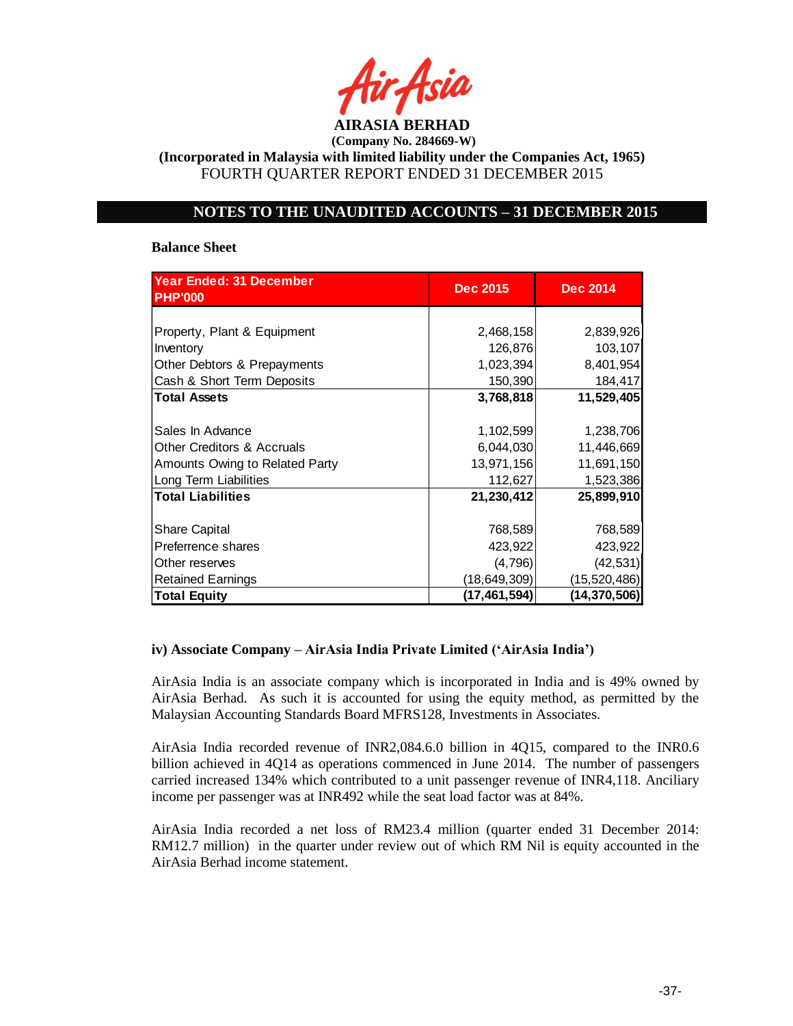

**(Incorporated in Malaysia with limited liability under the Companies Act, 1965)** FOURTH QUARTER REPORT ENDED 31 DECEMBER 2015

### **NOTES TO THE UNAUDITED ACCOUNTS – 31 DECEMBER 2015**

#### **Balance Sheet**

| <b>Year Ended: 31 December</b>        |                 |                 |
|---------------------------------------|-----------------|-----------------|
| <b>PHP'000</b>                        | <b>Dec 2015</b> | <b>Dec 2014</b> |
|                                       |                 |                 |
| Property, Plant & Equipment           | 2,468,158       | 2,839,926       |
| Inventory                             | 126,876         | 103,107         |
| Other Debtors & Prepayments           | 1,023,394       | 8,401,954       |
| Cash & Short Term Deposits            | 150,390         | 184,417         |
| <b>Total Assets</b>                   | 3,768,818       | 11,529,405      |
|                                       |                 |                 |
| Sales In Advance                      | 1,102,599       | 1,238,706       |
| <b>Other Creditors &amp; Accruals</b> | 6,044,030       | 11,446,669      |
| Amounts Owing to Related Party        | 13,971,156      | 11,691,150      |
| Long Term Liabilities                 | 112,627         | 1,523,386       |
| <b>Total Liabilities</b>              | 21,230,412      | 25,899,910      |
|                                       |                 |                 |
| <b>Share Capital</b>                  | 768,589         | 768,589         |
| Preferrence shares                    | 423,922         | 423,922         |
| Other reserves                        | (4,796)         | (42, 531)       |
| <b>Retained Earnings</b>              | (18,649,309)    | (15, 520, 486)  |
| <b>Total Equity</b>                   | (17,461,594)    | (14, 370, 506)  |

#### **iv) Associate Company – AirAsia India Private Limited ('AirAsia India')**

AirAsia India is an associate company which is incorporated in India and is 49% owned by AirAsia Berhad. As such it is accounted for using the equity method, as permitted by the Malaysian Accounting Standards Board MFRS128, Investments in Associates.

AirAsia India recorded revenue of INR2,084.6.0 billion in 4Q15, compared to the INR0.6 billion achieved in 4Q14 as operations commenced in June 2014. The number of passengers carried increased 134% which contributed to a unit passenger revenue of INR4,118. Anciliary income per passenger was at INR492 while the seat load factor was at 84%.

AirAsia India recorded a net loss of RM23.4 million (quarter ended 31 December 2014: RM12.7 million) in the quarter under review out of which RM Nil is equity accounted in the AirAsia Berhad income statement.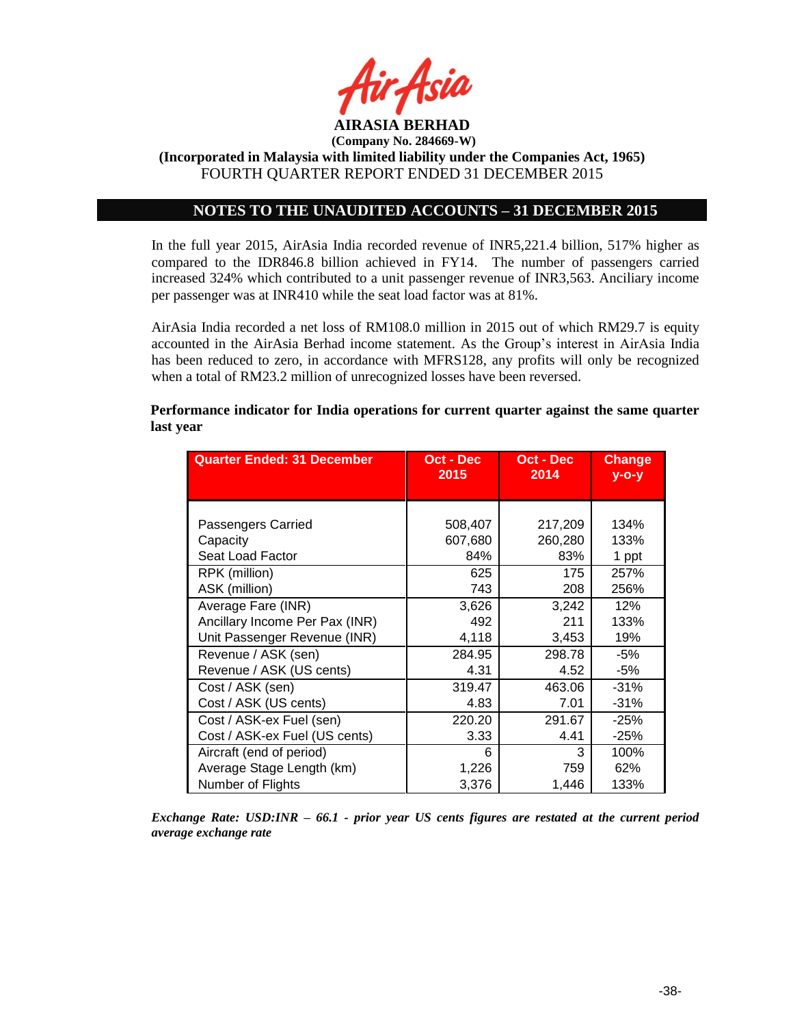

### **NOTES TO THE UNAUDITED ACCOUNTS – 31 DECEMBER 2015**

In the full year 2015, AirAsia India recorded revenue of INR5,221.4 billion, 517% higher as compared to the IDR846.8 billion achieved in FY14. The number of passengers carried increased 324% which contributed to a unit passenger revenue of INR3,563. Anciliary income per passenger was at INR410 while the seat load factor was at 81%.

AirAsia India recorded a net loss of RM108.0 million in 2015 out of which RM29.7 is equity accounted in the AirAsia Berhad income statement. As the Group's interest in AirAsia India has been reduced to zero, in accordance with MFRS128, any profits will only be recognized when a total of RM23.2 million of unrecognized losses have been reversed.

| <b>Quarter Ended: 31 December</b> | Oct - Dec<br>2015 | Oct - Dec<br>2014 | <b>Change</b><br>$y$ -o-y |
|-----------------------------------|-------------------|-------------------|---------------------------|
|                                   |                   |                   |                           |
| Passengers Carried                | 508,407           | 217,209           | 134%                      |
| Capacity                          | 607,680           | 260,280           | 133%                      |
| Seat Load Factor                  | 84%               | 83%               | 1 ppt                     |
| RPK (million)                     | 625               | 175               | 257%                      |
| ASK (million)                     | 743               | 208               | 256%                      |
| Average Fare (INR)                | 3,626             | 3,242             | 12%                       |
| Ancillary Income Per Pax (INR)    | 492               | 211               | 133%                      |
| Unit Passenger Revenue (INR)      | 4,118             | 3,453             | 19%                       |
| Revenue / ASK (sen)               | 284.95            | 298.78            | -5%                       |
| Revenue / ASK (US cents)          | 4.31              | 4.52              | -5%                       |
| Cost / ASK (sen)                  | 319.47            | 463.06            | $-31%$                    |
| Cost / ASK (US cents)             | 4.83              | 7.01              | $-31%$                    |
| Cost / ASK-ex Fuel (sen)          | 220.20            | 291.67            | $-25%$                    |
| Cost / ASK-ex Fuel (US cents)     | 3.33              | 4.41              | $-25%$                    |
| Aircraft (end of period)          | 6                 | 3                 | 100%                      |
| Average Stage Length (km)         | 1,226             | 759               | 62%                       |
| Number of Flights                 | 3,376             | 1,446             | 133%                      |

**Performance indicator for India operations for current quarter against the same quarter last year**

*Exchange Rate: USD:INR – 66.1 - prior year US cents figures are restated at the current period average exchange rate*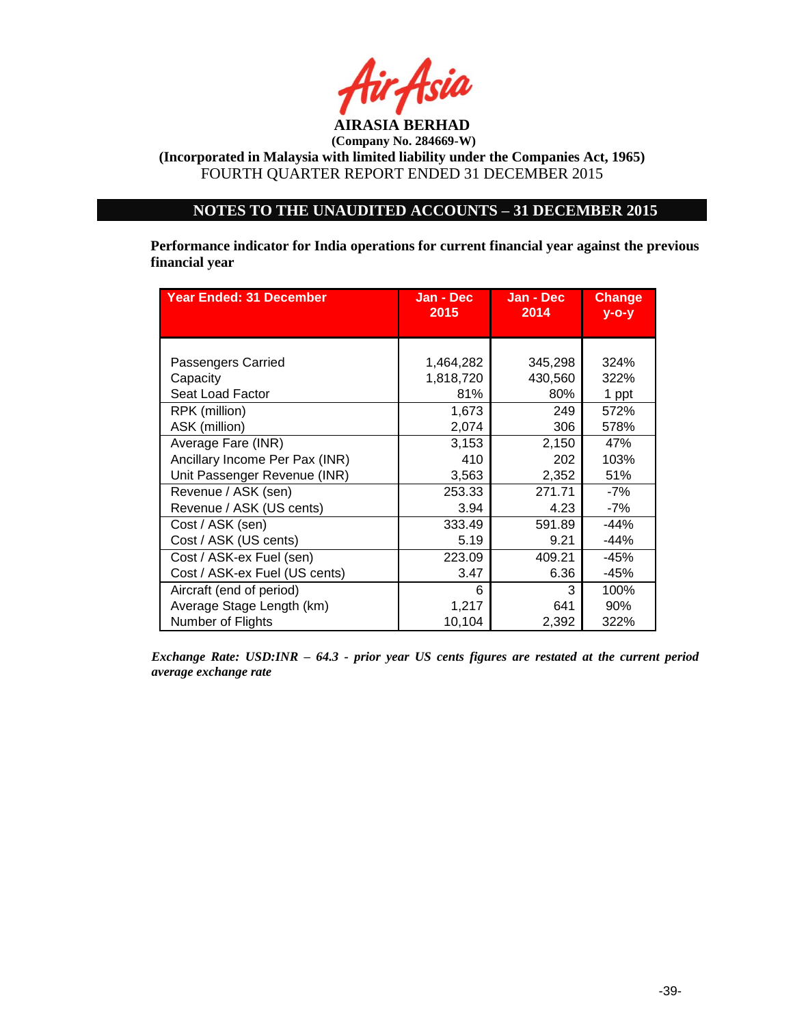

**(Incorporated in Malaysia with limited liability under the Companies Act, 1965)** FOURTH QUARTER REPORT ENDED 31 DECEMBER 2015

# **NOTES TO THE UNAUDITED ACCOUNTS – 31 DECEMBER 2015**

**Performance indicator for India operations for current financial year against the previous financial year**

| <b>Year Ended: 31 December</b> | Jan - Dec<br>2015 | Jan - Dec<br>2014 | <b>Change</b><br>$V - O - V$ |
|--------------------------------|-------------------|-------------------|------------------------------|
|                                |                   |                   |                              |
| Passengers Carried             | 1,464,282         | 345,298           | 324%                         |
| Capacity                       | 1,818,720         | 430,560           | 322%                         |
| Seat Load Factor               | 81%               | 80%               | 1 ppt                        |
| RPK (million)                  | 1,673             | 249               | 572%                         |
| ASK (million)                  | 2,074             | 306               | 578%                         |
| Average Fare (INR)             | 3,153             | 2,150             | 47%                          |
| Ancillary Income Per Pax (INR) | 410               | 202               | 103%                         |
| Unit Passenger Revenue (INR)   | 3,563             | 2,352             | 51%                          |
| Revenue / ASK (sen)            | 253.33            | 271.71            | -7%                          |
| Revenue / ASK (US cents)       | 3.94              | 4.23              | $-7%$                        |
| Cost / ASK (sen)               | 333.49            | 591.89            | $-44%$                       |
| Cost / ASK (US cents)          | 5.19              | 9.21              | $-44%$                       |
| Cost / ASK-ex Fuel (sen)       | 223.09            | 409.21            | -45%                         |
| Cost / ASK-ex Fuel (US cents)  | 3.47              | 6.36              | -45%                         |
| Aircraft (end of period)       | 6                 | 3                 | 100%                         |
| Average Stage Length (km)      | 1,217             | 641               | 90%                          |
| Number of Flights              | 10,104            | 2,392             | 322%                         |

*Exchange Rate: USD:INR – 64.3 - prior year US cents figures are restated at the current period average exchange rate*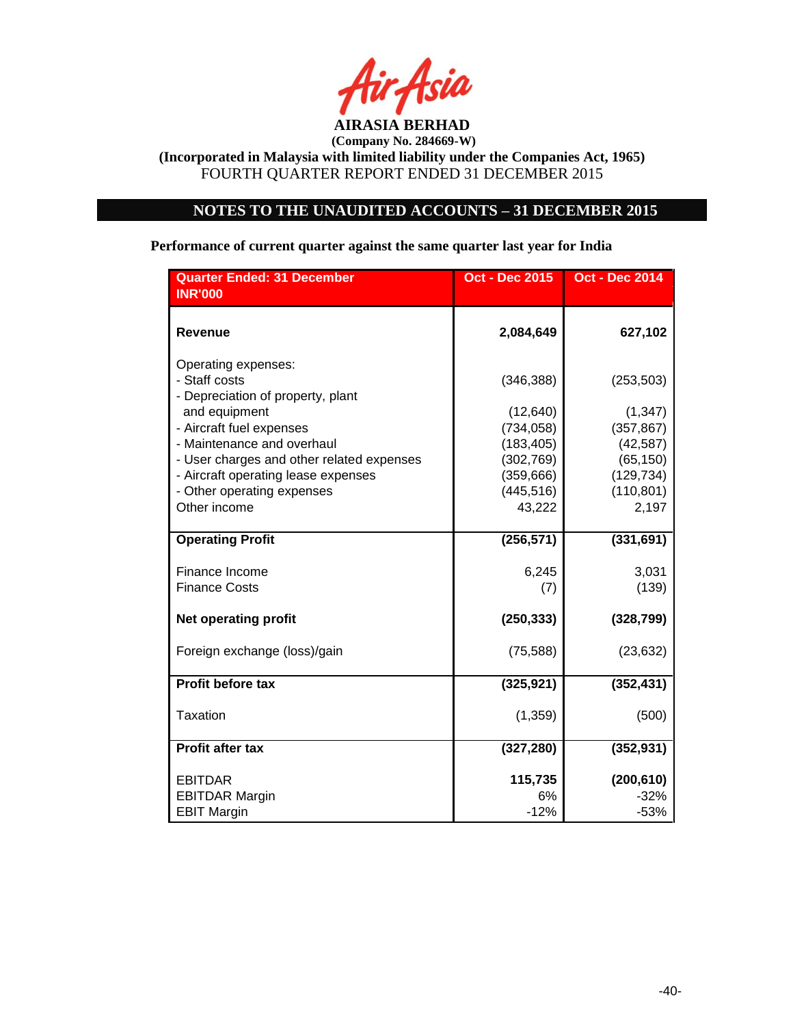

# **NOTES TO THE UNAUDITED ACCOUNTS – 31 DECEMBER 2015**

# **Performance of current quarter against the same quarter last year for India**

| <b>Quarter Ended: 31 December</b><br><b>INR'000</b>                       | <b>Oct - Dec 2015</b> | <b>Oct - Dec 2014</b> |
|---------------------------------------------------------------------------|-----------------------|-----------------------|
|                                                                           |                       |                       |
| <b>Revenue</b>                                                            | 2,084,649             | 627,102               |
| Operating expenses:<br>- Staff costs<br>- Depreciation of property, plant | (346, 388)            | (253, 503)            |
| and equipment                                                             | (12, 640)             | (1, 347)              |
| - Aircraft fuel expenses                                                  | (734, 058)            | (357, 867)            |
| - Maintenance and overhaul                                                | (183, 405)            | (42, 587)             |
| - User charges and other related expenses                                 | (302, 769)            | (65, 150)             |
| - Aircraft operating lease expenses                                       | (359, 666)            | (129, 734)            |
| - Other operating expenses                                                | (445, 516)            | (110, 801)            |
| Other income                                                              | 43,222                | 2,197                 |
| <b>Operating Profit</b>                                                   | (256, 571)            | (331, 691)            |
| Finance Income                                                            | 6,245                 | 3,031                 |
| <b>Finance Costs</b>                                                      | (7)                   | (139)                 |
| <b>Net operating profit</b>                                               | (250, 333)            | (328, 799)            |
| Foreign exchange (loss)/gain                                              | (75, 588)             | (23, 632)             |
| <b>Profit before tax</b>                                                  | (325, 921)            | (352, 431)            |
| Taxation                                                                  | (1, 359)              | (500)                 |
| <b>Profit after tax</b>                                                   | (327, 280)            | (352, 931)            |
| <b>EBITDAR</b>                                                            | 115,735               | (200, 610)            |
| <b>EBITDAR Margin</b>                                                     | 6%                    | $-32%$                |
| <b>EBIT Margin</b>                                                        | $-12%$                | $-53%$                |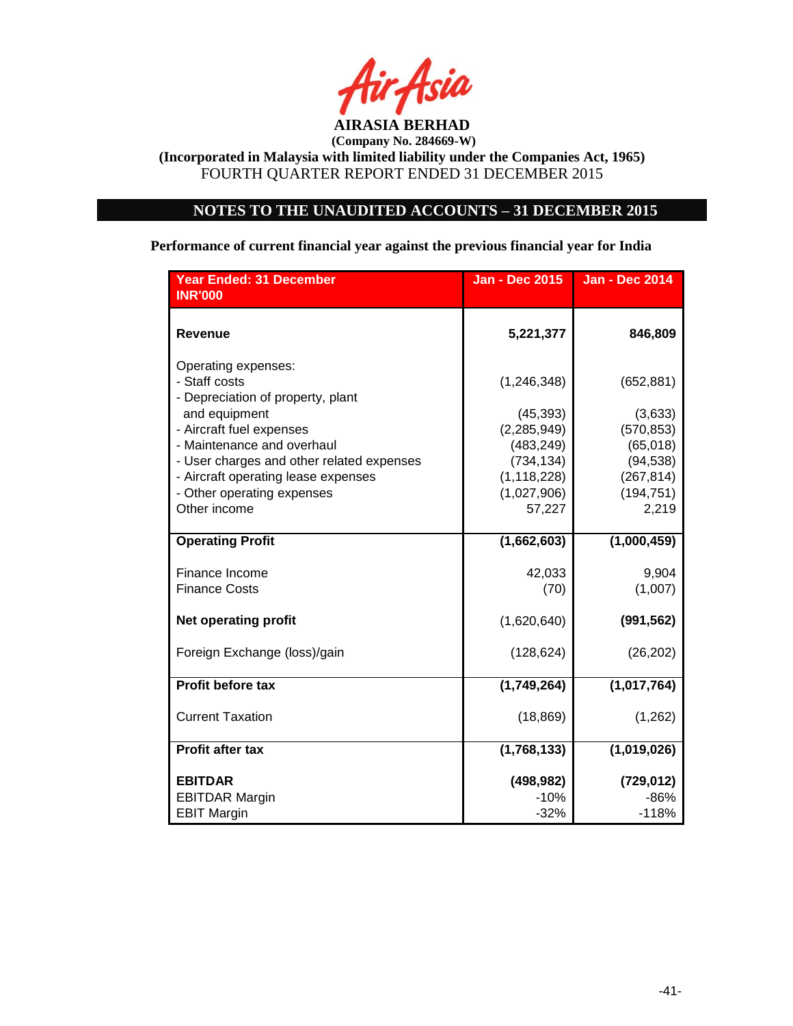

# **NOTES TO THE UNAUDITED ACCOUNTS – 31 DECEMBER 2015**

**Performance of current financial year against the previous financial year for India**

| <b>Year Ended: 31 December</b>                                                   | <b>Jan - Dec 2015</b>       | <b>Jan - Dec 2014</b>   |
|----------------------------------------------------------------------------------|-----------------------------|-------------------------|
| <b>INR'000</b>                                                                   |                             |                         |
| <b>Revenue</b>                                                                   | 5,221,377                   | 846,809                 |
| Operating expenses:<br>- Staff costs                                             | (1, 246, 348)               | (652, 881)              |
| - Depreciation of property, plant<br>and equipment<br>- Aircraft fuel expenses   | (45, 393)<br>(2, 285, 949)  | (3,633)<br>(570, 853)   |
| - Maintenance and overhaul                                                       | (483, 249)                  | (65,018)                |
| - User charges and other related expenses<br>- Aircraft operating lease expenses | (734, 134)<br>(1, 118, 228) | (94, 538)<br>(267, 814) |
| - Other operating expenses<br>Other income                                       | (1,027,906)<br>57,227       | (194, 751)<br>2,219     |
| <b>Operating Profit</b>                                                          | (1,662,603)                 | (1,000,459)             |
| Finance Income<br><b>Finance Costs</b>                                           | 42,033<br>(70)              | 9,904<br>(1,007)        |
| <b>Net operating profit</b>                                                      | (1,620,640)                 | (991, 562)              |
| Foreign Exchange (loss)/gain                                                     | (128, 624)                  | (26, 202)               |
| Profit before tax                                                                | (1,749,264)                 | (1,017,764)             |
| <b>Current Taxation</b>                                                          | (18, 869)                   | (1,262)                 |
| <b>Profit after tax</b>                                                          | (1,768,133)                 | (1,019,026)             |
| <b>EBITDAR</b>                                                                   | (498, 982)                  | (729, 012)              |
| <b>EBITDAR Margin</b><br><b>EBIT Margin</b>                                      | $-10%$<br>$-32%$            | $-86%$<br>$-118%$       |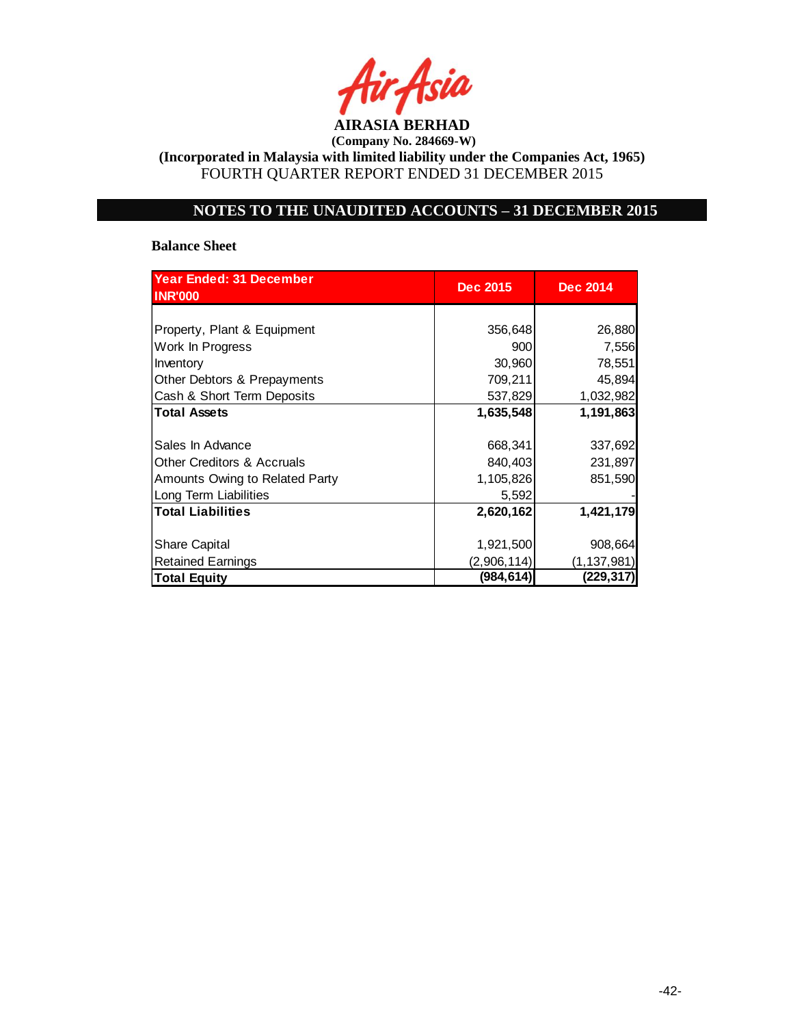

**(Incorporated in Malaysia with limited liability under the Companies Act, 1965)** FOURTH QUARTER REPORT ENDED 31 DECEMBER 2015

# **NOTES TO THE UNAUDITED ACCOUNTS – 31 DECEMBER 2015**

#### **Balance Sheet**

| <b>Year Ended: 31 December</b><br><b>INR'000</b> | Dec 2015    | <b>Dec 2014</b> |
|--------------------------------------------------|-------------|-----------------|
|                                                  |             |                 |
| Property, Plant & Equipment                      | 356,648     | 26,880          |
| Work In Progress                                 | 900         | 7,556           |
| Inventory                                        | 30,960      | 78,551          |
| Other Debtors & Prepayments                      | 709,211     | 45,894          |
| Cash & Short Term Deposits                       | 537,829     | 1,032,982       |
| <b>Total Assets</b>                              | 1,635,548   | 1,191,863       |
|                                                  |             |                 |
| Sales In Advance                                 | 668,341     | 337,692         |
| <b>Other Creditors &amp; Accruals</b>            | 840,403     | 231,897         |
| Amounts Owing to Related Party                   | 1,105,826   | 851,590         |
| Long Term Liabilities                            | 5,592       |                 |
| <b>Total Liabilities</b>                         | 2,620,162   | 1,421,179       |
|                                                  |             |                 |
| <b>Share Capital</b>                             | 1,921,500   | 908,664         |
| <b>Retained Earnings</b>                         | (2,906,114) | (1, 137, 981)   |
| <b>Total Equity</b>                              | (984,614)   | (229, 317)      |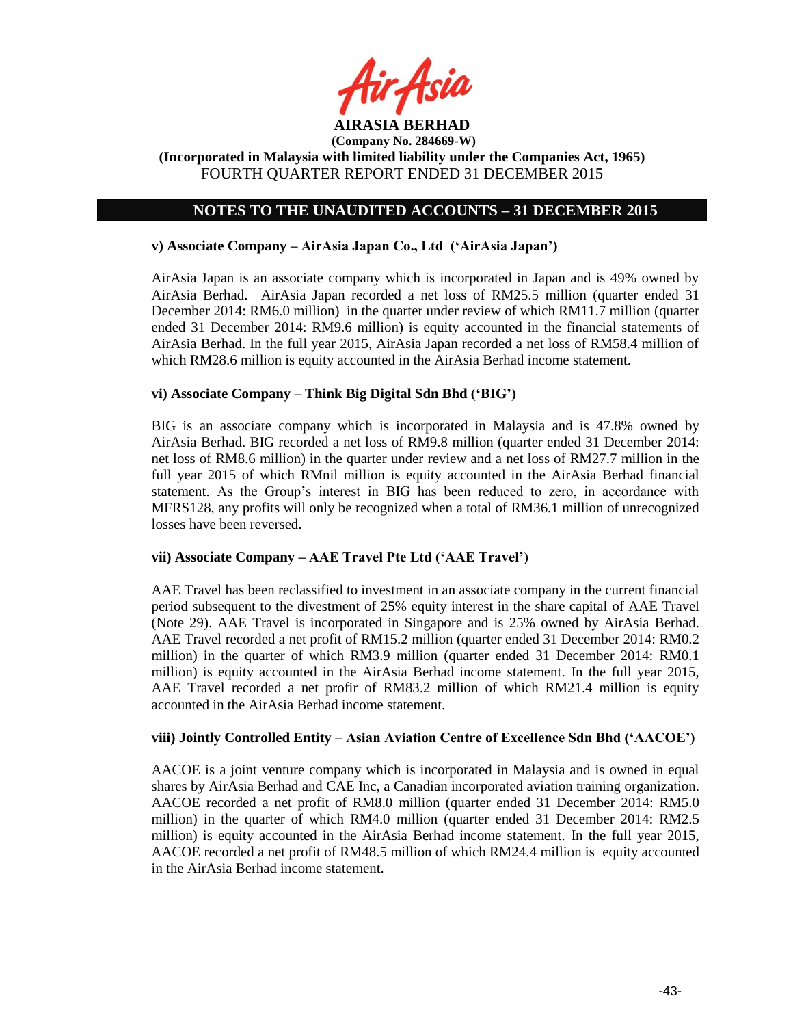

# **NOTES TO THE UNAUDITED ACCOUNTS – 31 DECEMBER 2015**

### **v) Associate Company – AirAsia Japan Co., Ltd ('AirAsia Japan')**

AirAsia Japan is an associate company which is incorporated in Japan and is 49% owned by AirAsia Berhad. AirAsia Japan recorded a net loss of RM25.5 million (quarter ended 31 December 2014: RM6.0 million) in the quarter under review of which RM11.7 million (quarter ended 31 December 2014: RM9.6 million) is equity accounted in the financial statements of AirAsia Berhad. In the full year 2015, AirAsia Japan recorded a net loss of RM58.4 million of which RM28.6 million is equity accounted in the AirAsia Berhad income statement.

#### **vi) Associate Company – Think Big Digital Sdn Bhd ('BIG')**

BIG is an associate company which is incorporated in Malaysia and is 47.8% owned by AirAsia Berhad. BIG recorded a net loss of RM9.8 million (quarter ended 31 December 2014: net loss of RM8.6 million) in the quarter under review and a net loss of RM27.7 million in the full year 2015 of which RMnil million is equity accounted in the AirAsia Berhad financial statement. As the Group's interest in BIG has been reduced to zero, in accordance with MFRS128, any profits will only be recognized when a total of RM36.1 million of unrecognized losses have been reversed.

### **vii) Associate Company – AAE Travel Pte Ltd ('AAE Travel')**

AAE Travel has been reclassified to investment in an associate company in the current financial period subsequent to the divestment of 25% equity interest in the share capital of AAE Travel (Note 29). AAE Travel is incorporated in Singapore and is 25% owned by AirAsia Berhad. AAE Travel recorded a net profit of RM15.2 million (quarter ended 31 December 2014: RM0.2 million) in the quarter of which RM3.9 million (quarter ended 31 December 2014: RM0.1 million) is equity accounted in the AirAsia Berhad income statement. In the full year 2015, AAE Travel recorded a net profir of RM83.2 million of which RM21.4 million is equity accounted in the AirAsia Berhad income statement.

### **viii) Jointly Controlled Entity – Asian Aviation Centre of Excellence Sdn Bhd ('AACOE')**

AACOE is a joint venture company which is incorporated in Malaysia and is owned in equal shares by AirAsia Berhad and CAE Inc, a Canadian incorporated aviation training organization. AACOE recorded a net profit of RM8.0 million (quarter ended 31 December 2014: RM5.0 million) in the quarter of which RM4.0 million (quarter ended 31 December 2014: RM2.5 million) is equity accounted in the AirAsia Berhad income statement. In the full year 2015, AACOE recorded a net profit of RM48.5 million of which RM24.4 million is equity accounted in the AirAsia Berhad income statement.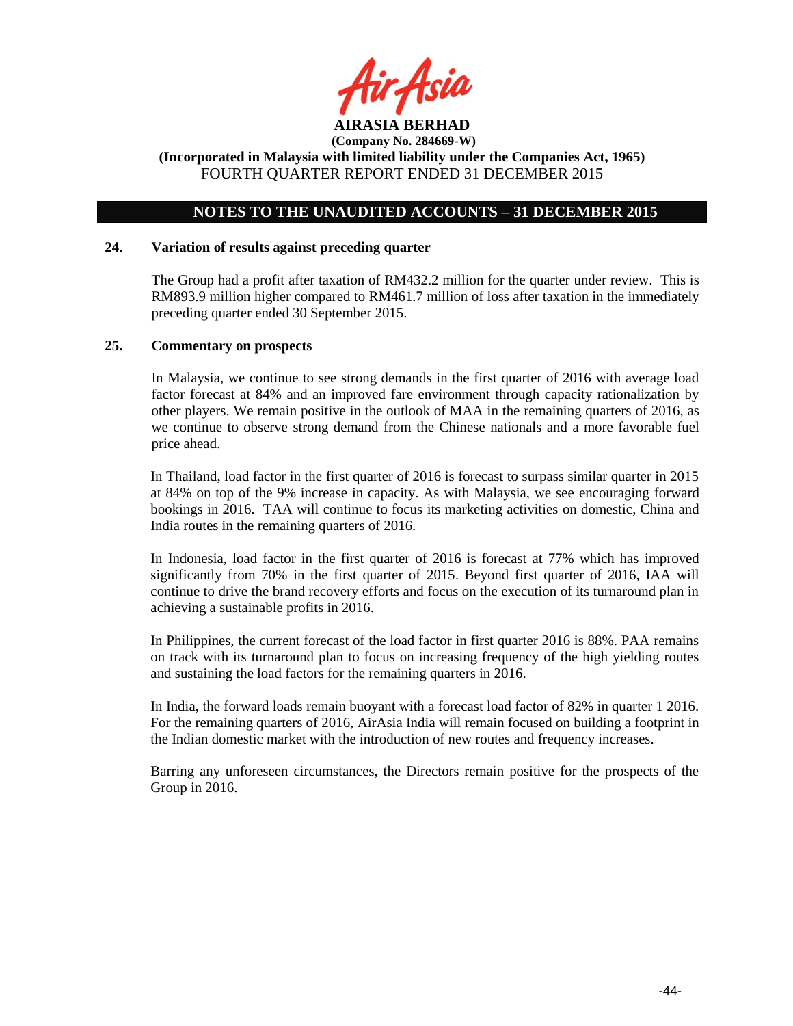

## **NOTES TO THE UNAUDITED ACCOUNTS – 31 DECEMBER 2015**

#### **24. Variation of results against preceding quarter**

The Group had a profit after taxation of RM432.2 million for the quarter under review. This is RM893.9 million higher compared to RM461.7 million of loss after taxation in the immediately preceding quarter ended 30 September 2015.

#### **25. Commentary on prospects**

In Malaysia, we continue to see strong demands in the first quarter of 2016 with average load factor forecast at 84% and an improved fare environment through capacity rationalization by other players. We remain positive in the outlook of MAA in the remaining quarters of 2016, as we continue to observe strong demand from the Chinese nationals and a more favorable fuel price ahead.

In Thailand, load factor in the first quarter of 2016 is forecast to surpass similar quarter in 2015 at 84% on top of the 9% increase in capacity. As with Malaysia, we see encouraging forward bookings in 2016. TAA will continue to focus its marketing activities on domestic, China and India routes in the remaining quarters of 2016.

In Indonesia, load factor in the first quarter of 2016 is forecast at 77% which has improved significantly from 70% in the first quarter of 2015. Beyond first quarter of 2016, IAA will continue to drive the brand recovery efforts and focus on the execution of its turnaround plan in achieving a sustainable profits in 2016.

In Philippines, the current forecast of the load factor in first quarter 2016 is 88%. PAA remains on track with its turnaround plan to focus on increasing frequency of the high yielding routes and sustaining the load factors for the remaining quarters in 2016.

In India, the forward loads remain buoyant with a forecast load factor of 82% in quarter 1 2016. For the remaining quarters of 2016, AirAsia India will remain focused on building a footprint in the Indian domestic market with the introduction of new routes and frequency increases.

Barring any unforeseen circumstances, the Directors remain positive for the prospects of the Group in 2016.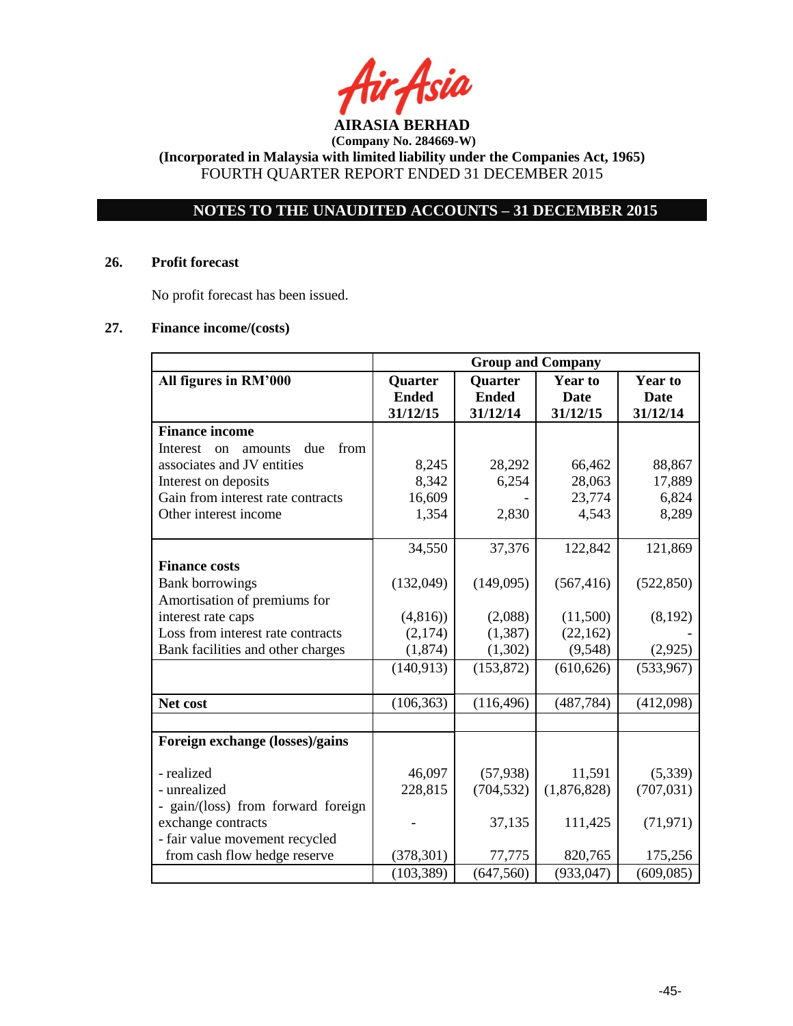

**(Incorporated in Malaysia with limited liability under the Companies Act, 1965)** FOURTH QUARTER REPORT ENDED 31 DECEMBER 2015

# **NOTES TO THE UNAUDITED ACCOUNTS – 31 DECEMBER 2015**

#### **26. Profit forecast**

No profit forecast has been issued.

### **27. Finance income/(costs)**

|                                                     | <b>Group and Company</b> |              |                |                |
|-----------------------------------------------------|--------------------------|--------------|----------------|----------------|
| All figures in RM'000                               | Quarter                  | Quarter      | <b>Year to</b> | <b>Year to</b> |
|                                                     | <b>Ended</b>             | <b>Ended</b> | <b>Date</b>    | <b>Date</b>    |
|                                                     | 31/12/15                 | 31/12/14     | 31/12/15       | 31/12/14       |
| <b>Finance income</b>                               |                          |              |                |                |
| from<br>Interest<br>due<br><sub>on</sub><br>amounts |                          |              |                |                |
| associates and JV entities                          | 8,245                    | 28,292       | 66,462         | 88,867         |
| Interest on deposits                                | 8,342                    | 6,254        | 28,063         | 17,889         |
| Gain from interest rate contracts                   | 16,609                   |              | 23,774         | 6,824          |
| Other interest income                               | 1,354                    | 2,830        | 4,543          | 8,289          |
|                                                     |                          |              |                |                |
|                                                     | 34,550                   | 37,376       | 122,842        | 121,869        |
| <b>Finance costs</b>                                |                          |              |                |                |
| <b>Bank borrowings</b>                              | (132,049)                | (149,095)    | (567, 416)     | (522, 850)     |
| Amortisation of premiums for                        |                          |              |                |                |
| interest rate caps                                  | (4,816)                  | (2,088)      | (11,500)       | (8,192)        |
| Loss from interest rate contracts                   | (2,174)                  | (1, 387)     | (22, 162)      |                |
| Bank facilities and other charges                   | (1,874)                  | (1,302)      | (9,548)        | (2,925)        |
|                                                     | (140, 913)               | (153, 872)   | (610, 626)     | (533,967)      |
|                                                     |                          |              |                |                |
| Net cost                                            | (106, 363)               | (116, 496)   | (487, 784)     | (412,098)      |
|                                                     |                          |              |                |                |
| Foreign exchange (losses)/gains                     |                          |              |                |                |
|                                                     |                          |              |                |                |
| - realized                                          | 46,097                   | (57, 938)    | 11,591         | (5,339)        |
| - unrealized                                        | 228,815                  | (704, 532)   | (1,876,828)    | (707, 031)     |
| - gain/(loss) from forward foreign                  |                          |              |                |                |
| exchange contracts                                  |                          | 37,135       | 111,425        | (71, 971)      |
| - fair value movement recycled                      |                          |              |                |                |
| from cash flow hedge reserve                        | (378, 301)               | 77,775       | 820,765        | 175,256        |
|                                                     | (103, 389)               | (647, 560)   | (933, 047)     | (609, 085)     |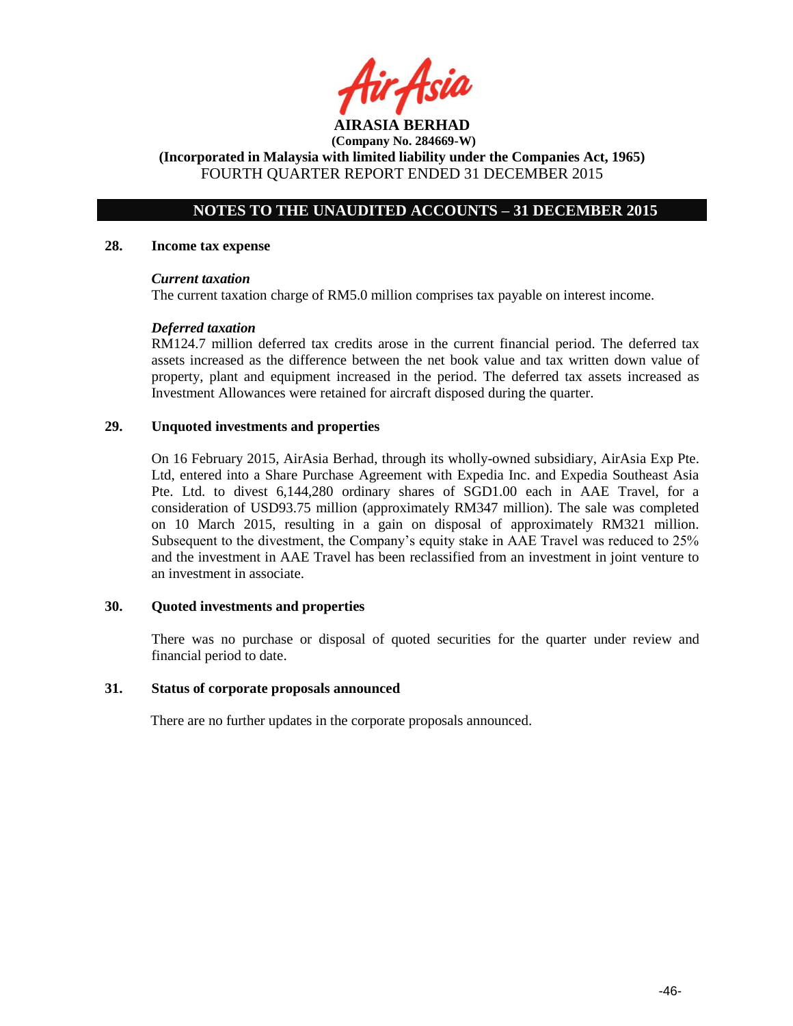**AIRASIA BERHAD** 

**(Incorporated in Malaysia with limited liability under the Companies Act, 1965)** FOURTH QUARTER REPORT ENDED 31 DECEMBER 2015

# **NOTES TO THE UNAUDITED ACCOUNTS – 31 DECEMBER 2015**

#### **28. Income tax expense**

#### *Current taxation*

The current taxation charge of RM5.0 million comprises tax payable on interest income.

#### *Deferred taxation*

RM124.7 million deferred tax credits arose in the current financial period. The deferred tax assets increased as the difference between the net book value and tax written down value of property, plant and equipment increased in the period. The deferred tax assets increased as Investment Allowances were retained for aircraft disposed during the quarter.

#### **29. Unquoted investments and properties**

On 16 February 2015, AirAsia Berhad, through its wholly-owned subsidiary, AirAsia Exp Pte. Ltd, entered into a Share Purchase Agreement with Expedia Inc. and Expedia Southeast Asia Pte. Ltd. to divest 6,144,280 ordinary shares of SGD1.00 each in AAE Travel, for a consideration of USD93.75 million (approximately RM347 million). The sale was completed on 10 March 2015, resulting in a gain on disposal of approximately RM321 million. Subsequent to the divestment, the Company's equity stake in AAE Travel was reduced to 25% and the investment in AAE Travel has been reclassified from an investment in joint venture to an investment in associate.

#### **30. Quoted investments and properties**

There was no purchase or disposal of quoted securities for the quarter under review and financial period to date.

#### **31. Status of corporate proposals announced**

There are no further updates in the corporate proposals announced.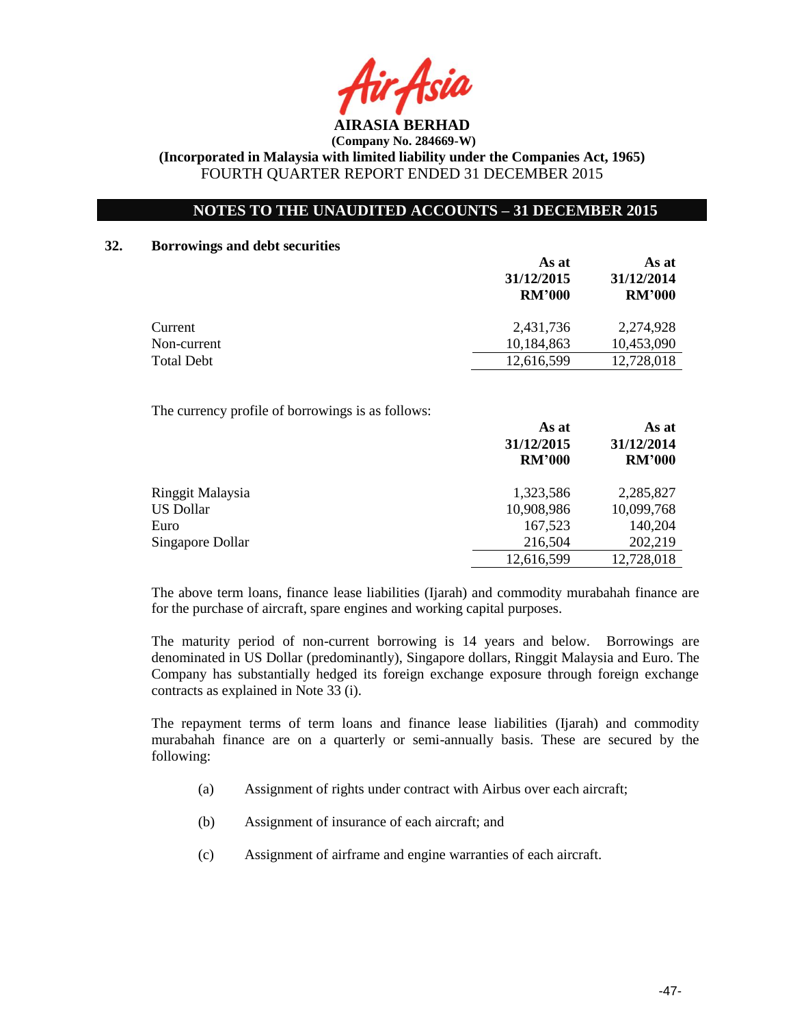

### **NOTES TO THE UNAUDITED ACCOUNTS – 31 DECEMBER 2015**

### **32. Borrowings and debt securities**

|             | As at<br>31/12/2015<br><b>RM'000</b> | As at<br>31/12/2014<br><b>RM'000</b> |
|-------------|--------------------------------------|--------------------------------------|
| Current     | 2,431,736                            | 2,274,928                            |
| Non-current | 10,184,863                           | 10,453,090                           |
| Total Debt  | 12,616,599                           | 12,728,018                           |
|             |                                      |                                      |

The currency profile of borrowings is as follows:

|                  | As at<br>31/12/2015<br><b>RM'000</b> | As at<br>31/12/2014<br><b>RM'000</b> |
|------------------|--------------------------------------|--------------------------------------|
| Ringgit Malaysia | 1,323,586                            | 2,285,827                            |
| <b>US Dollar</b> | 10,908,986                           | 10,099,768                           |
| Euro             | 167,523                              | 140,204                              |
| Singapore Dollar | 216,504                              | 202,219                              |
|                  | 12,616,599                           | 12,728,018                           |
|                  |                                      |                                      |

The above term loans, finance lease liabilities (Ijarah) and commodity murabahah finance are for the purchase of aircraft, spare engines and working capital purposes.

The maturity period of non-current borrowing is 14 years and below. Borrowings are denominated in US Dollar (predominantly), Singapore dollars, Ringgit Malaysia and Euro. The Company has substantially hedged its foreign exchange exposure through foreign exchange contracts as explained in Note 33 (i).

The repayment terms of term loans and finance lease liabilities (Ijarah) and commodity murabahah finance are on a quarterly or semi-annually basis. These are secured by the following:

- (a) Assignment of rights under contract with Airbus over each aircraft;
- (b) Assignment of insurance of each aircraft; and
- (c) Assignment of airframe and engine warranties of each aircraft.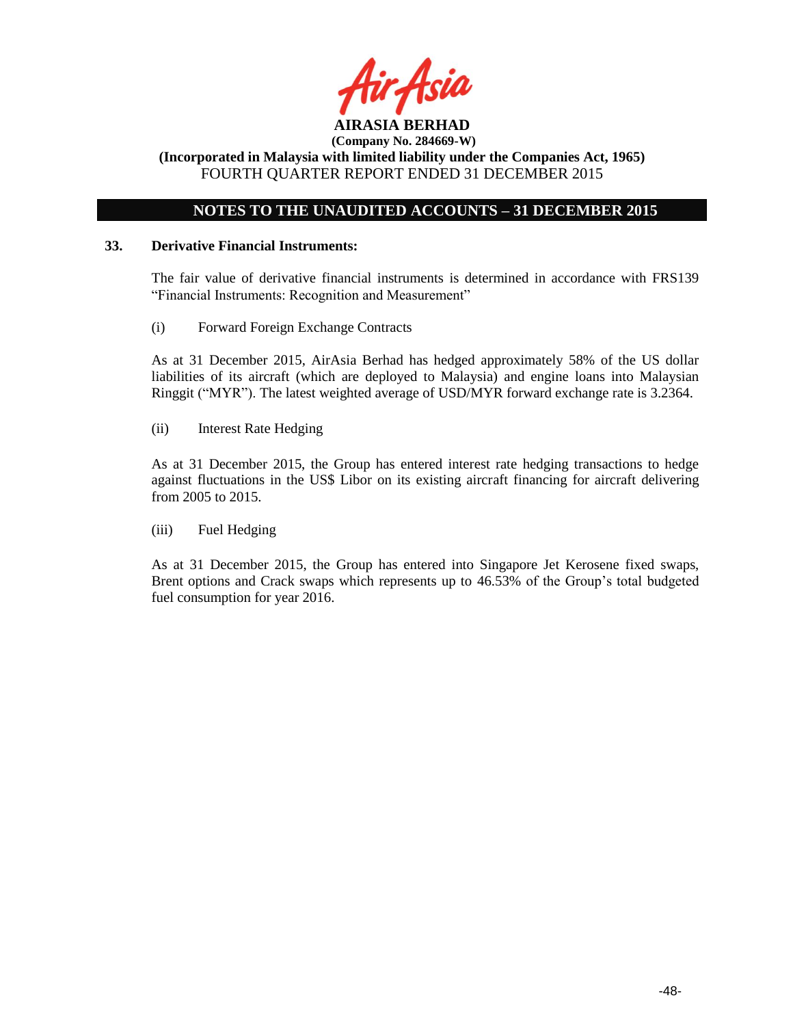

# **NOTES TO THE UNAUDITED ACCOUNTS – 31 DECEMBER 2015**

#### **33. Derivative Financial Instruments:**

The fair value of derivative financial instruments is determined in accordance with FRS139 "Financial Instruments: Recognition and Measurement"

(i) Forward Foreign Exchange Contracts

As at 31 December 2015, AirAsia Berhad has hedged approximately 58% of the US dollar liabilities of its aircraft (which are deployed to Malaysia) and engine loans into Malaysian Ringgit ("MYR"). The latest weighted average of USD/MYR forward exchange rate is 3.2364.

(ii) Interest Rate Hedging

As at 31 December 2015, the Group has entered interest rate hedging transactions to hedge against fluctuations in the US\$ Libor on its existing aircraft financing for aircraft delivering from 2005 to 2015.

(iii) Fuel Hedging

As at 31 December 2015, the Group has entered into Singapore Jet Kerosene fixed swaps, Brent options and Crack swaps which represents up to 46.53% of the Group's total budgeted fuel consumption for year 2016.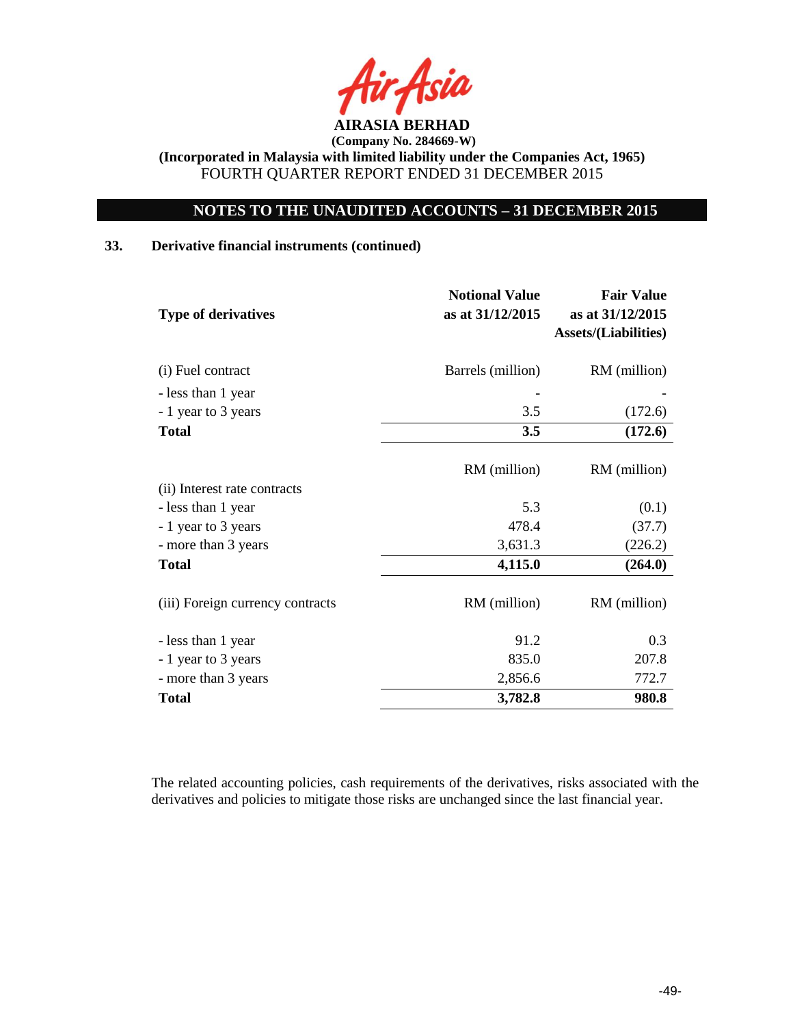

# **NOTES TO THE UNAUDITED ACCOUNTS – 31 DECEMBER 2015**

### **33. Derivative financial instruments (continued)**

| <b>Type of derivatives</b>       | <b>Notional Value</b><br>as at 31/12/2015 | <b>Fair Value</b><br>as at 31/12/2015<br><b>Assets/(Liabilities)</b> |
|----------------------------------|-------------------------------------------|----------------------------------------------------------------------|
| (i) Fuel contract                | Barrels (million)                         | RM (million)                                                         |
| - less than 1 year               |                                           |                                                                      |
| - 1 year to 3 years              | 3.5                                       | (172.6)                                                              |
| <b>Total</b>                     | 3.5                                       | (172.6)                                                              |
|                                  | RM (million)                              | RM (million)                                                         |
| (ii) Interest rate contracts     |                                           |                                                                      |
| - less than 1 year               | 5.3                                       | (0.1)                                                                |
| - 1 year to 3 years              | 478.4                                     | (37.7)                                                               |
| - more than 3 years              | 3,631.3                                   | (226.2)                                                              |
| <b>Total</b>                     | 4,115.0                                   | (264.0)                                                              |
| (iii) Foreign currency contracts | RM (million)                              | RM (million)                                                         |
| - less than 1 year               | 91.2                                      | 0.3                                                                  |
| - 1 year to 3 years              | 835.0                                     | 207.8                                                                |
| - more than 3 years              | 2,856.6                                   | 772.7                                                                |
| <b>Total</b>                     | 3,782.8                                   | 980.8                                                                |

The related accounting policies, cash requirements of the derivatives, risks associated with the derivatives and policies to mitigate those risks are unchanged since the last financial year.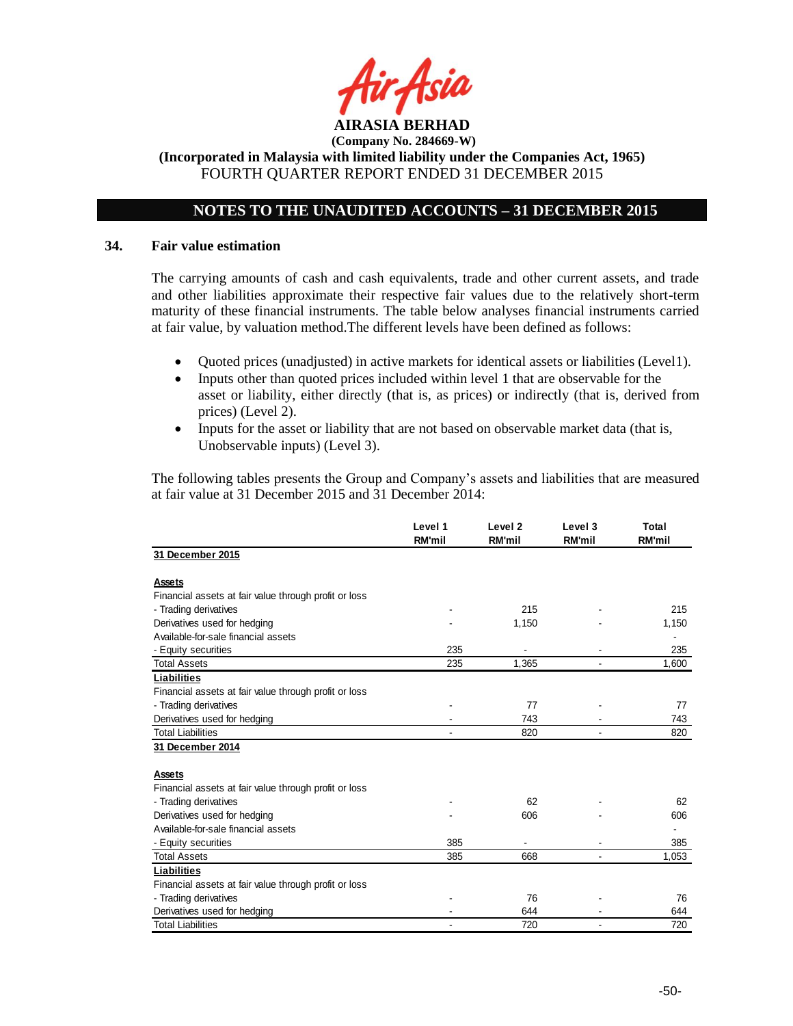

**(Incorporated in Malaysia with limited liability under the Companies Act, 1965)** FOURTH QUARTER REPORT ENDED 31 DECEMBER 2015

# **NOTES TO THE UNAUDITED ACCOUNTS – 31 DECEMBER 2015**

#### **34. Fair value estimation**

The carrying amounts of cash and cash equivalents, trade and other current assets, and trade and other liabilities approximate their respective fair values due to the relatively short-term maturity of these financial instruments. The table below analyses financial instruments carried at fair value, by valuation method.The different levels have been defined as follows:

- Quoted prices (unadjusted) in active markets for identical assets or liabilities (Level1).
- Inputs other than quoted prices included within level 1 that are observable for the asset or liability, either directly (that is, as prices) or indirectly (that is, derived from prices) (Level 2).
- Inputs for the asset or liability that are not based on observable market data (that is, Unobservable inputs) (Level 3).

The following tables presents the Group and Company's assets and liabilities that are measured at fair value at 31 December 2015 and 31 December 2014:

|                                                       | Level 1<br><b>RM'mil</b> | Level <sub>2</sub><br><b>RM'mil</b> | Level 3<br><b>RM'mil</b> | <b>Total</b><br><b>RM'mil</b> |
|-------------------------------------------------------|--------------------------|-------------------------------------|--------------------------|-------------------------------|
| 31 December 2015                                      |                          |                                     |                          |                               |
| Assets                                                |                          |                                     |                          |                               |
| Financial assets at fair value through profit or loss |                          |                                     |                          |                               |
| - Trading derivatives                                 |                          | 215                                 |                          | 215                           |
| Derivatives used for hedging                          |                          | 1,150                               |                          | 1,150                         |
| Available-for-sale financial assets                   |                          |                                     |                          |                               |
| - Equity securities                                   | 235                      |                                     |                          | 235                           |
| <b>Total Assets</b>                                   | 235                      | 1,365                               |                          | 1,600                         |
| <b>Liabilities</b>                                    |                          |                                     |                          |                               |
| Financial assets at fair value through profit or loss |                          |                                     |                          |                               |
| - Trading derivatives                                 |                          | 77                                  |                          | 77                            |
| Derivatives used for hedging                          |                          | 743                                 |                          | 743                           |
| <b>Total Liabilities</b>                              |                          | 820                                 |                          | 820                           |
| 31 December 2014                                      |                          |                                     |                          |                               |
|                                                       |                          |                                     |                          |                               |
| <b>Assets</b>                                         |                          |                                     |                          |                               |
| Financial assets at fair value through profit or loss |                          |                                     |                          |                               |
| - Trading derivatives                                 |                          | 62                                  |                          | 62                            |
| Derivatives used for hedging                          |                          | 606                                 |                          | 606                           |
| Available-for-sale financial assets                   |                          |                                     |                          |                               |
| - Equity securities                                   | 385                      |                                     |                          | 385                           |
| <b>Total Assets</b>                                   | 385                      | 668                                 |                          | 1,053                         |
| Liabilities                                           |                          |                                     |                          |                               |
| Financial assets at fair value through profit or loss |                          |                                     |                          |                               |
| - Trading derivatives                                 |                          | 76                                  |                          | 76                            |
| Derivatives used for hedging                          |                          | 644                                 |                          | 644                           |
| <b>Total Liabilities</b>                              |                          | 720                                 |                          | 720                           |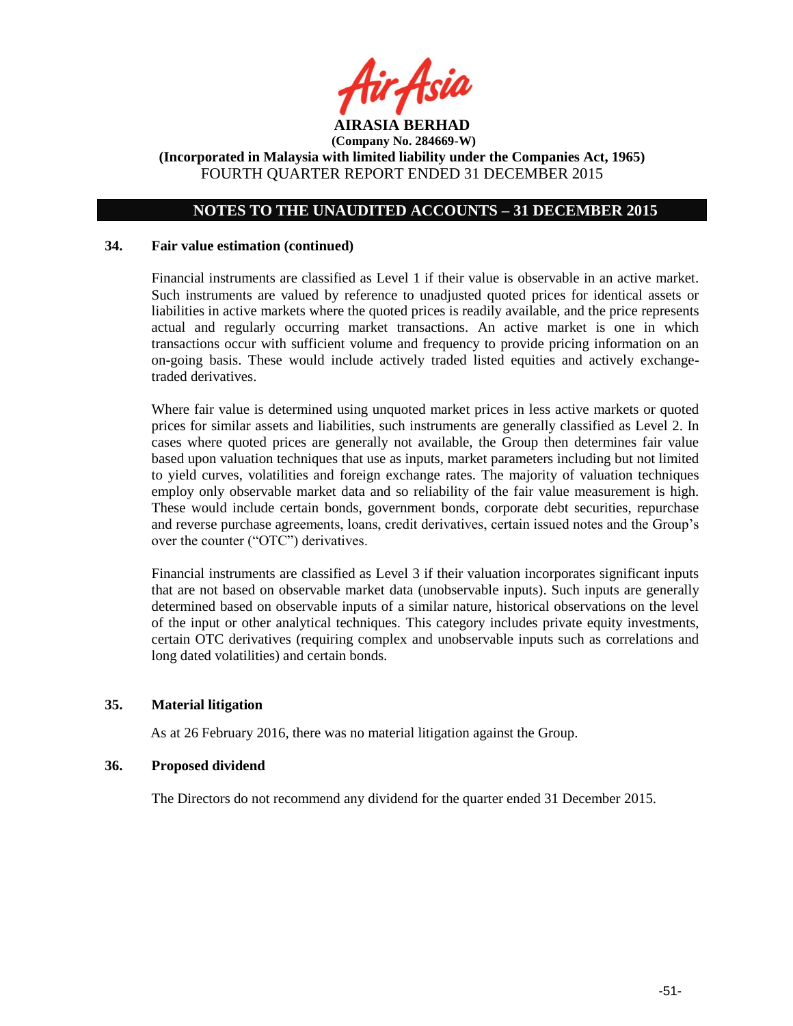

# **NOTES TO THE UNAUDITED ACCOUNTS – 31 DECEMBER 2015**

#### **34. Fair value estimation (continued)**

Financial instruments are classified as Level 1 if their value is observable in an active market. Such instruments are valued by reference to unadjusted quoted prices for identical assets or liabilities in active markets where the quoted prices is readily available, and the price represents actual and regularly occurring market transactions. An active market is one in which transactions occur with sufficient volume and frequency to provide pricing information on an on-going basis. These would include actively traded listed equities and actively exchangetraded derivatives.

Where fair value is determined using unquoted market prices in less active markets or quoted prices for similar assets and liabilities, such instruments are generally classified as Level 2. In cases where quoted prices are generally not available, the Group then determines fair value based upon valuation techniques that use as inputs, market parameters including but not limited to yield curves, volatilities and foreign exchange rates. The majority of valuation techniques employ only observable market data and so reliability of the fair value measurement is high. These would include certain bonds, government bonds, corporate debt securities, repurchase and reverse purchase agreements, loans, credit derivatives, certain issued notes and the Group's over the counter ("OTC") derivatives.

Financial instruments are classified as Level 3 if their valuation incorporates significant inputs that are not based on observable market data (unobservable inputs). Such inputs are generally determined based on observable inputs of a similar nature, historical observations on the level of the input or other analytical techniques. This category includes private equity investments, certain OTC derivatives (requiring complex and unobservable inputs such as correlations and long dated volatilities) and certain bonds.

### **35. Material litigation**

As at 26 February 2016, there was no material litigation against the Group.

### **36. Proposed dividend**

The Directors do not recommend any dividend for the quarter ended 31 December 2015.